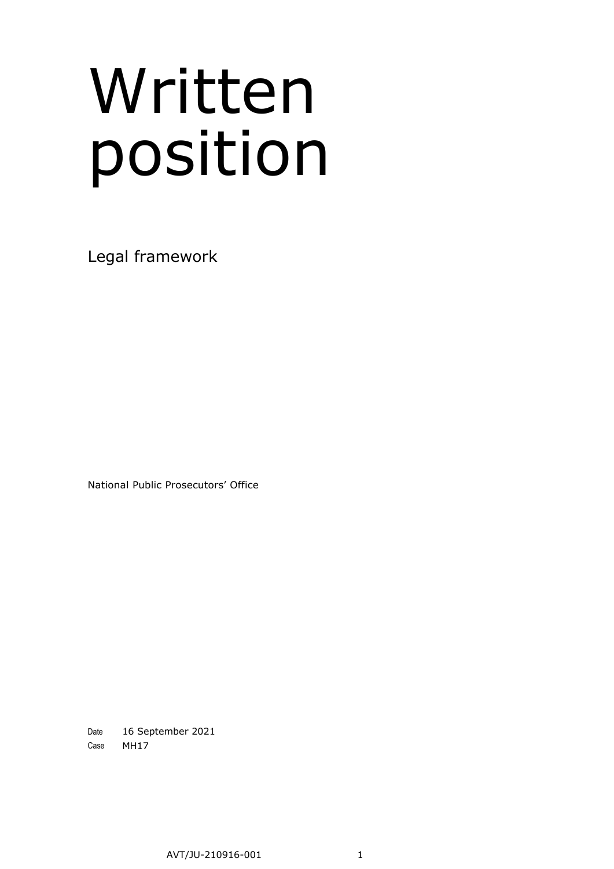# Written position

Legal framework

National Public Prosecutors' Office

Date 16 September 2021 Case MH17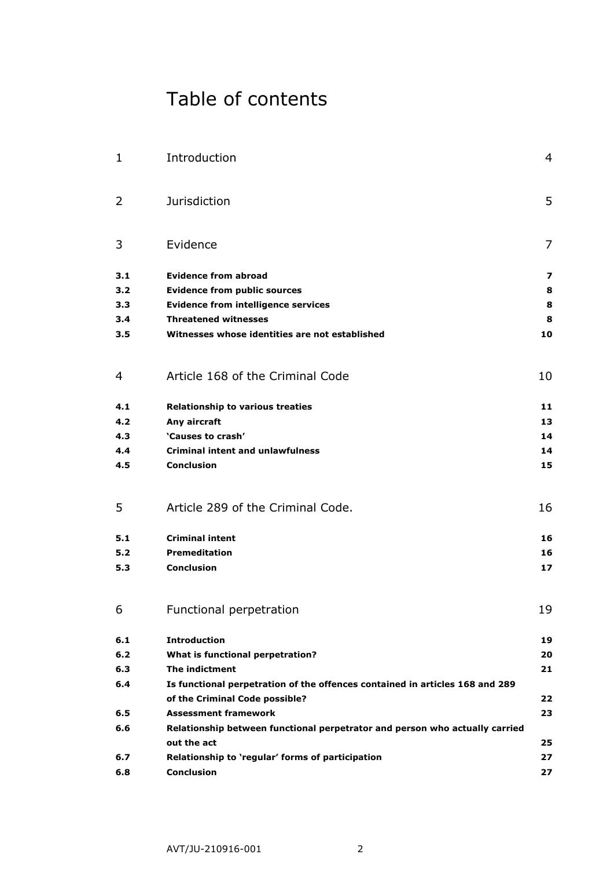# Table of contents

| 1   | Introduction                                                                 | 4  |
|-----|------------------------------------------------------------------------------|----|
| 2   | <b>Jurisdiction</b>                                                          | 5  |
| 3   | Evidence                                                                     | 7  |
| 3.1 | <b>Evidence from abroad</b>                                                  | 7  |
| 3.2 | <b>Evidence from public sources</b>                                          | 8  |
| 3.3 | <b>Evidence from intelligence services</b>                                   | 8  |
| 3.4 | <b>Threatened witnesses</b>                                                  | 8  |
| 3.5 | Witnesses whose identities are not established                               | 10 |
| 4   | Article 168 of the Criminal Code                                             | 10 |
| 4.1 | <b>Relationship to various treaties</b>                                      | 11 |
| 4.2 | Any aircraft                                                                 | 13 |
| 4.3 | 'Causes to crash'                                                            | 14 |
| 4.4 | <b>Criminal intent and unlawfulness</b>                                      | 14 |
| 4.5 | <b>Conclusion</b>                                                            | 15 |
| 5   | Article 289 of the Criminal Code.                                            | 16 |
| 5.1 | <b>Criminal intent</b>                                                       | 16 |
| 5.2 | <b>Premeditation</b>                                                         | 16 |
| 5.3 | <b>Conclusion</b>                                                            | 17 |
| 6   | Functional perpetration                                                      | 19 |
| 6.1 | <b>Introduction</b>                                                          | 19 |
| 6.2 | What is functional perpetration?                                             | 20 |
| 6.3 | The indictment                                                               | 21 |
| 6.4 | Is functional perpetration of the offences contained in articles 168 and 289 |    |
|     | of the Criminal Code possible?                                               | 22 |
| 6.5 | <b>Assessment framework</b>                                                  | 23 |
| 6.6 | Relationship between functional perpetrator and person who actually carried  |    |
|     | out the act                                                                  | 25 |
| 6.7 | Relationship to 'regular' forms of participation                             | 27 |
| 6.8 | <b>Conclusion</b>                                                            | 27 |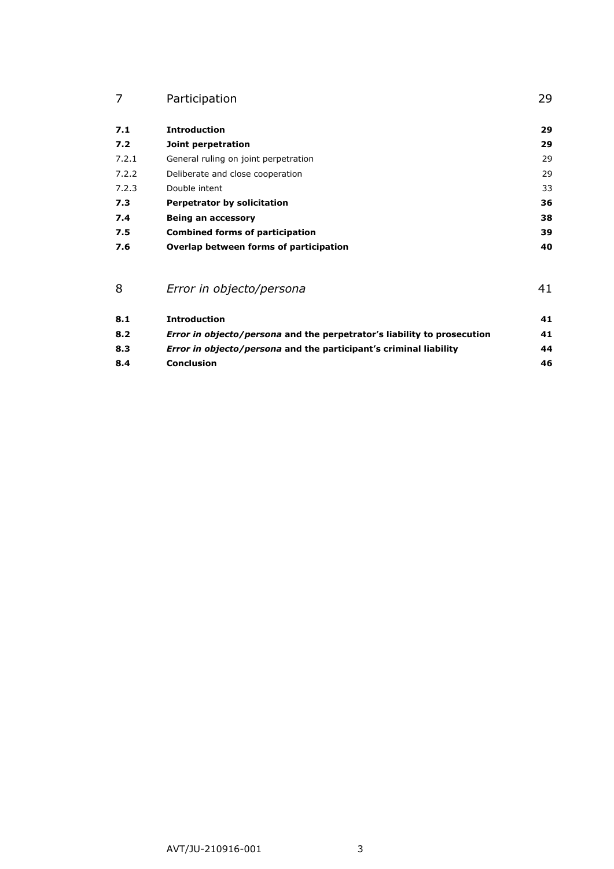| Participation |  |
|---------------|--|
|               |  |

| 7.1   | <b>Introduction</b>                    | 29 |
|-------|----------------------------------------|----|
| 7.2   | Joint perpetration                     | 29 |
| 7.2.1 | General ruling on joint perpetration   | 29 |
| 7.2.2 | Deliberate and close cooperation       | 29 |
| 7.2.3 | Double intent                          | 33 |
| 7.3   | <b>Perpetrator by solicitation</b>     | 36 |
| 7.4   | Being an accessory                     | 38 |
| 7.5   | <b>Combined forms of participation</b> | 39 |
| 7.6   | Overlap between forms of participation | 40 |

| 8   | Error in objecto/persona                                                       |    |
|-----|--------------------------------------------------------------------------------|----|
| 8.1 | <b>Introduction</b>                                                            | 41 |
| 8.2 | <i>Error in objecto/persona</i> and the perpetrator's liability to prosecution | 41 |
| 8.3 | <i>Error in objecto/persona</i> and the participant's criminal liability       | 44 |
| 8.4 | <b>Conclusion</b>                                                              | 46 |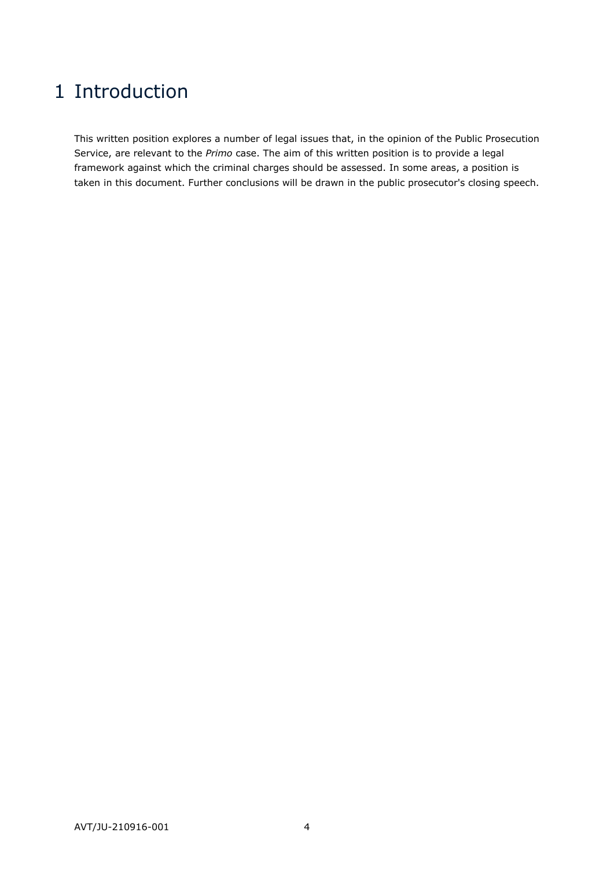# <span id="page-3-0"></span>1 Introduction

This written position explores a number of legal issues that, in the opinion of the Public Prosecution Service, are relevant to the *Primo* case. The aim of this written position is to provide a legal framework against which the criminal charges should be assessed. In some areas, a position is taken in this document. Further conclusions will be drawn in the public prosecutor's closing speech.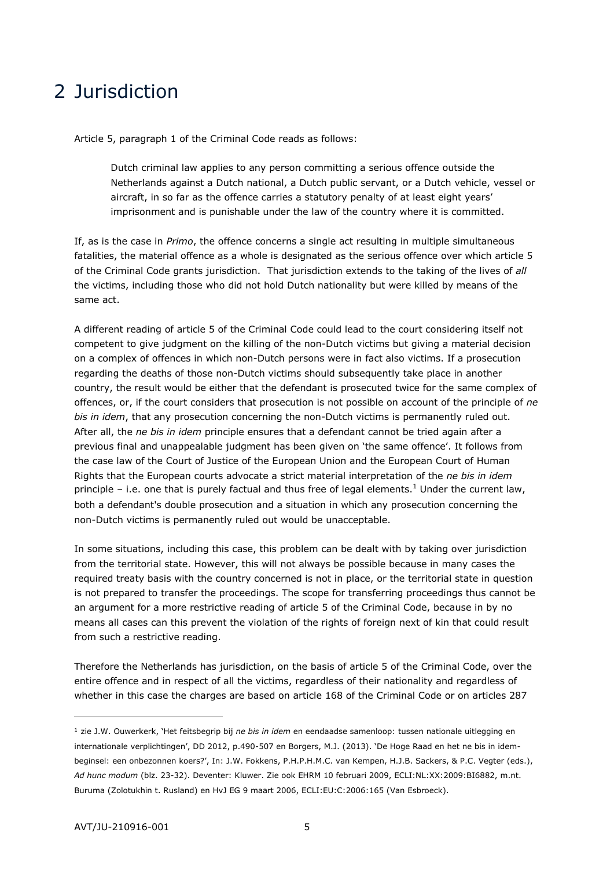# <span id="page-4-0"></span>2 Jurisdiction

Article 5, paragraph 1 of the Criminal Code reads as follows:

Dutch criminal law applies to any person committing a serious offence outside the Netherlands against a Dutch national, a Dutch public servant, or a Dutch vehicle, vessel or aircraft, in so far as the offence carries a statutory penalty of at least eight years' imprisonment and is punishable under the law of the country where it is committed.

If, as is the case in *Primo*, the offence concerns a single act resulting in multiple simultaneous fatalities, the material offence as a whole is designated as the serious offence over which article 5 of the Criminal Code grants jurisdiction. That jurisdiction extends to the taking of the lives of *all* the victims, including those who did not hold Dutch nationality but were killed by means of the same act.

A different reading of article 5 of the Criminal Code could lead to the court considering itself not competent to give judgment on the killing of the non-Dutch victims but giving a material decision on a complex of offences in which non-Dutch persons were in fact also victims. If a prosecution regarding the deaths of those non-Dutch victims should subsequently take place in another country, the result would be either that the defendant is prosecuted twice for the same complex of offences, or, if the court considers that prosecution is not possible on account of the principle of *ne bis in idem*, that any prosecution concerning the non-Dutch victims is permanently ruled out. After all, the *ne bis in idem* principle ensures that a defendant cannot be tried again after a previous final and unappealable judgment has been given on 'the same offence'. It follows from the case law of the Court of Justice of the European Union and the European Court of Human Rights that the European courts advocate a strict material interpretation of the *ne bis in idem* principle – i.e. one that is purely factual and thus free of legal elements.<sup>1</sup> Under the current law, both a defendant's double prosecution and a situation in which any prosecution concerning the non-Dutch victims is permanently ruled out would be unacceptable.

In some situations, including this case, this problem can be dealt with by taking over jurisdiction from the territorial state. However, this will not always be possible because in many cases the required treaty basis with the country concerned is not in place, or the territorial state in question is not prepared to transfer the proceedings. The scope for transferring proceedings thus cannot be an argument for a more restrictive reading of article 5 of the Criminal Code, because in by no means all cases can this prevent the violation of the rights of foreign next of kin that could result from such a restrictive reading.

Therefore the Netherlands has jurisdiction, on the basis of article 5 of the Criminal Code, over the entire offence and in respect of all the victims, regardless of their nationality and regardless of whether in this case the charges are based on article 168 of the Criminal Code or on articles 287

<sup>1</sup> zie J.W. Ouwerkerk, 'Het feitsbegrip bij *ne bis in idem* en eendaadse samenloop: tussen nationale uitlegging en internationale verplichtingen', DD 2012, p.490-507 en Borgers, M.J. (2013). 'De Hoge Raad en het ne bis in idembeginsel: een onbezonnen koers?', In: J.W. Fokkens, P.H.P.H.M.C. van Kempen, H.J.B. Sackers, & P.C. Vegter (eds.), *Ad hunc modum* (blz. 23-32). Deventer: Kluwer. Zie ook EHRM 10 februari 2009, ECLI:NL:XX:2009:BI6882, m.nt. Buruma (Zolotukhin t. Rusland) en HvJ EG 9 maart 2006, ECLI:EU:C:2006:165 (Van Esbroeck).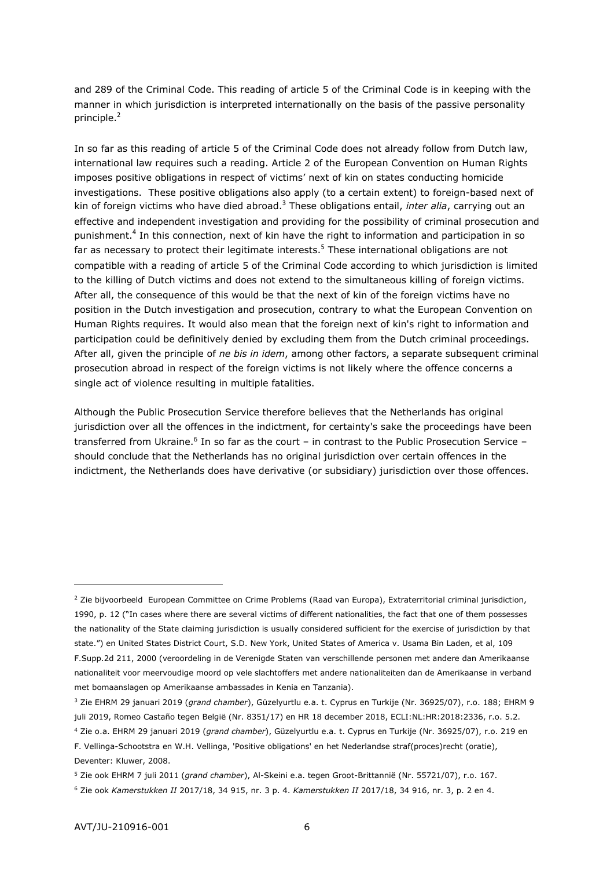and 289 of the Criminal Code. This reading of article 5 of the Criminal Code is in keeping with the manner in which jurisdiction is interpreted internationally on the basis of the passive personality principle.<sup>2</sup>

In so far as this reading of article 5 of the Criminal Code does not already follow from Dutch law, international law requires such a reading. Article 2 of the European Convention on Human Rights imposes positive obligations in respect of victims' next of kin on states conducting homicide investigations. These positive obligations also apply (to a certain extent) to foreign-based next of kin of foreign victims who have died abroad.<sup>3</sup> These obligations entail, *inter alia*, carrying out an effective and independent investigation and providing for the possibility of criminal prosecution and punishment.<sup>4</sup> In this connection, next of kin have the right to information and participation in so far as necessary to protect their legitimate interests.<sup>5</sup> These international obligations are not compatible with a reading of article 5 of the Criminal Code according to which jurisdiction is limited to the killing of Dutch victims and does not extend to the simultaneous killing of foreign victims. After all, the consequence of this would be that the next of kin of the foreign victims have no position in the Dutch investigation and prosecution, contrary to what the European Convention on Human Rights requires. It would also mean that the foreign next of kin's right to information and participation could be definitively denied by excluding them from the Dutch criminal proceedings. After all, given the principle of *ne bis in idem*, among other factors, a separate subsequent criminal prosecution abroad in respect of the foreign victims is not likely where the offence concerns a single act of violence resulting in multiple fatalities.

Although the Public Prosecution Service therefore believes that the Netherlands has original jurisdiction over all the offences in the indictment, for certainty's sake the proceedings have been transferred from Ukraine.<sup>6</sup> In so far as the court – in contrast to the Public Prosecution Service – should conclude that the Netherlands has no original jurisdiction over certain offences in the indictment, the Netherlands does have derivative (or subsidiary) jurisdiction over those offences.

<sup>&</sup>lt;sup>2</sup> Zie bijvoorbeeld European Committee on Crime Problems (Raad van Europa), Extraterritorial criminal jurisdiction, 1990, p. 12 ("In cases where there are several victims of different nationalities, the fact that one of them possesses the nationality of the State claiming jurisdiction is usually considered sufficient for the exercise of jurisdiction by that state.") en United States District Court, S.D. New York, United States of America v. Usama Bin Laden, et al, 109 F.Supp.2d 211, 2000 (veroordeling in de Verenigde Staten van verschillende personen met andere dan Amerikaanse nationaliteit voor meervoudige moord op vele slachtoffers met andere nationaliteiten dan de Amerikaanse in verband met bomaanslagen op Amerikaanse ambassades in Kenia en Tanzania).

<sup>3</sup> Zie EHRM 29 januari 2019 (*grand chamber*), Güzelyurtlu e.a. t. Cyprus en Turkije (Nr. 36925/07), r.o. 188; EHRM 9 juli 2019, Romeo Castaño tegen België (Nr. 8351/17) en HR 18 december 2018, ECLI:NL:HR:2018:2336, r.o. 5.2.

<sup>4</sup> Zie o.a. EHRM 29 januari 2019 (*grand chamber*), Güzelyurtlu e.a. t. Cyprus en Turkije (Nr. 36925/07), r.o. 219 en F. Vellinga-Schootstra en W.H. Vellinga, 'Positive obligations' en het Nederlandse straf(proces)recht (oratie), Deventer: Kluwer, 2008.

<sup>5</sup> Zie ook EHRM 7 juli 2011 (*grand chamber*), Al-Skeini e.a. tegen Groot-Brittannië (Nr. 55721/07), r.o. 167.

<sup>6</sup> Zie ook *Kamerstukken II* 2017/18, 34 915, nr. 3 p. 4. *Kamerstukken II* 2017/18, 34 916, nr. 3, p. 2 en 4.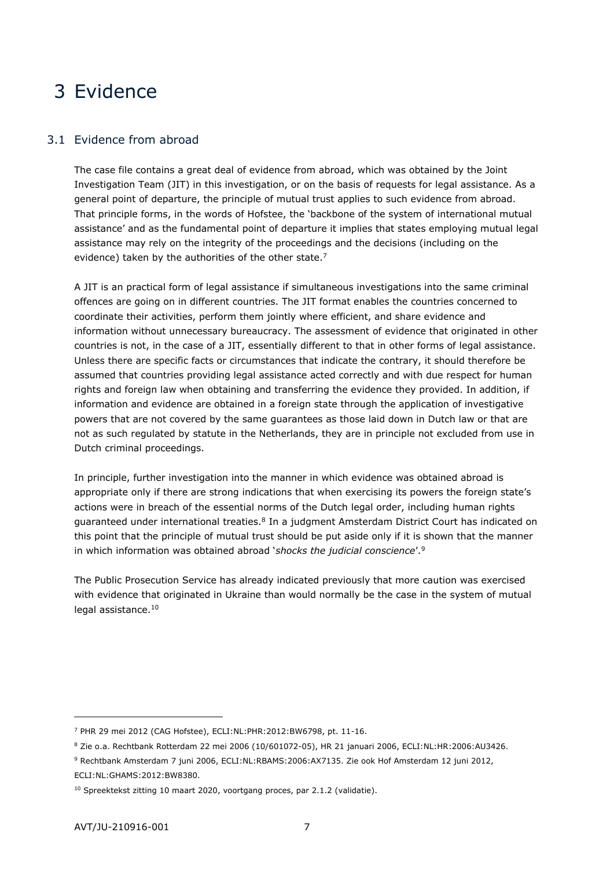# <span id="page-6-0"></span>3 Evidence

## <span id="page-6-1"></span>3.1 Evidence from abroad

The case file contains a great deal of evidence from abroad, which was obtained by the Joint Investigation Team (JIT) in this investigation, or on the basis of requests for legal assistance. As a general point of departure, the principle of mutual trust applies to such evidence from abroad. That principle forms, in the words of Hofstee, the 'backbone of the system of international mutual assistance' and as the fundamental point of departure it implies that states employing mutual legal assistance may rely on the integrity of the proceedings and the decisions (including on the evidence) taken by the authorities of the other state. $<sup>7</sup>$ </sup>

A JIT is an practical form of legal assistance if simultaneous investigations into the same criminal offences are going on in different countries. The JIT format enables the countries concerned to coordinate their activities, perform them jointly where efficient, and share evidence and information without unnecessary bureaucracy. The assessment of evidence that originated in other countries is not, in the case of a JIT, essentially different to that in other forms of legal assistance. Unless there are specific facts or circumstances that indicate the contrary, it should therefore be assumed that countries providing legal assistance acted correctly and with due respect for human rights and foreign law when obtaining and transferring the evidence they provided. In addition, if information and evidence are obtained in a foreign state through the application of investigative powers that are not covered by the same guarantees as those laid down in Dutch law or that are not as such regulated by statute in the Netherlands, they are in principle not excluded from use in Dutch criminal proceedings.

In principle, further investigation into the manner in which evidence was obtained abroad is appropriate only if there are strong indications that when exercising its powers the foreign state's actions were in breach of the essential norms of the Dutch legal order, including human rights guaranteed under international treaties.<sup>8</sup> In a judgment Amsterdam District Court has indicated on this point that the principle of mutual trust should be put aside only if it is shown that the manner in which information was obtained abroad '*shocks the judicial conscience*'.<sup>9</sup>

The Public Prosecution Service has already indicated previously that more caution was exercised with evidence that originated in Ukraine than would normally be the case in the system of mutual legal assistance.<sup>10</sup>

<sup>7</sup> PHR 29 mei 2012 (CAG Hofstee), ECLI:NL:PHR:2012:BW6798, pt. 11-16.

<sup>8</sup> Zie o.a. Rechtbank Rotterdam 22 mei 2006 (10/601072-05), HR 21 januari 2006, ECLI:NL:HR:2006:AU3426.

<sup>9</sup> Rechtbank Amsterdam 7 juni 2006, ECLI:NL:RBAMS:2006:AX7135. Zie ook Hof Amsterdam 12 juni 2012, ECLI:NL:GHAMS:2012:BW8380.

<sup>&</sup>lt;sup>10</sup> Spreektekst zitting 10 maart 2020, voortgang proces, par 2.1.2 (validatie).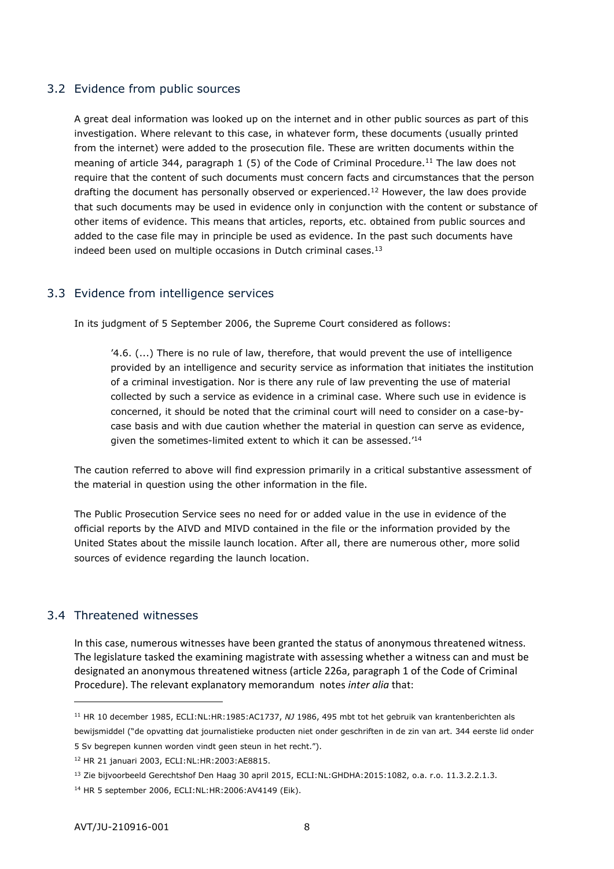# <span id="page-7-0"></span>3.2 Evidence from public sources

A great deal information was looked up on the internet and in other public sources as part of this investigation. Where relevant to this case, in whatever form, these documents (usually printed from the internet) were added to the prosecution file. These are written documents within the meaning of article 344, paragraph 1 (5) of the Code of Criminal Procedure.<sup>11</sup> The law does not require that the content of such documents must concern facts and circumstances that the person drafting the document has personally observed or experienced.<sup>12</sup> However, the law does provide that such documents may be used in evidence only in conjunction with the content or substance of other items of evidence. This means that articles, reports, etc. obtained from public sources and added to the case file may in principle be used as evidence. In the past such documents have indeed been used on multiple occasions in Dutch criminal cases. $13$ 

# <span id="page-7-1"></span>3.3 Evidence from intelligence services

In its judgment of 5 September 2006, the Supreme Court considered as follows:

'4.6. (...) There is no rule of law, therefore, that would prevent the use of intelligence provided by an intelligence and security service as information that initiates the institution of a criminal investigation. Nor is there any rule of law preventing the use of material collected by such a service as evidence in a criminal case. Where such use in evidence is concerned, it should be noted that the criminal court will need to consider on a case-bycase basis and with due caution whether the material in question can serve as evidence, given the sometimes-limited extent to which it can be assessed.'<sup>14</sup>

The caution referred to above will find expression primarily in a critical substantive assessment of the material in question using the other information in the file.

The Public Prosecution Service sees no need for or added value in the use in evidence of the official reports by the AIVD and MIVD contained in the file or the information provided by the United States about the missile launch location. After all, there are numerous other, more solid sources of evidence regarding the launch location.

# <span id="page-7-2"></span>3.4 Threatened witnesses

-

In this case, numerous witnesses have been granted the status of anonymous threatened witness. The legislature tasked the examining magistrate with assessing whether a witness can and must be designated an anonymous threatened witness (article 226a, paragraph 1 of the Code of Criminal Procedure). The relevant explanatory memorandum notes *inter alia* that:

<sup>11</sup> HR 10 december 1985, ECLI:NL:HR:1985:AC1737, *NJ* 1986, 495 mbt tot het gebruik van krantenberichten als bewijsmiddel ("de opvatting dat journalistieke producten niet onder geschriften in de zin van art. 344 eerste lid onder

<sup>5</sup> Sv begrepen kunnen worden vindt geen steun in het recht.").

<sup>12</sup> HR 21 januari 2003, ECLI:NL:HR:2003:AE8815.

<sup>&</sup>lt;sup>13</sup> Zie bijvoorbeeld Gerechtshof Den Haag 30 april 2015, ECLI:NL:GHDHA:2015:1082, o.a. r.o. 11.3.2.2.1.3.

<sup>14</sup> HR 5 september 2006, ECLI:NL:HR:2006:AV4149 (Eik).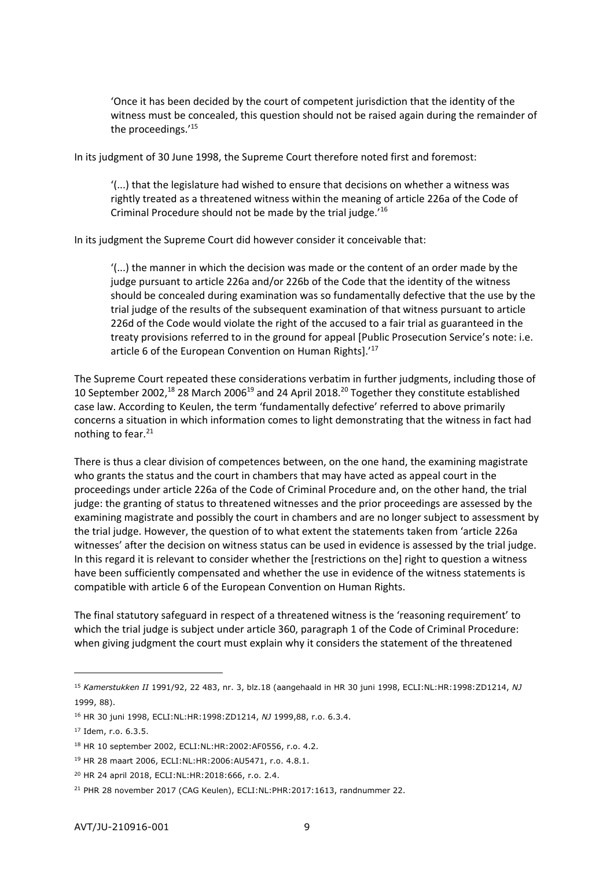'Once it has been decided by the court of competent jurisdiction that the identity of the witness must be concealed, this question should not be raised again during the remainder of the proceedings.'<sup>15</sup>

In its judgment of 30 June 1998, the Supreme Court therefore noted first and foremost:

'(...) that the legislature had wished to ensure that decisions on whether a witness was rightly treated as a threatened witness within the meaning of article 226a of the Code of Criminal Procedure should not be made by the trial judge.<sup>'16</sup>

In its judgment the Supreme Court did however consider it conceivable that:

'(...) the manner in which the decision was made or the content of an order made by the judge pursuant to article 226a and/or 226b of the Code that the identity of the witness should be concealed during examination was so fundamentally defective that the use by the trial judge of the results of the subsequent examination of that witness pursuant to article 226d of the Code would violate the right of the accused to a fair trial as guaranteed in the treaty provisions referred to in the ground for appeal [Public Prosecution Service's note: i.e. article 6 of the European Convention on Human Rights].'<sup>17</sup>

The Supreme Court repeated these considerations verbatim in further judgments, including those of 10 September 2002,<sup>18</sup> 28 March 2006<sup>19</sup> and 24 April 2018.<sup>20</sup> Together they constitute established case law. According to Keulen, the term 'fundamentally defective' referred to above primarily concerns a situation in which information comes to light demonstrating that the witness in fact had nothing to fear.<sup>21</sup>

There is thus a clear division of competences between, on the one hand, the examining magistrate who grants the status and the court in chambers that may have acted as appeal court in the proceedings under article 226a of the Code of Criminal Procedure and, on the other hand, the trial judge: the granting of status to threatened witnesses and the prior proceedings are assessed by the examining magistrate and possibly the court in chambers and are no longer subject to assessment by the trial judge. However, the question of to what extent the statements taken from 'article 226a witnesses' after the decision on witness status can be used in evidence is assessed by the trial judge. In this regard it is relevant to consider whether the [restrictions on the] right to question a witness have been sufficiently compensated and whether the use in evidence of the witness statements is compatible with article 6 of the European Convention on Human Rights.

The final statutory safeguard in respect of a threatened witness is the 'reasoning requirement' to which the trial judge is subject under article 360, paragraph 1 of the Code of Criminal Procedure: when giving judgment the court must explain why it considers the statement of the threatened

<sup>15</sup> *Kamerstukken II* 1991/92, 22 483, nr. 3, blz.18 (aangehaald in HR 30 juni 1998, ECLI:NL:HR:1998:ZD1214, *NJ* 1999, 88).

<sup>16</sup> HR 30 juni 1998, ECLI:NL:HR:1998:ZD1214, *NJ* 1999,88, r.o. 6.3.4.

<sup>17</sup> Idem, r.o. 6.3.5.

<sup>18</sup> HR 10 september 2002, ECLI:NL:HR:2002:AF0556, r.o. 4.2.

<sup>19</sup> HR 28 maart 2006, ECLI:NL:HR:2006:AU5471, r.o. 4.8.1.

<sup>20</sup> HR 24 april 2018, ECLI:NL:HR:2018:666, r.o. 2.4.

<sup>&</sup>lt;sup>21</sup> PHR 28 november 2017 (CAG Keulen), ECLI:NL:PHR:2017:1613, randnummer 22.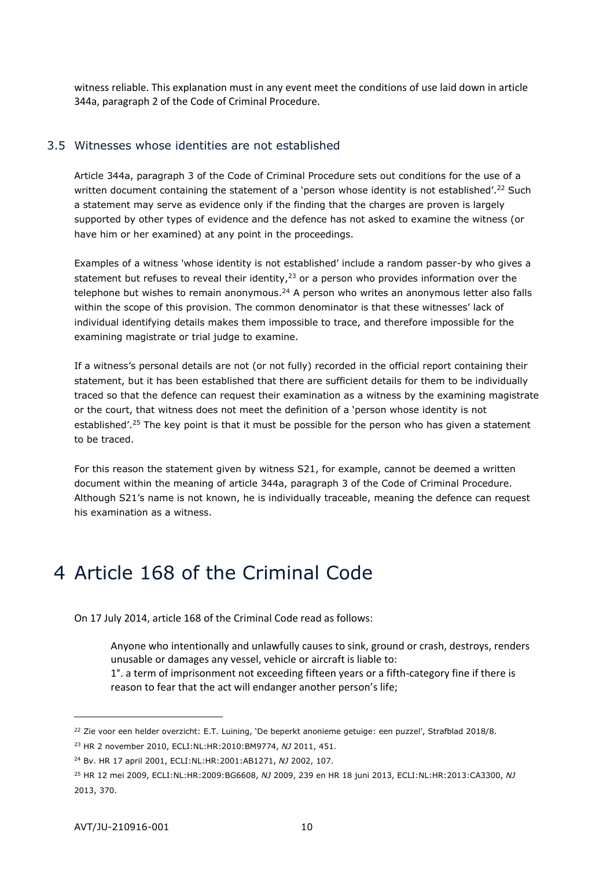<span id="page-9-0"></span>witness reliable. This explanation must in any event meet the conditions of use laid down in article 344a, paragraph 2 of the Code of Criminal Procedure.

#### 3.5 Witnesses whose identities are not established

Article 344a, paragraph 3 of the Code of Criminal Procedure sets out conditions for the use of a written document containing the statement of a 'person whose identity is not established'.<sup>22</sup> Such a statement may serve as evidence only if the finding that the charges are proven is largely supported by other types of evidence and the defence has not asked to examine the witness (or have him or her examined) at any point in the proceedings.

Examples of a witness 'whose identity is not established' include a random passer-by who gives a statement but refuses to reveal their identity, $23$  or a person who provides information over the telephone but wishes to remain anonymous.<sup>24</sup> A person who writes an anonymous letter also falls within the scope of this provision. The common denominator is that these witnesses' lack of individual identifying details makes them impossible to trace, and therefore impossible for the examining magistrate or trial judge to examine.

If a witness's personal details are not (or not fully) recorded in the official report containing their statement, but it has been established that there are sufficient details for them to be individually traced so that the defence can request their examination as a witness by the examining magistrate or the court, that witness does not meet the definition of a 'person whose identity is not established'.<sup>25</sup> The key point is that it must be possible for the person who has given a statement to be traced.

For this reason the statement given by witness S21, for example, cannot be deemed a written document within the meaning of article 344a, paragraph 3 of the Code of Criminal Procedure. Although S21's name is not known, he is individually traceable, meaning the defence can request his examination as a witness.

# <span id="page-9-1"></span>4 Article 168 of the Criminal Code

On 17 July 2014, article 168 of the Criminal Code read as follows:

Anyone who intentionally and unlawfully causes to sink, ground or crash, destroys, renders unusable or damages any vessel, vehicle or aircraft is liable to: 1°. a term of imprisonment not exceeding fifteen years or a fifth-category fine if there is

reason to fear that the act will endanger another person's life;

<sup>&</sup>lt;sup>22</sup> Zie voor een helder overzicht: E.T. Luining, 'De beperkt anonieme getuige: een puzzel', Strafblad 2018/8.

<sup>23</sup> HR 2 november 2010, ECLI:NL:HR:2010:BM9774, *NJ* 2011, 451.

<sup>24</sup> Bv. HR 17 april 2001, ECLI:NL:HR:2001:AB1271, *NJ* 2002, 107.

<sup>25</sup> HR 12 mei 2009, ECLI:NL:HR:2009:BG6608, *NJ* 2009, 239 en HR 18 juni 2013, ECLI:NL:HR:2013:CA3300, *NJ* 2013, 370.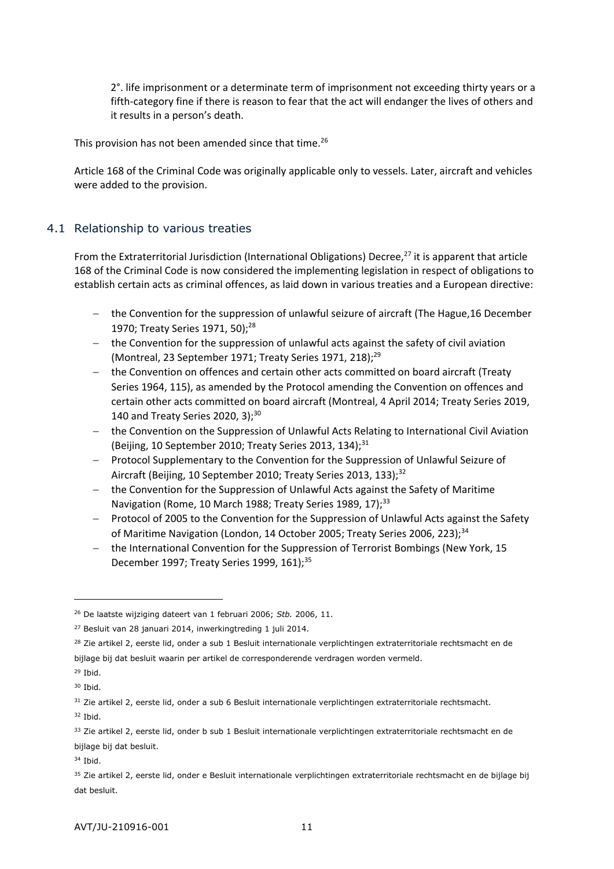2°. life imprisonment or a determinate term of imprisonment not exceeding thirty years or a fifth-category fine if there is reason to fear that the act will endanger the lives of others and it results in a person's death.

This provision has not been amended since that time.<sup>26</sup>

<span id="page-10-0"></span>Article 168 of the Criminal Code was originally applicable only to vessels. Later, aircraft and vehicles were added to the provision.

# 4.1 Relationship to various treaties

From the Extraterritorial Jurisdiction (International Obligations) Decree,<sup>27</sup> it is apparent that article 168 of the Criminal Code is now considered the implementing legislation in respect of obligations to establish certain acts as criminal offences, as laid down in various treaties and a European directive:

- the Convention for the suppression of unlawful seizure of aircraft (The Hague, 16 December 1970; Treaty Series 1971, 50);<sup>28</sup>
- $-$  the Convention for the suppression of unlawful acts against the safety of civil aviation (Montreal, 23 September 1971; Treaty Series 1971, 218); $^{29}$
- the Convention on offences and certain other acts committed on board aircraft (Treaty Series 1964, 115), as amended by the Protocol amending the Convention on offences and certain other acts committed on board aircraft (Montreal, 4 April 2014; Treaty Series 2019, 140 and Treaty Series 2020, 3); $30$
- the Convention on the Suppression of Unlawful Acts Relating to International Civil Aviation (Beijing, 10 September 2010; Treaty Series 2013, 134); $^{31}$
- Protocol Supplementary to the Convention for the Suppression of Unlawful Seizure of Aircraft (Beijing, 10 September 2010; Treaty Series 2013, 133);<sup>32</sup>
- the Convention for the Suppression of Unlawful Acts against the Safety of Maritime Navigation (Rome, 10 March 1988; Treaty Series 1989, 17);<sup>33</sup>
- Protocol of 2005 to the Convention for the Suppression of Unlawful Acts against the Safety of Maritime Navigation (London, 14 October 2005; Treaty Series 2006, 223);<sup>34</sup>
- the International Convention for the Suppression of Terrorist Bombings (New York, 15 December 1997; Treaty Series 1999, 161);<sup>35</sup>

-

<sup>34</sup> Ibid.

<sup>26</sup> De laatste wijziging dateert van 1 februari 2006; *Stb.* 2006, 11.

<sup>&</sup>lt;sup>27</sup> Besluit van 28 januari 2014, inwerkingtreding 1 juli 2014.

<sup>&</sup>lt;sup>28</sup> Zie artikel 2, eerste lid, onder a sub 1 Besluit internationale verplichtingen extraterritoriale rechtsmacht en de bijlage bij dat besluit waarin per artikel de corresponderende verdragen worden vermeld.

 $29$  Ibid.

<sup>30</sup> Ibid.

<sup>&</sup>lt;sup>31</sup> Zie artikel 2, eerste lid, onder a sub 6 Besluit internationale verplichtingen extraterritoriale rechtsmacht.

<sup>32</sup> Ibid.

<sup>33</sup> Zie artikel 2, eerste lid, onder b sub 1 Besluit internationale verplichtingen extraterritoriale rechtsmacht en de bijlage bij dat besluit.

<sup>35</sup> Zie artikel 2, eerste lid, onder e Besluit internationale verplichtingen extraterritoriale rechtsmacht en de bijlage bij dat besluit.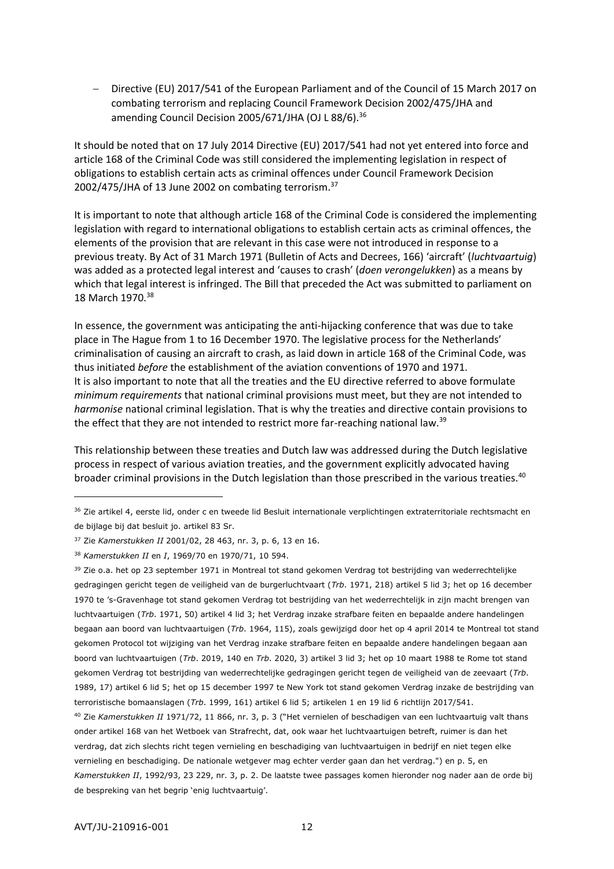Directive (EU) 2017/541 of the European Parliament and of the Council of 15 March 2017 on combating terrorism and replacing Council Framework Decision 2002/475/JHA and amending Council Decision 2005/671/JHA (OJ L 88/6).<sup>36</sup>

It should be noted that on 17 July 2014 Directive (EU) 2017/541 had not yet entered into force and article 168 of the Criminal Code was still considered the implementing legislation in respect of obligations to establish certain acts as criminal offences under Council Framework Decision 2002/475/JHA of 13 June 2002 on combating terrorism.<sup>37</sup>

It is important to note that although article 168 of the Criminal Code is considered the implementing legislation with regard to international obligations to establish certain acts as criminal offences, the elements of the provision that are relevant in this case were not introduced in response to a previous treaty. By Act of 31 March 1971 (Bulletin of Acts and Decrees, 166) 'aircraft' (*luchtvaartuig*) was added as a protected legal interest and 'causes to crash' (*doen verongelukken*) as a means by which that legal interest is infringed. The Bill that preceded the Act was submitted to parliament on 18 March 1970.<sup>38</sup>

In essence, the government was anticipating the anti-hijacking conference that was due to take place in The Hague from 1 to 16 December 1970. The legislative process for the Netherlands' criminalisation of causing an aircraft to crash, as laid down in article 168 of the Criminal Code, was thus initiated *before* the establishment of the aviation conventions of 1970 and 1971. It is also important to note that all the treaties and the EU directive referred to above formulate *minimum requirements* that national criminal provisions must meet, but they are not intended to *harmonise* national criminal legislation. That is why the treaties and directive contain provisions to the effect that they are not intended to restrict more far-reaching national law.<sup>39</sup>

This relationship between these treaties and Dutch law was addressed during the Dutch legislative process in respect of various aviation treaties, and the government explicitly advocated having broader criminal provisions in the Dutch legislation than those prescribed in the various treaties.<sup>40</sup>

<sup>&</sup>lt;sup>36</sup> Zie artikel 4, eerste lid, onder c en tweede lid Besluit internationale verplichtingen extraterritoriale rechtsmacht en de bijlage bij dat besluit jo. artikel 83 Sr.

<sup>37</sup> Zie *Kamerstukken II* 2001/02, 28 463, nr. 3, p. 6, 13 en 16.

<sup>38</sup> *Kamerstukken II* en *I*, 1969/70 en 1970/71, 10 594.

<sup>39</sup> Zie o.a. het op 23 september 1971 in Montreal tot stand gekomen Verdrag tot bestrijding van wederrechtelijke gedragingen gericht tegen de veiligheid van de burgerluchtvaart (*Trb*. 1971, 218) artikel 5 lid 3; het op 16 december 1970 te 's-Gravenhage tot stand gekomen Verdrag tot bestrijding van het wederrechtelijk in zijn macht brengen van luchtvaartuigen (*Trb*. 1971, 50) artikel 4 lid 3; het Verdrag inzake strafbare feiten en bepaalde andere handelingen begaan aan boord van luchtvaartuigen (*Trb*. 1964, 115), zoals gewijzigd door het op 4 april 2014 te Montreal tot stand gekomen Protocol tot wijziging van het Verdrag inzake strafbare feiten en bepaalde andere handelingen begaan aan boord van luchtvaartuigen (*Trb*. 2019, 140 en *Trb*. 2020, 3) artikel 3 lid 3; het op 10 maart 1988 te Rome tot stand gekomen Verdrag tot bestrijding van wederrechtelijke gedragingen gericht tegen de veiligheid van de zeevaart (*Trb*. 1989, 17) artikel 6 lid 5; het op 15 december 1997 te New York tot stand gekomen Verdrag inzake de bestrijding van terroristische bomaanslagen (*Trb*. 1999, 161) artikel 6 lid 5; artikelen 1 en 19 lid 6 richtlijn 2017/541. <sup>40</sup> Zie *Kamerstukken II* 1971/72, 11 866, nr. 3, p. 3 ("Het vernielen of beschadigen van een luchtvaartuig valt thans

onder artikel 168 van het Wetboek van Strafrecht, dat, ook waar het luchtvaartuigen betreft, ruimer is dan het verdrag, dat zich slechts richt tegen vernieling en beschadiging van luchtvaartuigen in bedrijf en niet tegen elke vernieling en beschadiging. De nationale wetgever mag echter verder gaan dan het verdrag.") en p. 5, en *Kamerstukken II*, 1992/93, 23 229, nr. 3, p. 2. De laatste twee passages komen hieronder nog nader aan de orde bij de bespreking van het begrip 'enig luchtvaartuig'.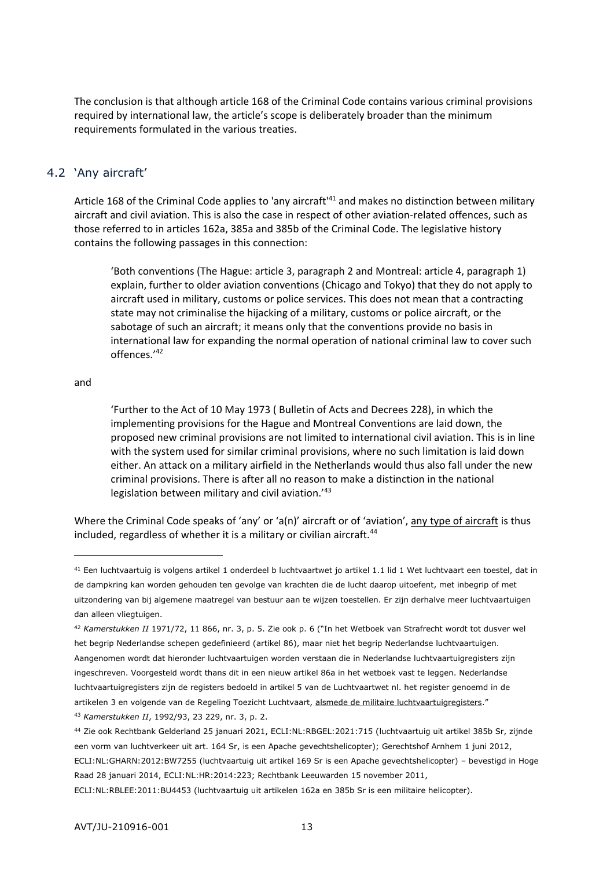The conclusion is that although article 168 of the Criminal Code contains various criminal provisions required by international law, the article's scope is deliberately broader than the minimum requirements formulated in the various treaties.

## <span id="page-12-0"></span>4.2 'Any aircraft'

Article 168 of the Criminal Code applies to 'any aircraft'<sup>41</sup> and makes no distinction between military aircraft and civil aviation. This is also the case in respect of other aviation-related offences, such as those referred to in articles 162a, 385a and 385b of the Criminal Code. The legislative history contains the following passages in this connection:

'Both conventions (The Hague: article 3, paragraph 2 and Montreal: article 4, paragraph 1) explain, further to older aviation conventions (Chicago and Tokyo) that they do not apply to aircraft used in military, customs or police services. This does not mean that a contracting state may not criminalise the hijacking of a military, customs or police aircraft, or the sabotage of such an aircraft; it means only that the conventions provide no basis in international law for expanding the normal operation of national criminal law to cover such offences.'<sup>42</sup>

#### and

-

'Further to the Act of 10 May 1973 ( Bulletin of Acts and Decrees 228), in which the implementing provisions for the Hague and Montreal Conventions are laid down, the proposed new criminal provisions are not limited to international civil aviation. This is in line with the system used for similar criminal provisions, where no such limitation is laid down either. An attack on a military airfield in the Netherlands would thus also fall under the new criminal provisions. There is after all no reason to make a distinction in the national legislation between military and civil aviation.<sup>'43</sup>

Where the Criminal Code speaks of 'any' or 'a(n)' aircraft or of 'aviation', any type of aircraft is thus included, regardless of whether it is a military or civilian aircraft.<sup>44</sup>

ECLI:NL:RBLEE:2011:BU4453 (luchtvaartuig uit artikelen 162a en 385b Sr is een militaire helicopter).

<sup>41</sup> Een luchtvaartuig is volgens artikel 1 onderdeel b luchtvaartwet jo artikel 1.1 lid 1 Wet luchtvaart een toestel, dat in de dampkring kan worden gehouden ten gevolge van krachten die de lucht daarop uitoefent, met inbegrip of met uitzondering van bij algemene maatregel van bestuur aan te wijzen toestellen. Er zijn derhalve meer luchtvaartuigen dan alleen vliegtuigen.

<sup>42</sup> *Kamerstukken II* 1971/72, 11 866, nr. 3, p. 5. Zie ook p. 6 ("In het Wetboek van Strafrecht wordt tot dusver wel het begrip Nederlandse schepen gedefinieerd (artikel 86), maar niet het begrip Nederlandse luchtvaartuigen. Aangenomen wordt dat hieronder luchtvaartuigen worden verstaan die in Nederlandse luchtvaartuigregisters zijn ingeschreven. Voorgesteld wordt thans dit in een nieuw artikel 86a in het wetboek vast te leggen. Nederlandse luchtvaartuigregisters zijn de registers bedoeld in artikel 5 van de Luchtvaartwet nl. het register genoemd in de artikelen 3 en volgende van de Regeling Toezicht Luchtvaart, alsmede de militaire luchtvaartuigregisters." <sup>43</sup> *Kamerstukken II*, 1992/93, 23 229, nr. 3, p. 2.

<sup>44</sup> Zie ook Rechtbank Gelderland 25 januari 2021, ECLI:NL:RBGEL:2021:715 (luchtvaartuig uit artikel 385b Sr, zijnde een vorm van luchtverkeer uit art. 164 Sr, is een Apache gevechtshelicopter); Gerechtshof Arnhem 1 juni 2012, ECLI:NL:GHARN:2012:BW7255 (luchtvaartuig uit artikel 169 Sr is een Apache gevechtshelicopter) – bevestigd in Hoge Raad 28 januari 2014, ECLI:NL:HR:2014:223; Rechtbank Leeuwarden 15 november 2011,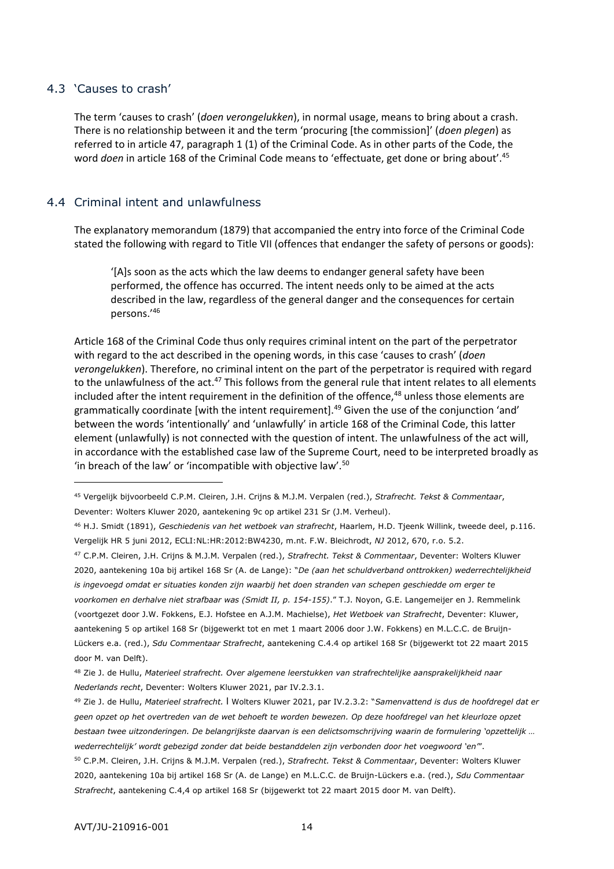## <span id="page-13-0"></span>4.3 'Causes to crash'

-

The term 'causes to crash' (*doen verongelukken*), in normal usage, means to bring about a crash. There is no relationship between it and the term 'procuring [the commission]' (*doen plegen*) as referred to in article 47, paragraph 1 (1) of the Criminal Code. As in other parts of the Code, the word *doen* in article 168 of the Criminal Code means to 'effectuate, get done or bring about'.<sup>45</sup>

## <span id="page-13-1"></span>4.4 Criminal intent and unlawfulness

The explanatory memorandum (1879) that accompanied the entry into force of the Criminal Code stated the following with regard to Title VII (offences that endanger the safety of persons or goods):

'[A]s soon as the acts which the law deems to endanger general safety have been performed, the offence has occurred. The intent needs only to be aimed at the acts described in the law, regardless of the general danger and the consequences for certain persons.'<sup>46</sup>

Article 168 of the Criminal Code thus only requires criminal intent on the part of the perpetrator with regard to the act described in the opening words, in this case 'causes to crash' (*doen verongelukken*). Therefore, no criminal intent on the part of the perpetrator is required with regard to the unlawfulness of the act.<sup>47</sup> This follows from the general rule that intent relates to all elements included after the intent requirement in the definition of the offence,<sup>48</sup> unless those elements are grammatically coordinate [with the intent requirement].<sup>49</sup> Given the use of the conjunction 'and' between the words 'intentionally' and 'unlawfully' in article 168 of the Criminal Code, this latter element (unlawfully) is not connected with the question of intent. The unlawfulness of the act will, in accordance with the established case law of the Supreme Court, need to be interpreted broadly as 'in breach of the law' or 'incompatible with objective law'.<sup>50</sup>

<sup>45</sup> Vergelijk bijvoorbeeld C.P.M. Cleiren, J.H. Crijns & M.J.M. Verpalen (red.), *Strafrecht. Tekst & Commentaar*, Deventer: Wolters Kluwer 2020, aantekening 9c op artikel 231 Sr (J.M. Verheul).

<sup>46</sup> H.J. Smidt (1891), *Geschiedenis van het wetboek van strafrecht*, Haarlem, H.D. Tjeenk Willink, tweede deel, p.116. Vergelijk HR 5 juni 2012, ECLI:NL:HR:2012:BW4230, m.nt. F.W. Bleichrodt, *NJ* 2012, 670, r.o. 5.2.

<sup>47</sup> C.P.M. Cleiren, J.H. Crijns & M.J.M. Verpalen (red.), *Strafrecht. Tekst & Commentaar*, Deventer: Wolters Kluwer 2020, aantekening 10a bij artikel 168 Sr (A. de Lange): "*De (aan het schuldverband onttrokken) wederrechtelijkheid is ingevoegd omdat er situaties konden zijn waarbij het doen stranden van schepen geschiedde om erger te voorkomen en derhalve niet strafbaar was (Smidt II, p. 154-155)*." T.J. Noyon, G.E. Langemeijer en J. Remmelink (voortgezet door J.W. Fokkens, E.J. Hofstee en A.J.M. Machielse), *Het Wetboek van Strafrecht*, Deventer: Kluwer, aantekening 5 op artikel 168 Sr (bijgewerkt tot en met 1 maart 2006 door J.W. Fokkens) en M.L.C.C. de Bruijn-Lückers e.a. (red.), *Sdu Commentaar Strafrecht*, aantekening C.4.4 op artikel 168 Sr (bijgewerkt tot 22 maart 2015 door M. van Delft).

<sup>48</sup> Zie J. de Hullu, *Materieel strafrecht. Over algemene leerstukken van strafrechtelijke aansprakelijkheid naar Nederlands recht*, Deventer: Wolters Kluwer 2021, par IV.2.3.1.

<sup>49</sup> Zie J. de Hullu, *Materieel strafrecht.* l Wolters Kluwer 2021, par IV.2.3.2: "*Samenvattend is dus de hoofdregel dat er geen opzet op het overtreden van de wet behoeft te worden bewezen. Op deze hoofdregel van het kleurloze opzet bestaan twee uitzonderingen. De belangrijkste daarvan is een delictsomschrijving waarin de formulering 'opzettelijk … wederrechtelijk' wordt gebezigd zonder dat beide bestanddelen zijn verbonden door het voegwoord 'en'*". <sup>50</sup> C.P.M. Cleiren, J.H. Crijns & M.J.M. Verpalen (red.), *Strafrecht. Tekst & Commentaar*, Deventer: Wolters Kluwer 2020, aantekening 10a bij artikel 168 Sr (A. de Lange) en M.L.C.C. de Bruijn-Lückers e.a. (red.), *Sdu Commentaar Strafrecht*, aantekening C.4,4 op artikel 168 Sr (bijgewerkt tot 22 maart 2015 door M. van Delft).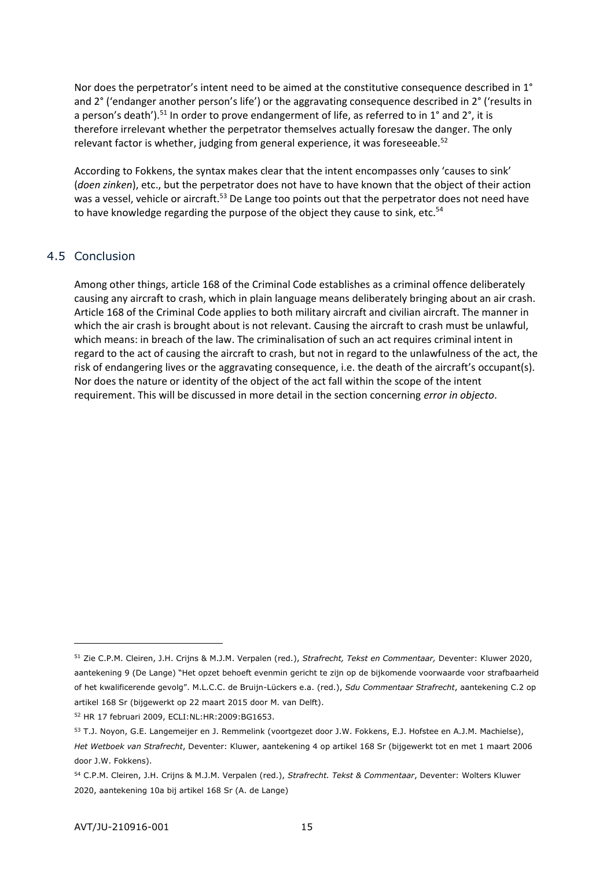Nor does the perpetrator's intent need to be aimed at the constitutive consequence described in 1° and 2° ('endanger another person's life') or the aggravating consequence described in 2° ('results in a person's death').<sup>51</sup> In order to prove endangerment of life, as referred to in 1° and 2°, it is therefore irrelevant whether the perpetrator themselves actually foresaw the danger. The only relevant factor is whether, judging from general experience, it was foreseeable.<sup>52</sup>

According to Fokkens, the syntax makes clear that the intent encompasses only 'causes to sink' (*doen zinken*), etc., but the perpetrator does not have to have known that the object of their action was a vessel, vehicle or aircraft.<sup>53</sup> De Lange too points out that the perpetrator does not need have to have knowledge regarding the purpose of the object they cause to sink, etc.<sup>54</sup>

## <span id="page-14-0"></span>4.5 Conclusion

Among other things, article 168 of the Criminal Code establishes as a criminal offence deliberately causing any aircraft to crash, which in plain language means deliberately bringing about an air crash. Article 168 of the Criminal Code applies to both military aircraft and civilian aircraft. The manner in which the air crash is brought about is not relevant. Causing the aircraft to crash must be unlawful, which means: in breach of the law. The criminalisation of such an act requires criminal intent in regard to the act of causing the aircraft to crash, but not in regard to the unlawfulness of the act, the risk of endangering lives or the aggravating consequence, i.e. the death of the aircraft's occupant(s). Nor does the nature or identity of the object of the act fall within the scope of the intent requirement. This will be discussed in more detail in the section concerning *error in objecto*.

<sup>51</sup> Zie C.P.M. Cleiren, J.H. Crijns & M.J.M. Verpalen (red.), *Strafrecht, Tekst en Commentaar,* Deventer: Kluwer 2020, aantekening 9 (De Lange) "Het opzet behoeft evenmin gericht te zijn op de bijkomende voorwaarde voor strafbaarheid of het kwalificerende gevolg". M.L.C.C. de Bruijn-Lückers e.a. (red.), *Sdu Commentaar Strafrecht*, aantekening C.2 op artikel 168 Sr (bijgewerkt op 22 maart 2015 door M. van Delft).

<sup>52</sup> HR 17 februari 2009, ECLI:NL:HR:2009:BG1653.

<sup>53</sup> T.J. Noyon, G.E. Langemeijer en J. Remmelink (voortgezet door J.W. Fokkens, E.J. Hofstee en A.J.M. Machielse), *Het Wetboek van Strafrecht*, Deventer: Kluwer, aantekening 4 op artikel 168 Sr (bijgewerkt tot en met 1 maart 2006 door J.W. Fokkens).

<sup>54</sup> C.P.M. Cleiren, J.H. Crijns & M.J.M. Verpalen (red.), *Strafrecht. Tekst & Commentaar*, Deventer: Wolters Kluwer 2020, aantekening 10a bij artikel 168 Sr (A. de Lange)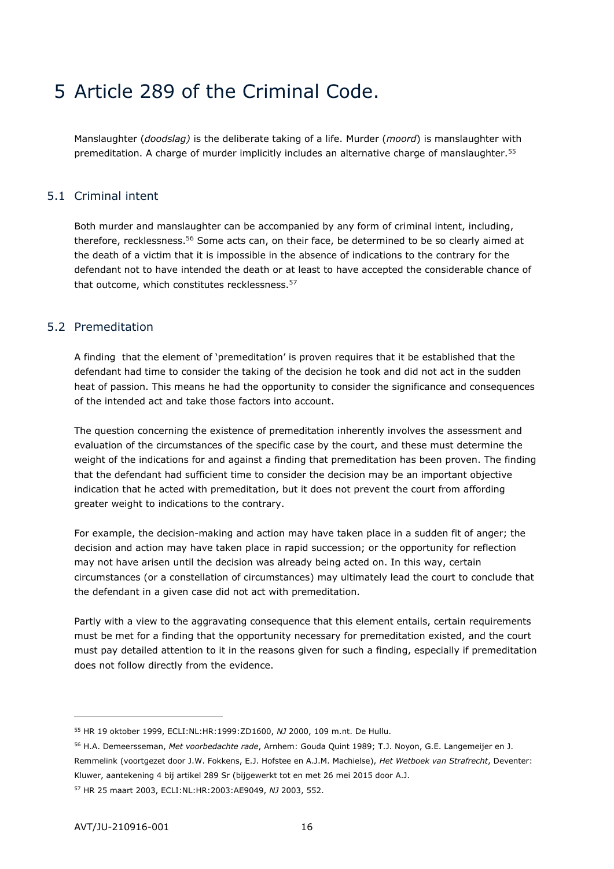# <span id="page-15-0"></span>5 Article 289 of the Criminal Code.

<span id="page-15-1"></span>Manslaughter (*doodslag)* is the deliberate taking of a life. Murder (*moord*) is manslaughter with premeditation. A charge of murder implicitly includes an alternative charge of manslaughter.<sup>55</sup>

## 5.1 Criminal intent

Both murder and manslaughter can be accompanied by any form of criminal intent, including, therefore, recklessness.<sup>56</sup> Some acts can, on their face, be determined to be so clearly aimed at the death of a victim that it is impossible in the absence of indications to the contrary for the defendant not to have intended the death or at least to have accepted the considerable chance of that outcome, which constitutes recklessness.<sup>57</sup>

## <span id="page-15-2"></span>5.2 Premeditation

A finding that the element of 'premeditation' is proven requires that it be established that the defendant had time to consider the taking of the decision he took and did not act in the sudden heat of passion. This means he had the opportunity to consider the significance and consequences of the intended act and take those factors into account.

The question concerning the existence of premeditation inherently involves the assessment and evaluation of the circumstances of the specific case by the court, and these must determine the weight of the indications for and against a finding that premeditation has been proven. The finding that the defendant had sufficient time to consider the decision may be an important objective indication that he acted with premeditation, but it does not prevent the court from affording greater weight to indications to the contrary.

For example, the decision-making and action may have taken place in a sudden fit of anger; the decision and action may have taken place in rapid succession; or the opportunity for reflection may not have arisen until the decision was already being acted on. In this way, certain circumstances (or a constellation of circumstances) may ultimately lead the court to conclude that the defendant in a given case did not act with premeditation.

Partly with a view to the aggravating consequence that this element entails, certain requirements must be met for a finding that the opportunity necessary for premeditation existed, and the court must pay detailed attention to it in the reasons given for such a finding, especially if premeditation does not follow directly from the evidence.

<sup>57</sup> HR 25 maart 2003, ECLI:NL:HR:2003:AE9049, *NJ* 2003, 552.

<sup>55</sup> HR 19 oktober 1999, ECLI:NL:HR:1999:ZD1600, *NJ* 2000, 109 m.nt. De Hullu.

<sup>56</sup> H.A. Demeersseman, *Met voorbedachte rade*, Arnhem: Gouda Quint 1989; T.J. Noyon, G.E. Langemeijer en J. Remmelink (voortgezet door J.W. Fokkens, E.J. Hofstee en A.J.M. Machielse), *Het Wetboek van Strafrecht*, Deventer: Kluwer, aantekening 4 bij artikel 289 Sr (bijgewerkt tot en met 26 mei 2015 door A.J.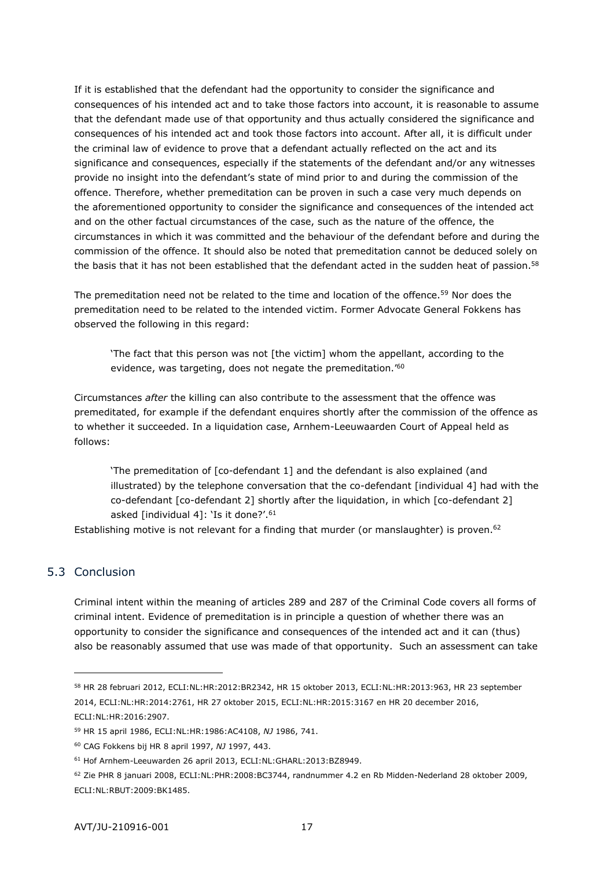If it is established that the defendant had the opportunity to consider the significance and consequences of his intended act and to take those factors into account, it is reasonable to assume that the defendant made use of that opportunity and thus actually considered the significance and consequences of his intended act and took those factors into account. After all, it is difficult under the criminal law of evidence to prove that a defendant actually reflected on the act and its significance and consequences, especially if the statements of the defendant and/or any witnesses provide no insight into the defendant's state of mind prior to and during the commission of the offence. Therefore, whether premeditation can be proven in such a case very much depends on the aforementioned opportunity to consider the significance and consequences of the intended act and on the other factual circumstances of the case, such as the nature of the offence, the circumstances in which it was committed and the behaviour of the defendant before and during the commission of the offence. It should also be noted that premeditation cannot be deduced solely on the basis that it has not been established that the defendant acted in the sudden heat of passion.<sup>58</sup>

The premeditation need not be related to the time and location of the offence.<sup>59</sup> Nor does the premeditation need to be related to the intended victim. Former Advocate General Fokkens has observed the following in this regard:

'The fact that this person was not [the victim] whom the appellant, according to the evidence, was targeting, does not negate the premeditation.<sup>'60</sup>

Circumstances *after* the killing can also contribute to the assessment that the offence was premeditated, for example if the defendant enquires shortly after the commission of the offence as to whether it succeeded. In a liquidation case, Arnhem-Leeuwaarden Court of Appeal held as follows:

'The premeditation of [co-defendant 1] and the defendant is also explained (and illustrated) by the telephone conversation that the co-defendant [individual 4] had with the co-defendant [co-defendant 2] shortly after the liquidation, in which [co-defendant 2] asked [individual 4]: 'Is it done?'.<sup>61</sup>

<span id="page-16-0"></span>Establishing motive is not relevant for a finding that murder (or manslaughter) is proven. $62$ 

# 5.3 Conclusion

-

Criminal intent within the meaning of articles 289 and 287 of the Criminal Code covers all forms of criminal intent. Evidence of premeditation is in principle a question of whether there was an opportunity to consider the significance and consequences of the intended act and it can (thus) also be reasonably assumed that use was made of that opportunity. Such an assessment can take

<sup>58</sup> HR 28 februari 2012, ECLI:NL:HR:2012:BR2342, HR 15 oktober 2013, ECLI:NL:HR:2013:963, HR 23 september 2014, ECLI:NL:HR:2014:2761, HR 27 oktober 2015, ECLI:NL:HR:2015:3167 en HR 20 december 2016, ECLI:NL:HR:2016:2907.

<sup>59</sup> HR 15 april 1986, ECLI:NL:HR:1986:AC4108, *NJ* 1986, 741.

<sup>60</sup> CAG Fokkens bij HR 8 april 1997, *NJ* 1997, 443.

<sup>61</sup> Hof Arnhem-Leeuwarden 26 april 2013, ECLI:NL:GHARL:2013:BZ8949.

<sup>62</sup> Zie PHR 8 januari 2008, ECLI:NL:PHR:2008:BC3744, randnummer 4.2 en Rb Midden-Nederland 28 oktober 2009, ECLI:NL:RBUT:2009:BK1485.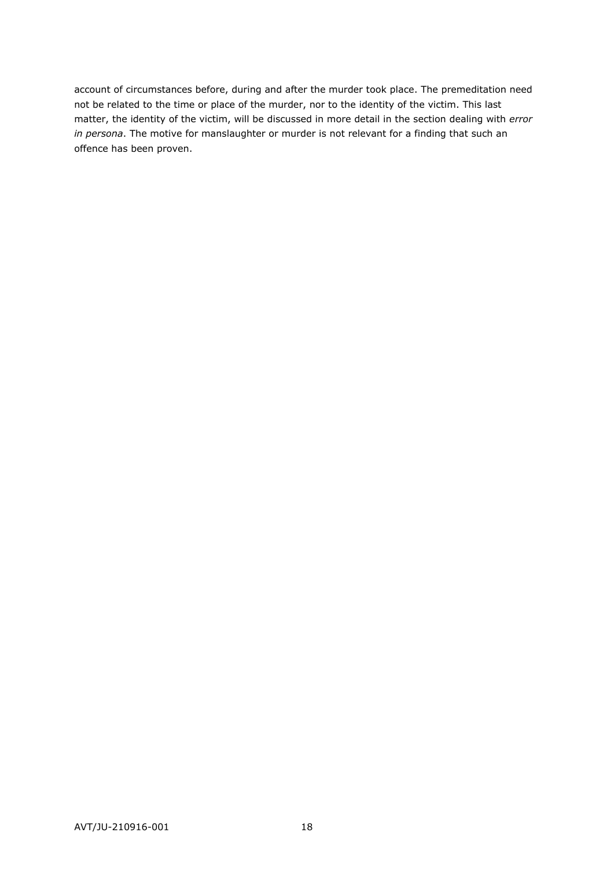account of circumstances before, during and after the murder took place. The premeditation need not be related to the time or place of the murder, nor to the identity of the victim. This last matter, the identity of the victim, will be discussed in more detail in the section dealing with *error in persona*. The motive for manslaughter or murder is not relevant for a finding that such an offence has been proven.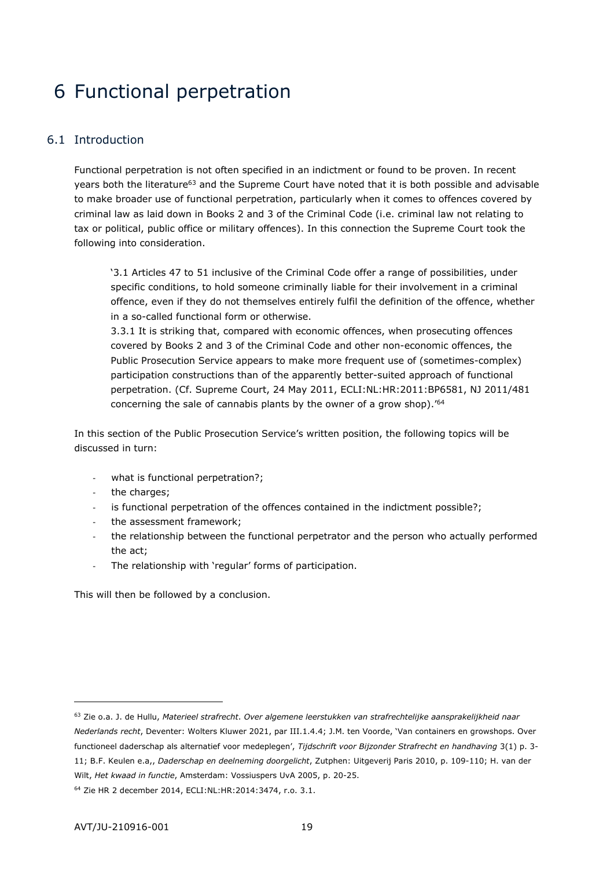# <span id="page-18-0"></span>6 Functional perpetration

# <span id="page-18-1"></span>6.1 Introduction

Functional perpetration is not often specified in an indictment or found to be proven. In recent years both the literature<sup>63</sup> and the Supreme Court have noted that it is both possible and advisable to make broader use of functional perpetration, particularly when it comes to offences covered by criminal law as laid down in Books 2 and 3 of the Criminal Code (i.e. criminal law not relating to tax or political, public office or military offences). In this connection the Supreme Court took the following into consideration.

'3.1 Articles 47 to 51 inclusive of the Criminal Code offer a range of possibilities, under specific conditions, to hold someone criminally liable for their involvement in a criminal offence, even if they do not themselves entirely fulfil the definition of the offence, whether in a so-called functional form or otherwise.

3.3.1 It is striking that, compared with economic offences, when prosecuting offences covered by Books 2 and 3 of the Criminal Code and other non-economic offences, the Public Prosecution Service appears to make more frequent use of (sometimes-complex) participation constructions than of the apparently better-suited approach of functional perpetration. (Cf. Supreme Court, 24 May 2011, ECLI:NL:HR:2011:BP6581, NJ 2011/481 concerning the sale of cannabis plants by the owner of a grow shop).'<sup>64</sup>

In this section of the Public Prosecution Service's written position, the following topics will be discussed in turn:

- what is functional perpetration?;
- the charges;
- is functional perpetration of the offences contained in the indictment possible?;
- the assessment framework;
- the relationship between the functional perpetrator and the person who actually performed the act;
- The relationship with 'regular' forms of participation.

This will then be followed by a conclusion.

<sup>63</sup> Zie o.a. J. de Hullu, *Materieel strafrecht*. *Over algemene leerstukken van strafrechtelijke aansprakelijkheid naar Nederlands recht*, Deventer: Wolters Kluwer 2021, par III.1.4.4; J.M. ten Voorde, 'Van containers en growshops. Over functioneel daderschap als alternatief voor medeplegen', *Tijdschrift voor Bijzonder Strafrecht en handhaving* 3(1) p. 3- 11; B.F. Keulen e.a,, *Daderschap en deelneming doorgelicht*, Zutphen: Uitgeverij Paris 2010, p. 109-110; H. van der Wilt, *Het kwaad in functie*, Amsterdam: Vossiuspers UvA 2005, p. 20-25.

<sup>64</sup> Zie HR 2 december 2014, ECLI:NL:HR:2014:3474, r.o. 3.1.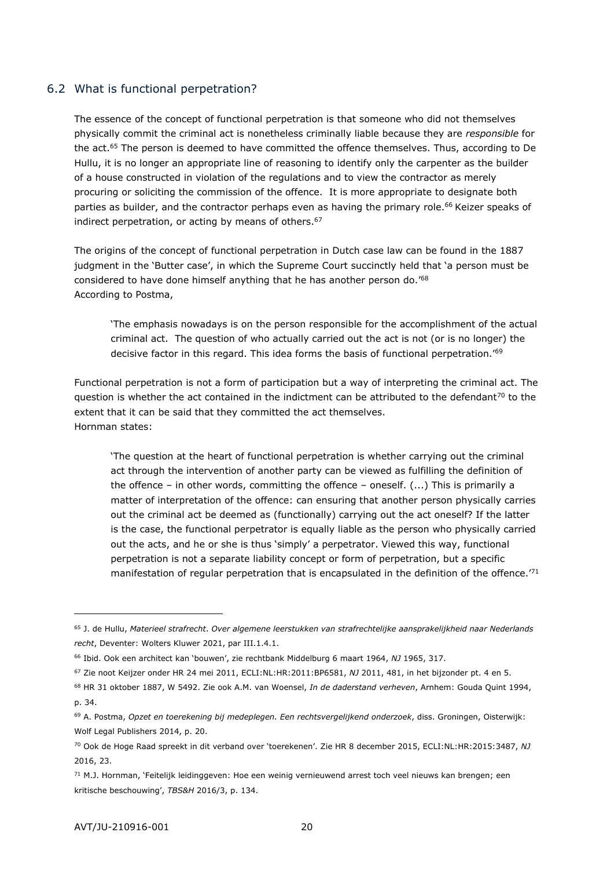## <span id="page-19-0"></span>6.2 What is functional perpetration?

The essence of the concept of functional perpetration is that someone who did not themselves physically commit the criminal act is nonetheless criminally liable because they are *responsible* for the act.<sup>65</sup> The person is deemed to have committed the offence themselves. Thus, according to De Hullu, it is no longer an appropriate line of reasoning to identify only the carpenter as the builder of a house constructed in violation of the regulations and to view the contractor as merely procuring or soliciting the commission of the offence. It is more appropriate to designate both parties as builder, and the contractor perhaps even as having the primary role.<sup>66</sup> Keizer speaks of indirect perpetration, or acting by means of others.<sup>67</sup>

The origins of the concept of functional perpetration in Dutch case law can be found in the 1887 judgment in the 'Butter case', in which the Supreme Court succinctly held that 'a person must be considered to have done himself anything that he has another person do.'<sup>68</sup> According to Postma,

'The emphasis nowadays is on the person responsible for the accomplishment of the actual criminal act. The question of who actually carried out the act is not (or is no longer) the decisive factor in this regard. This idea forms the basis of functional perpetration.'<sup>69</sup>

Functional perpetration is not a form of participation but a way of interpreting the criminal act. The question is whether the act contained in the indictment can be attributed to the defendant<sup>70</sup> to the extent that it can be said that they committed the act themselves. Hornman states:

'The question at the heart of functional perpetration is whether carrying out the criminal act through the intervention of another party can be viewed as fulfilling the definition of the offence – in other words, committing the offence – oneself. (...) This is primarily a matter of interpretation of the offence: can ensuring that another person physically carries out the criminal act be deemed as (functionally) carrying out the act oneself? If the latter is the case, the functional perpetrator is equally liable as the person who physically carried out the acts, and he or she is thus 'simply' a perpetrator. Viewed this way, functional perpetration is not a separate liability concept or form of perpetration, but a specific manifestation of regular perpetration that is encapsulated in the definition of the offence.<sup>'71</sup>

<sup>65</sup> J. de Hullu, *Materieel strafrecht*. *Over algemene leerstukken van strafrechtelijke aansprakelijkheid naar Nederlands recht*, Deventer: Wolters Kluwer 2021, par III.1.4.1.

<sup>66</sup> Ibid. Ook een architect kan 'bouwen', zie rechtbank Middelburg 6 maart 1964, *NJ* 1965, 317.

<sup>67</sup> Zie noot Keijzer onder HR 24 mei 2011, ECLI:NL:HR:2011:BP6581, *NJ* 2011, 481, in het bijzonder pt. 4 en 5.

<sup>68</sup> HR 31 oktober 1887, W 5492. Zie ook A.M. van Woensel, *In de daderstand verheven*, Arnhem: Gouda Quint 1994, p. 34.

<sup>69</sup> A. Postma, *Opzet en toerekening bij medeplegen. Een rechtsvergelijkend onderzoek*, diss. Groningen, Oisterwijk: Wolf Legal Publishers 2014, p. 20.

<sup>70</sup> Ook de Hoge Raad spreekt in dit verband over 'toerekenen'. Zie HR 8 december 2015, ECLI:NL:HR:2015:3487, *NJ* 2016, 23.

<sup>71</sup> M.J. Hornman, 'Feitelijk leidinggeven: Hoe een weinig vernieuwend arrest toch veel nieuws kan brengen; een kritische beschouwing', *TBS&H* 2016/3, p. 134.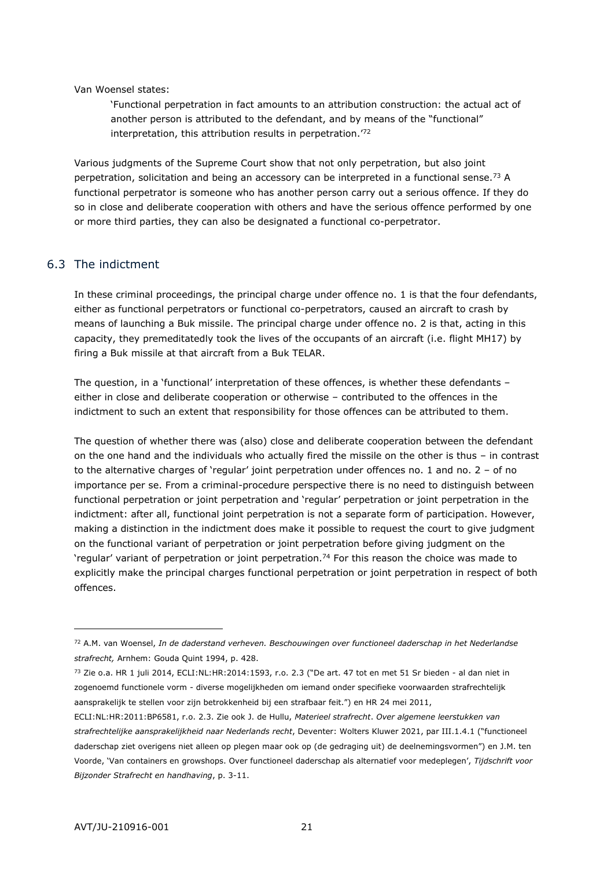Van Woensel states:

'Functional perpetration in fact amounts to an attribution construction: the actual act of another person is attributed to the defendant, and by means of the "functional" interpretation, this attribution results in perpetration.<sup>72</sup>

Various judgments of the Supreme Court show that not only perpetration, but also joint perpetration, solicitation and being an accessory can be interpreted in a functional sense.<sup>73</sup> A functional perpetrator is someone who has another person carry out a serious offence. If they do so in close and deliberate cooperation with others and have the serious offence performed by one or more third parties, they can also be designated a functional co-perpetrator.

#### <span id="page-20-0"></span>6.3 The indictment

In these criminal proceedings, the principal charge under offence no. 1 is that the four defendants, either as functional perpetrators or functional co-perpetrators, caused an aircraft to crash by means of launching a Buk missile. The principal charge under offence no. 2 is that, acting in this capacity, they premeditatedly took the lives of the occupants of an aircraft (i.e. flight MH17) by firing a Buk missile at that aircraft from a Buk TELAR.

The question, in a 'functional' interpretation of these offences, is whether these defendants – either in close and deliberate cooperation or otherwise – contributed to the offences in the indictment to such an extent that responsibility for those offences can be attributed to them.

The question of whether there was (also) close and deliberate cooperation between the defendant on the one hand and the individuals who actually fired the missile on the other is thus – in contrast to the alternative charges of 'regular' joint perpetration under offences no. 1 and no. 2 – of no importance per se. From a criminal-procedure perspective there is no need to distinguish between functional perpetration or joint perpetration and 'regular' perpetration or joint perpetration in the indictment: after all, functional joint perpetration is not a separate form of participation. However, making a distinction in the indictment does make it possible to request the court to give judgment on the functional variant of perpetration or joint perpetration before giving judgment on the 'regular' variant of perpetration or joint perpetration.<sup>74</sup> For this reason the choice was made to explicitly make the principal charges functional perpetration or joint perpetration in respect of both offences.

<sup>72</sup> A.M. van Woensel, *In de daderstand verheven. Beschouwingen over functioneel daderschap in het Nederlandse strafrecht,* Arnhem: Gouda Quint 1994, p. 428.

<sup>73</sup> Zie o.a. HR 1 juli 2014, ECLI:NL:HR:2014:1593, r.o. 2.3 ("De art. 47 tot en met 51 Sr bieden - al dan niet in zogenoemd functionele vorm - diverse mogelijkheden om iemand onder specifieke voorwaarden strafrechtelijk aansprakelijk te stellen voor zijn betrokkenheid bij een strafbaar feit.") en HR 24 mei 2011,

ECLI:NL:HR:2011:BP6581, r.o. 2.3. Zie ook J. de Hullu, *Materieel strafrecht*. *Over algemene leerstukken van strafrechtelijke aansprakelijkheid naar Nederlands recht*, Deventer: Wolters Kluwer 2021, par III.1.4.1 ("functioneel daderschap ziet overigens niet alleen op plegen maar ook op (de gedraging uit) de deelnemingsvormen") en J.M. ten Voorde, 'Van containers en growshops. Over functioneel daderschap als alternatief voor medeplegen', *Tijdschrift voor Bijzonder Strafrecht en handhaving*, p. 3-11.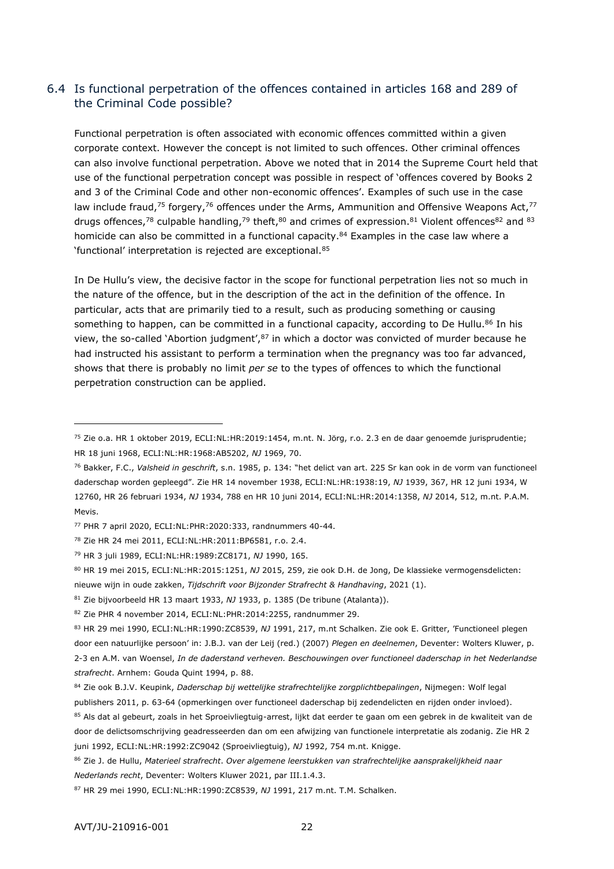# <span id="page-21-0"></span>6.4 Is functional perpetration of the offences contained in articles 168 and 289 of the Criminal Code possible?

Functional perpetration is often associated with economic offences committed within a given corporate context. However the concept is not limited to such offences. Other criminal offences can also involve functional perpetration. Above we noted that in 2014 the Supreme Court held that use of the functional perpetration concept was possible in respect of 'offences covered by Books 2 and 3 of the Criminal Code and other non-economic offences'. Examples of such use in the case law include fraud,<sup>75</sup> forgery,<sup>76</sup> offences under the Arms, Ammunition and Offensive Weapons Act,<sup>77</sup> drugs offences,<sup>78</sup> culpable handling,<sup>79</sup> theft,<sup>80</sup> and crimes of expression.<sup>81</sup> Violent offences<sup>82</sup> and <sup>83</sup> homicide can also be committed in a functional capacity.<sup>84</sup> Examples in the case law where a 'functional' interpretation is rejected are exceptional.<sup>85</sup>

In De Hullu's view, the decisive factor in the scope for functional perpetration lies not so much in the nature of the offence, but in the description of the act in the definition of the offence. In particular, acts that are primarily tied to a result, such as producing something or causing something to happen, can be committed in a functional capacity, according to De Hullu.<sup>86</sup> In his view, the so-called 'Abortion judgment',  $87$  in which a doctor was convicted of murder because he had instructed his assistant to perform a termination when the pregnancy was too far advanced, shows that there is probably no limit *per se* to the types of offences to which the functional perpetration construction can be applied.

<sup>75</sup> Zie o.a. HR 1 oktober 2019, ECLI:NL:HR:2019:1454, m.nt. N. Jörg, r.o. 2.3 en de daar genoemde jurisprudentie; HR 18 juni 1968, ECLI:NL:HR:1968:AB5202, *NJ* 1969, 70.

<sup>76</sup> Bakker, F.C., *Valsheid in geschrift*, s.n. 1985, p. 134: "het delict van art. 225 Sr kan ook in de vorm van functioneel daderschap worden gepleegd". Zie HR 14 november 1938, ECLI:NL:HR:1938:19, *NJ* 1939, 367, HR 12 juni 1934, W 12760, HR 26 februari 1934, *NJ* 1934, 788 en HR 10 juni 2014, ECLI:NL:HR:2014:1358, *NJ* 2014, 512, m.nt. P.A.M. Mevis.

<sup>77</sup> PHR 7 april 2020, ECLI:NL:PHR:2020:333, randnummers 40-44.

<sup>78</sup> Zie HR 24 mei 2011, ECLI:NL:HR:2011:BP6581, r.o. 2.4.

<sup>79</sup> HR 3 juli 1989, ECLI:NL:HR:1989:ZC8171, *NJ* 1990, 165.

<sup>80</sup> HR 19 mei 2015, ECLI:NL:HR:2015:1251, *NJ* 2015, 259, zie ook D.H. de Jong, De klassieke vermogensdelicten: nieuwe wijn in oude zakken, *Tijdschrift voor Bijzonder Strafrecht & Handhaving*, 2021 (1).

<sup>81</sup> Zie bijvoorbeeld HR 13 maart 1933, *NJ* 1933, p. 1385 (De tribune (Atalanta)).

<sup>82</sup> Zie PHR 4 november 2014, ECLI:NL:PHR:2014:2255, randnummer 29.

<sup>83</sup> HR 29 mei 1990, ECLI:NL:HR:1990:ZC8539, *NJ* 1991, 217, m.nt Schalken. Zie ook E. Gritter, 'Functioneel plegen door een natuurlijke persoon' in: J.B.J. van der Leij (red.) (2007) *Plegen en deelnemen*, Deventer: Wolters Kluwer, p. 2-3 en A.M. van Woensel, *In de daderstand verheven. Beschouwingen over functioneel daderschap in het Nederlandse strafrecht*. Arnhem: Gouda Quint 1994, p. 88.

<sup>84</sup> Zie ook B.J.V. Keupink, *Daderschap bij wettelijke strafrechtelijke zorgplichtbepalingen*, Nijmegen: Wolf legal publishers 2011, p. 63-64 (opmerkingen over functioneel daderschap bij zedendelicten en rijden onder invloed).

<sup>85</sup> Als dat al gebeurt, zoals in het Sproeivliegtuig-arrest, lijkt dat eerder te gaan om een gebrek in de kwaliteit van de door de delictsomschrijving geadresseerden dan om een afwijzing van functionele interpretatie als zodanig. Zie HR 2 juni 1992, ECLI:NL:HR:1992:ZC9042 (Sproeivliegtuig), *NJ* 1992, 754 m.nt. Knigge.

<sup>86</sup> Zie J. de Hullu, *Materieel strafrecht*. *Over algemene leerstukken van strafrechtelijke aansprakelijkheid naar Nederlands recht*, Deventer: Wolters Kluwer 2021, par III.1.4.3.

<sup>87</sup> HR 29 mei 1990, ECLI:NL:HR:1990:ZC8539, *NJ* 1991, 217 m.nt. T.M. Schalken.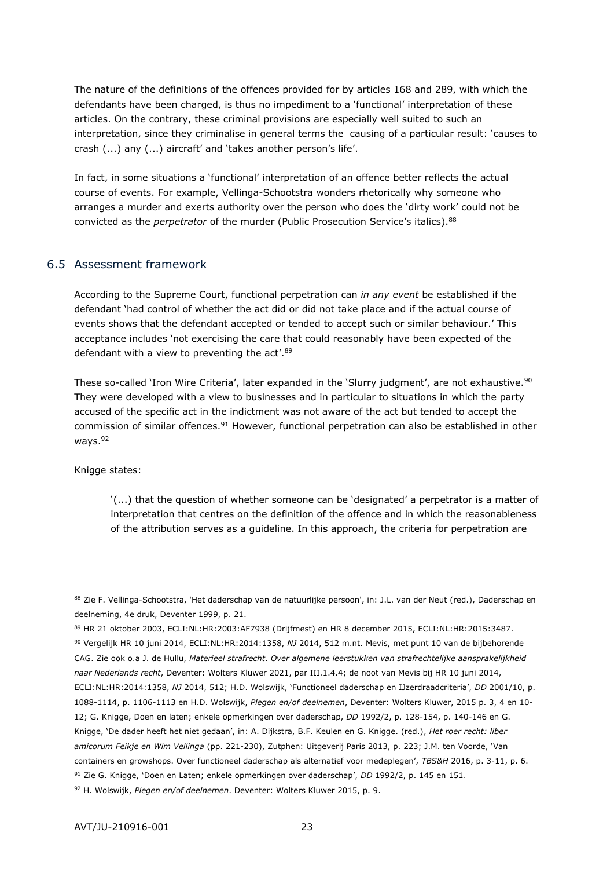The nature of the definitions of the offences provided for by articles 168 and 289, with which the defendants have been charged, is thus no impediment to a 'functional' interpretation of these articles. On the contrary, these criminal provisions are especially well suited to such an interpretation, since they criminalise in general terms the causing of a particular result: 'causes to crash (...) any (...) aircraft' and 'takes another person's life'.

In fact, in some situations a 'functional' interpretation of an offence better reflects the actual course of events. For example, Vellinga-Schootstra wonders rhetorically why someone who arranges a murder and exerts authority over the person who does the 'dirty work' could not be convicted as the *perpetrator* of the murder (Public Prosecution Service's italics).<sup>88</sup>

#### <span id="page-22-0"></span>6.5 Assessment framework

According to the Supreme Court, functional perpetration can *in any event* be established if the defendant 'had control of whether the act did or did not take place and if the actual course of events shows that the defendant accepted or tended to accept such or similar behaviour.' This acceptance includes 'not exercising the care that could reasonably have been expected of the defendant with a view to preventing the act'.<sup>89</sup>

These so-called 'Iron Wire Criteria', later expanded in the 'Slurry judgment', are not exhaustive.<sup>90</sup> They were developed with a view to businesses and in particular to situations in which the party accused of the specific act in the indictment was not aware of the act but tended to accept the commission of similar offences.<sup>91</sup> However, functional perpetration can also be established in other ways.<sup>92</sup>

Knigge states:

-

'(...) that the question of whether someone can be 'designated' a perpetrator is a matter of interpretation that centres on the definition of the offence and in which the reasonableness of the attribution serves as a guideline. In this approach, the criteria for perpetration are

<sup>90</sup> Vergelijk HR 10 juni 2014, ECLI:NL:HR:2014:1358, *NJ* 2014, 512 m.nt. Mevis, met punt 10 van de bijbehorende CAG. Zie ook o.a J. de Hullu, *Materieel strafrecht*. *Over algemene leerstukken van strafrechtelijke aansprakelijkheid naar Nederlands recht*, Deventer: Wolters Kluwer 2021, par III.1.4.4; de noot van Mevis bij HR 10 juni 2014, ECLI:NL:HR:2014:1358, *NJ* 2014, 512; H.D. Wolswijk, 'Functioneel daderschap en IJzerdraadcriteria', *DD* 2001/10, p. 1088-1114, p. 1106-1113 en H.D. Wolswijk, *Plegen en/of deelnemen*, Deventer: Wolters Kluwer, 2015 p. 3, 4 en 10- 12; G. Knigge, Doen en laten; enkele opmerkingen over daderschap, *DD* 1992/2, p. 128-154, p. 140-146 en G. Knigge, 'De dader heeft het niet gedaan', in: A. Dijkstra, B.F. Keulen en G. Knigge. (red.), *Het roer recht: liber amicorum Feikje en Wim Vellinga* (pp. 221-230), Zutphen: Uitgeverij Paris 2013, p. 223; J.M. ten Voorde, 'Van containers en growshops. Over functioneel daderschap als alternatief voor medeplegen', *TBS&H* 2016, p. 3-11, p. 6. <sup>91</sup> Zie G. Knigge, 'Doen en Laten; enkele opmerkingen over daderschap', *DD* 1992/2, p. 145 en 151. <sup>92</sup> H. Wolswijk, *Plegen en/of deelnemen*. Deventer: Wolters Kluwer 2015, p. 9.

<sup>88</sup> Zie F. Vellinga-Schootstra, 'Het daderschap van de natuurlijke persoon', in: J.L. van der Neut (red.), Daderschap en deelneming, 4e druk, Deventer 1999, p. 21.

<sup>89</sup> HR 21 oktober 2003, ECLI:NL:HR:2003:AF7938 (Drijfmest) en HR 8 december 2015, ECLI:NL:HR:2015:3487.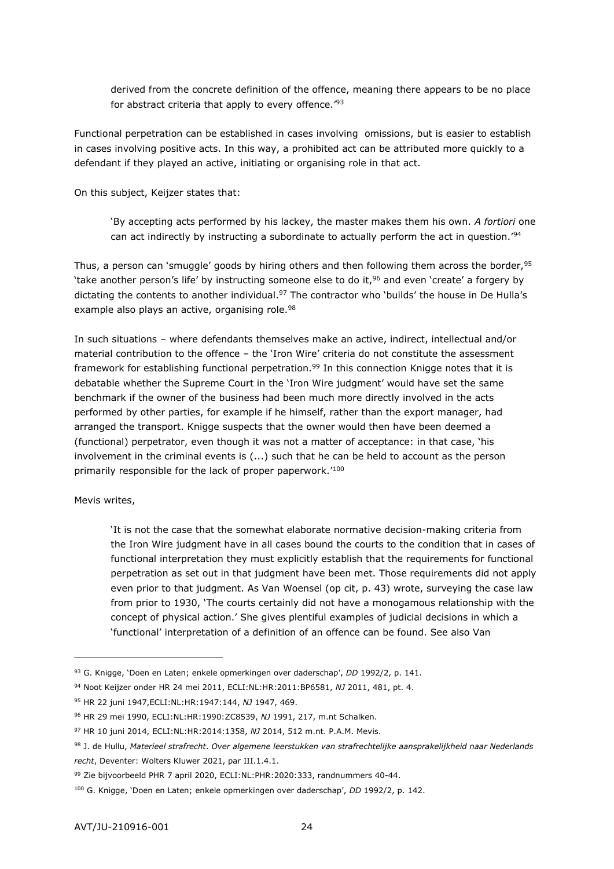derived from the concrete definition of the offence, meaning there appears to be no place for abstract criteria that apply to every offence.<sup>'93</sup>

Functional perpetration can be established in cases involving omissions, but is easier to establish in cases involving positive acts. In this way, a prohibited act can be attributed more quickly to a defendant if they played an active, initiating or organising role in that act.

On this subject, Keijzer states that:

'By accepting acts performed by his lackey, the master makes them his own. *A fortiori* one can act indirectly by instructing a subordinate to actually perform the act in question.<sup>'94</sup>

Thus, a person can 'smuggle' goods by hiring others and then following them across the border, 95 'take another person's life' by instructing someone else to do it,<sup>96</sup> and even 'create' a forgery by dictating the contents to another individual.<sup>97</sup> The contractor who 'builds' the house in De Hulla's example also plays an active, organising role.<sup>98</sup>

In such situations – where defendants themselves make an active, indirect, intellectual and/or material contribution to the offence – the 'Iron Wire' criteria do not constitute the assessment framework for establishing functional perpetration.<sup>99</sup> In this connection Knigge notes that it is debatable whether the Supreme Court in the 'Iron Wire judgment' would have set the same benchmark if the owner of the business had been much more directly involved in the acts performed by other parties, for example if he himself, rather than the export manager, had arranged the transport. Knigge suspects that the owner would then have been deemed a (functional) perpetrator, even though it was not a matter of acceptance: in that case, 'his involvement in the criminal events is (...) such that he can be held to account as the person primarily responsible for the lack of proper paperwork.'<sup>100</sup>

Mevis writes,

-

'It is not the case that the somewhat elaborate normative decision-making criteria from the Iron Wire judgment have in all cases bound the courts to the condition that in cases of functional interpretation they must explicitly establish that the requirements for functional perpetration as set out in that judgment have been met. Those requirements did not apply even prior to that judgment. As Van Woensel (op cit, p. 43) wrote, surveying the case law from prior to 1930, 'The courts certainly did not have a monogamous relationship with the concept of physical action.' She gives plentiful examples of judicial decisions in which a 'functional' interpretation of a definition of an offence can be found. See also Van

<sup>93</sup> G. Knigge, 'Doen en Laten; enkele opmerkingen over daderschap', *DD* 1992/2, p. 141.

<sup>94</sup> Noot Keijzer onder HR 24 mei 2011, ECLI:NL:HR:2011:BP6581, *NJ* 2011, 481, pt. 4.

<sup>95</sup> HR 22 juni 1947,ECLI:NL:HR:1947:144, *NJ* 1947, 469.

<sup>96</sup> HR 29 mei 1990, ECLI:NL:HR:1990:ZC8539, *NJ* 1991, 217, m.nt Schalken.

<sup>97</sup> HR 10 juni 2014, ECLI:NL:HR:2014:1358, *NJ* 2014, 512 m.nt. P.A.M. Mevis.

<sup>98</sup> J. de Hullu, *Materieel strafrecht*. *Over algemene leerstukken van strafrechtelijke aansprakelijkheid naar Nederlands recht*, Deventer: Wolters Kluwer 2021, par III.1.4.1.

<sup>99</sup> Zie bijvoorbeeld PHR 7 april 2020, ECLI:NL:PHR:2020:333, randnummers 40-44.

<sup>100</sup> G. Knigge, 'Doen en Laten; enkele opmerkingen over daderschap', *DD* 1992/2, p. 142.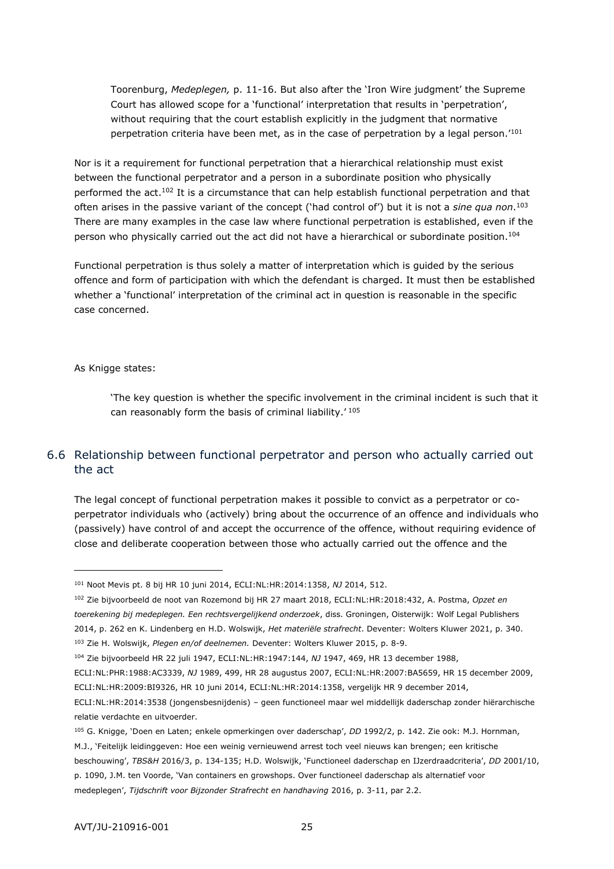Toorenburg, *Medeplegen,* p. 11-16. But also after the 'Iron Wire judgment' the Supreme Court has allowed scope for a 'functional' interpretation that results in 'perpetration', without requiring that the court establish explicitly in the judgment that normative perpetration criteria have been met, as in the case of perpetration by a legal person.'<sup>101</sup>

Nor is it a requirement for functional perpetration that a hierarchical relationship must exist between the functional perpetrator and a person in a subordinate position who physically performed the act.<sup>102</sup> It is a circumstance that can help establish functional perpetration and that often arises in the passive variant of the concept ('had control of') but it is not a *sine qua non*. 103 There are many examples in the case law where functional perpetration is established, even if the person who physically carried out the act did not have a hierarchical or subordinate position.<sup>104</sup>

Functional perpetration is thus solely a matter of interpretation which is guided by the serious offence and form of participation with which the defendant is charged. It must then be established whether a 'functional' interpretation of the criminal act in question is reasonable in the specific case concerned.

#### As Knigge states:

-

'The key question is whether the specific involvement in the criminal incident is such that it can reasonably form the basis of criminal liability.' <sup>105</sup>

# <span id="page-24-0"></span>6.6 Relationship between functional perpetrator and person who actually carried out the act

The legal concept of functional perpetration makes it possible to convict as a perpetrator or coperpetrator individuals who (actively) bring about the occurrence of an offence and individuals who (passively) have control of and accept the occurrence of the offence, without requiring evidence of close and deliberate cooperation between those who actually carried out the offence and the

<sup>102</sup> Zie bijvoorbeeld de noot van Rozemond bij HR 27 maart 2018, ECLI:NL:HR:2018:432, A. Postma, *Opzet en toerekening bij medeplegen. Een rechtsvergelijkend onderzoek*, diss. Groningen, Oisterwijk: Wolf Legal Publishers 2014, p. 262 en K. Lindenberg en H.D. Wolswijk, *Het materiële strafrecht*. Deventer: Wolters Kluwer 2021, p. 340. <sup>103</sup> Zie H. Wolswijk, *Plegen en/of deelnemen.* Deventer: Wolters Kluwer 2015, p. 8-9.

ECLI:NL:PHR:1988:AC3339, *NJ* 1989, 499, HR 28 augustus 2007, ECLI:NL:HR:2007:BA5659, HR 15 december 2009, ECLI:NL:HR:2009:BI9326, HR 10 juni 2014, ECLI:NL:HR:2014:1358, vergelijk HR 9 december 2014,

medeplegen', *Tijdschrift voor Bijzonder Strafrecht en handhaving* 2016, p. 3-11, par 2.2.

<sup>101</sup> Noot Mevis pt. 8 bij HR 10 juni 2014, ECLI:NL:HR:2014:1358, *NJ* 2014, 512.

<sup>104</sup> Zie bijvoorbeeld HR 22 juli 1947, ECLI:NL:HR:1947:144, *NJ* 1947, 469, HR 13 december 1988,

ECLI:NL:HR:2014:3538 (jongensbesnijdenis) – geen functioneel maar wel middellijk daderschap zonder hiërarchische relatie verdachte en uitvoerder.

<sup>105</sup> G. Knigge, 'Doen en Laten; enkele opmerkingen over daderschap', *DD* 1992/2, p. 142. Zie ook: M.J. Hornman,

M.J., 'Feitelijk leidinggeven: Hoe een weinig vernieuwend arrest toch veel nieuws kan brengen; een kritische beschouwing', *TBS&H* 2016/3, p. 134-135; H.D. Wolswijk, 'Functioneel daderschap en IJzerdraadcriteria', *DD* 2001/10, p. 1090, J.M. ten Voorde, 'Van containers en growshops. Over functioneel daderschap als alternatief voor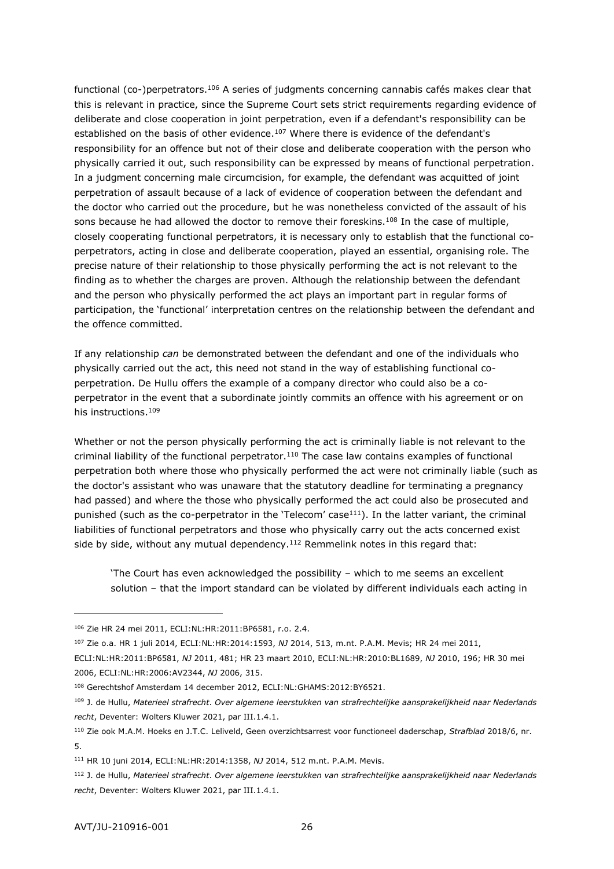functional (co-)perpetrators.<sup>106</sup> A series of judgments concerning cannabis cafés makes clear that this is relevant in practice, since the Supreme Court sets strict requirements regarding evidence of deliberate and close cooperation in joint perpetration, even if a defendant's responsibility can be established on the basis of other evidence.<sup>107</sup> Where there is evidence of the defendant's responsibility for an offence but not of their close and deliberate cooperation with the person who physically carried it out, such responsibility can be expressed by means of functional perpetration. In a judgment concerning male circumcision, for example, the defendant was acquitted of joint perpetration of assault because of a lack of evidence of cooperation between the defendant and the doctor who carried out the procedure, but he was nonetheless convicted of the assault of his sons because he had allowed the doctor to remove their foreskins.<sup>108</sup> In the case of multiple, closely cooperating functional perpetrators, it is necessary only to establish that the functional coperpetrators, acting in close and deliberate cooperation, played an essential, organising role. The precise nature of their relationship to those physically performing the act is not relevant to the finding as to whether the charges are proven. Although the relationship between the defendant and the person who physically performed the act plays an important part in regular forms of participation, the 'functional' interpretation centres on the relationship between the defendant and the offence committed.

If any relationship *can* be demonstrated between the defendant and one of the individuals who physically carried out the act, this need not stand in the way of establishing functional coperpetration. De Hullu offers the example of a company director who could also be a coperpetrator in the event that a subordinate jointly commits an offence with his agreement or on his instructions.<sup>109</sup>

Whether or not the person physically performing the act is criminally liable is not relevant to the criminal liability of the functional perpetrator.<sup>110</sup> The case law contains examples of functional perpetration both where those who physically performed the act were not criminally liable (such as the doctor's assistant who was unaware that the statutory deadline for terminating a pregnancy had passed) and where the those who physically performed the act could also be prosecuted and punished (such as the co-perpetrator in the 'Telecom' case $111$ ). In the latter variant, the criminal liabilities of functional perpetrators and those who physically carry out the acts concerned exist side by side, without any mutual dependency.<sup>112</sup> Remmelink notes in this regard that:

'The Court has even acknowledged the possibility – which to me seems an excellent solution – that the import standard can be violated by different individuals each acting in

<sup>106</sup> Zie HR 24 mei 2011, ECLI:NL:HR:2011:BP6581, r.o. 2.4.

<sup>107</sup> Zie o.a. HR 1 juli 2014, ECLI:NL:HR:2014:1593, *NJ* 2014, 513, m.nt. P.A.M. Mevis; HR 24 mei 2011,

ECLI:NL:HR:2011:BP6581, *NJ* 2011, 481; HR 23 maart 2010, ECLI:NL:HR:2010:BL1689, *NJ* 2010, 196; HR 30 mei 2006, ECLI:NL:HR:2006:AV2344, *NJ* 2006, 315.

<sup>108</sup> Gerechtshof Amsterdam 14 december 2012, ECLI:NL:GHAMS:2012:BY6521.

<sup>109</sup> J. de Hullu, *Materieel strafrecht*. *Over algemene leerstukken van strafrechtelijke aansprakelijkheid naar Nederlands recht*, Deventer: Wolters Kluwer 2021, par III.1.4.1.

<sup>110</sup> Zie ook M.A.M. Hoeks en J.T.C. Leliveld, Geen overzichtsarrest voor functioneel daderschap, *Strafblad* 2018/6, nr. 5.

<sup>111</sup> HR 10 juni 2014, ECLI:NL:HR:2014:1358, *NJ* 2014, 512 m.nt. P.A.M. Mevis.

<sup>112</sup> J. de Hullu, *Materieel strafrecht*. *Over algemene leerstukken van strafrechtelijke aansprakelijkheid naar Nederlands recht*, Deventer: Wolters Kluwer 2021, par III.1.4.1.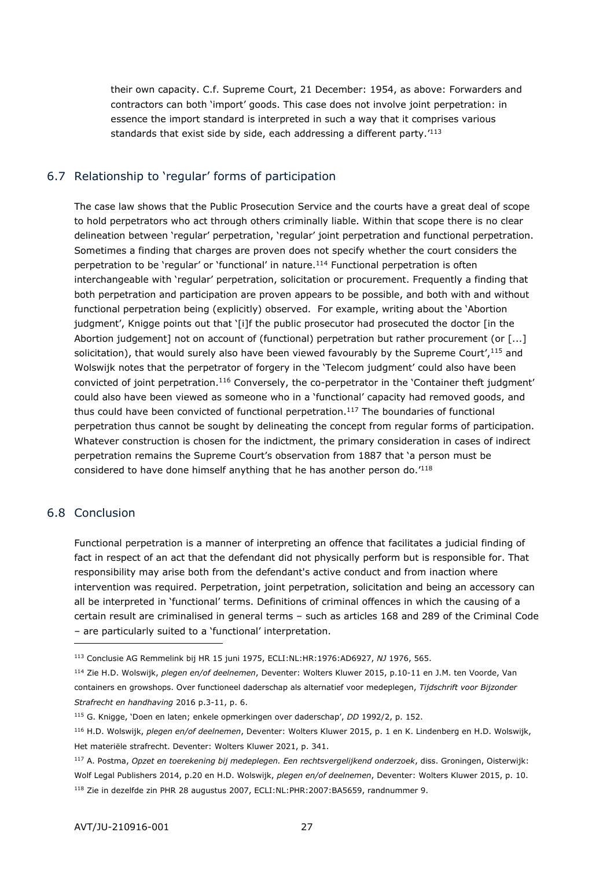their own capacity. C.f. Supreme Court, 21 December: 1954, as above: Forwarders and contractors can both 'import' goods. This case does not involve joint perpetration: in essence the import standard is interpreted in such a way that it comprises various standards that exist side by side, each addressing a different party.'<sup>113</sup>

## <span id="page-26-0"></span>6.7 Relationship to 'regular' forms of participation

The case law shows that the Public Prosecution Service and the courts have a great deal of scope to hold perpetrators who act through others criminally liable. Within that scope there is no clear delineation between 'regular' perpetration, 'regular' joint perpetration and functional perpetration. Sometimes a finding that charges are proven does not specify whether the court considers the perpetration to be 'regular' or 'functional' in nature.<sup>114</sup> Functional perpetration is often interchangeable with 'regular' perpetration, solicitation or procurement. Frequently a finding that both perpetration and participation are proven appears to be possible, and both with and without functional perpetration being (explicitly) observed. For example, writing about the 'Abortion judgment', Knigge points out that '[i]f the public prosecutor had prosecuted the doctor [in the Abortion judgement] not on account of (functional) perpetration but rather procurement (or [...] solicitation), that would surely also have been viewed favourably by the Supreme Court',  $115$  and Wolswijk notes that the perpetrator of forgery in the 'Telecom judgment' could also have been convicted of joint perpetration.<sup>116</sup> Conversely, the co-perpetrator in the 'Container theft judgment' could also have been viewed as someone who in a 'functional' capacity had removed goods, and thus could have been convicted of functional perpetration.<sup>117</sup> The boundaries of functional perpetration thus cannot be sought by delineating the concept from regular forms of participation. Whatever construction is chosen for the indictment, the primary consideration in cases of indirect perpetration remains the Supreme Court's observation from 1887 that 'a person must be considered to have done himself anything that he has another person do.'<sup>118</sup>

# <span id="page-26-1"></span>6.8 Conclusion

-

Functional perpetration is a manner of interpreting an offence that facilitates a judicial finding of fact in respect of an act that the defendant did not physically perform but is responsible for. That responsibility may arise both from the defendant's active conduct and from inaction where intervention was required. Perpetration, joint perpetration, solicitation and being an accessory can all be interpreted in 'functional' terms. Definitions of criminal offences in which the causing of a certain result are criminalised in general terms – such as articles 168 and 289 of the Criminal Code – are particularly suited to a 'functional' interpretation.

<sup>113</sup> Conclusie AG Remmelink bij HR 15 juni 1975, ECLI:NL:HR:1976:AD6927, *NJ* 1976, 565.

<sup>114</sup> Zie H.D. Wolswijk, *plegen en/of deelnemen*, Deventer: Wolters Kluwer 2015, p.10-11 en J.M. ten Voorde, Van containers en growshops. Over functioneel daderschap als alternatief voor medeplegen, *Tijdschrift voor Bijzonder Strafrecht en handhaving* 2016 p.3-11, p. 6.

<sup>115</sup> G. Knigge, 'Doen en laten; enkele opmerkingen over daderschap', *DD* 1992/2, p. 152.

<sup>116</sup> H.D. Wolswijk, *plegen en/of deelnemen*, Deventer: Wolters Kluwer 2015, p. 1 en K. Lindenberg en H.D. Wolswijk, Het materiële strafrecht. Deventer: Wolters Kluwer 2021, p. 341.

<sup>117</sup> A. Postma, *Opzet en toerekening bij medeplegen. Een rechtsvergelijkend onderzoek*, diss. Groningen, Oisterwijk: Wolf Legal Publishers 2014, p.20 en H.D. Wolswijk, *plegen en/of deelnemen*, Deventer: Wolters Kluwer 2015, p. 10. <sup>118</sup> Zie in dezelfde zin PHR 28 augustus 2007, ECLI:NL:PHR:2007:BA5659, randnummer 9.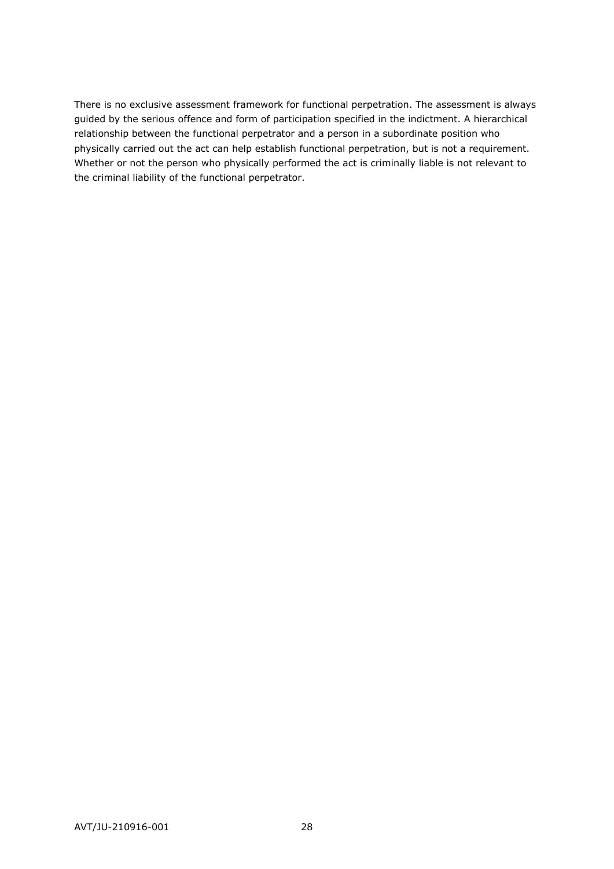<span id="page-27-0"></span>There is no exclusive assessment framework for functional perpetration. The assessment is always guided by the serious offence and form of participation specified in the indictment. A hierarchical relationship between the functional perpetrator and a person in a subordinate position who physically carried out the act can help establish functional perpetration, but is not a requirement. Whether or not the person who physically performed the act is criminally liable is not relevant to the criminal liability of the functional perpetrator.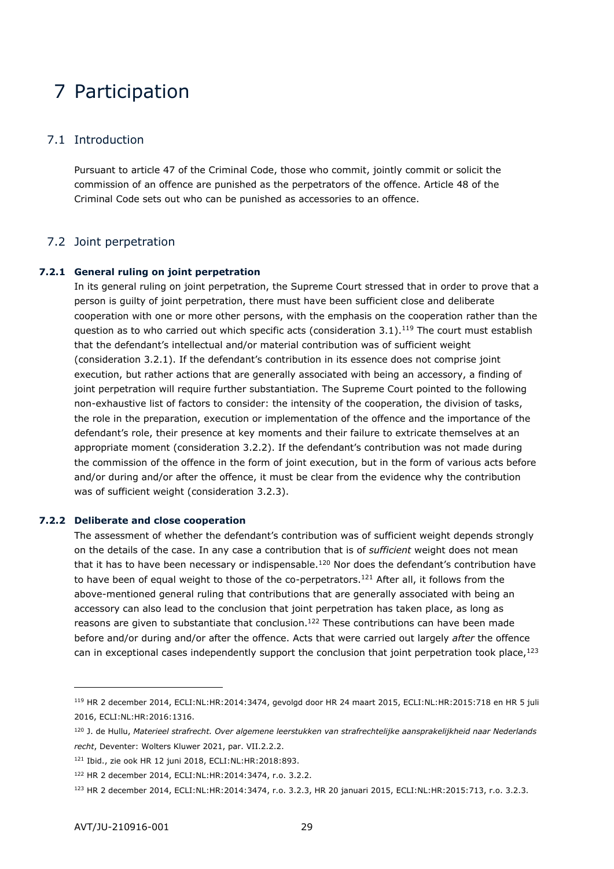# 7 Participation

#### <span id="page-28-0"></span>7.1 Introduction

<span id="page-28-1"></span>Pursuant to article 47 of the Criminal Code, those who commit, jointly commit or solicit the commission of an offence are punished as the perpetrators of the offence. Article 48 of the Criminal Code sets out who can be punished as accessories to an offence.

## 7.2 Joint perpetration

#### **7.2.1 General ruling on joint perpetration**

<span id="page-28-2"></span>In its general ruling on joint perpetration, the Supreme Court stressed that in order to prove that a person is guilty of joint perpetration, there must have been sufficient close and deliberate cooperation with one or more other persons, with the emphasis on the cooperation rather than the question as to who carried out which specific acts (consideration  $3.1$ ).<sup>119</sup> The court must establish that the defendant's intellectual and/or material contribution was of sufficient weight (consideration 3.2.1). If the defendant's contribution in its essence does not comprise joint execution, but rather actions that are generally associated with being an accessory, a finding of joint perpetration will require further substantiation. The Supreme Court pointed to the following non-exhaustive list of factors to consider: the intensity of the cooperation, the division of tasks, the role in the preparation, execution or implementation of the offence and the importance of the defendant's role, their presence at key moments and their failure to extricate themselves at an appropriate moment (consideration 3.2.2). If the defendant's contribution was not made during the commission of the offence in the form of joint execution, but in the form of various acts before and/or during and/or after the offence, it must be clear from the evidence why the contribution was of sufficient weight (consideration 3.2.3).

#### **7.2.2 Deliberate and close cooperation**

<span id="page-28-3"></span>The assessment of whether the defendant's contribution was of sufficient weight depends strongly on the details of the case. In any case a contribution that is of *sufficient* weight does not mean that it has to have been necessary or indispensable.<sup>120</sup> Nor does the defendant's contribution have to have been of equal weight to those of the co-perpetrators.<sup>121</sup> After all, it follows from the above-mentioned general ruling that contributions that are generally associated with being an accessory can also lead to the conclusion that joint perpetration has taken place, as long as reasons are given to substantiate that conclusion.<sup>122</sup> These contributions can have been made before and/or during and/or after the offence. Acts that were carried out largely *after* the offence can in exceptional cases independently support the conclusion that joint perpetration took place, $123$ 

<sup>119</sup> HR 2 december 2014, ECLI:NL:HR:2014:3474, gevolgd door HR 24 maart 2015, ECLI:NL:HR:2015:718 en HR 5 juli 2016, ECLI:NL:HR:2016:1316.

<sup>120</sup> J. de Hullu, *Materieel strafrecht. Over algemene leerstukken van strafrechtelijke aansprakelijkheid naar Nederlands recht*, Deventer: Wolters Kluwer 2021, par. VII.2.2.2.

<sup>121</sup> Ibid., zie ook HR 12 juni 2018, ECLI:NL:HR:2018:893.

<sup>122</sup> HR 2 december 2014, ECLI:NL:HR:2014:3474, r.o. 3.2.2.

<sup>123</sup> HR 2 december 2014, ECLI:NL:HR:2014:3474, r.o. 3.2.3, HR 20 januari 2015, ECLI:NL:HR:2015:713, r.o. 3.2.3.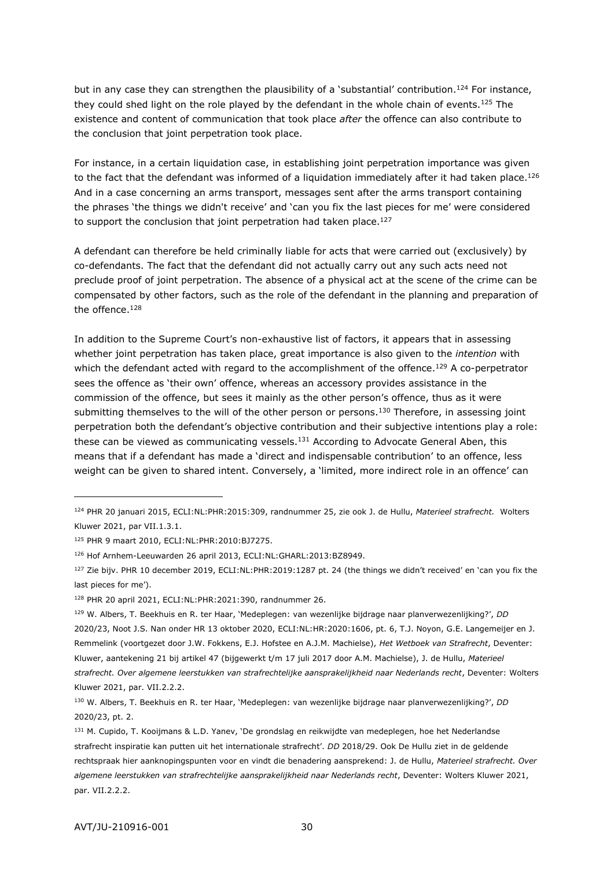but in any case they can strengthen the plausibility of a 'substantial' contribution.<sup>124</sup> For instance, they could shed light on the role played by the defendant in the whole chain of events.<sup>125</sup> The existence and content of communication that took place *after* the offence can also contribute to the conclusion that joint perpetration took place.

For instance, in a certain liquidation case, in establishing joint perpetration importance was given to the fact that the defendant was informed of a liquidation immediately after it had taken place.<sup>126</sup> And in a case concerning an arms transport, messages sent after the arms transport containing the phrases 'the things we didn't receive' and 'can you fix the last pieces for me' were considered to support the conclusion that joint perpetration had taken place.<sup>127</sup>

A defendant can therefore be held criminally liable for acts that were carried out (exclusively) by co-defendants. The fact that the defendant did not actually carry out any such acts need not preclude proof of joint perpetration. The absence of a physical act at the scene of the crime can be compensated by other factors, such as the role of the defendant in the planning and preparation of the offence.<sup>128</sup>

In addition to the Supreme Court's non-exhaustive list of factors, it appears that in assessing whether joint perpetration has taken place, great importance is also given to the *intention* with which the defendant acted with regard to the accomplishment of the offence.<sup>129</sup> A co-perpetrator sees the offence as 'their own' offence, whereas an accessory provides assistance in the commission of the offence, but sees it mainly as the other person's offence, thus as it were submitting themselves to the will of the other person or persons.<sup>130</sup> Therefore, in assessing joint perpetration both the defendant's objective contribution and their subjective intentions play a role: these can be viewed as communicating vessels.<sup>131</sup> According to Advocate General Aben, this means that if a defendant has made a 'direct and indispensable contribution' to an offence, less weight can be given to shared intent. Conversely, a 'limited, more indirect role in an offence' can

<sup>124</sup> PHR 20 januari 2015, ECLI:NL:PHR:2015:309, randnummer 25, zie ook J. de Hullu, *Materieel strafrecht.* Wolters Kluwer 2021, par VII.1.3.1.

<sup>125</sup> PHR 9 maart 2010, ECLI:NL:PHR:2010:BJ7275.

<sup>126</sup> Hof Arnhem-Leeuwarden 26 april 2013, ECLI:NL:GHARL:2013:BZ8949.

<sup>&</sup>lt;sup>127</sup> Zie bijv. PHR 10 december 2019, ECLI:NL:PHR:2019:1287 pt. 24 (the things we didn't received' en 'can you fix the last pieces for me').

<sup>128</sup> PHR 20 april 2021, ECLI:NL:PHR:2021:390, randnummer 26.

<sup>129</sup> W. Albers, T. Beekhuis en R. ter Haar, 'Medeplegen: van wezenlijke bijdrage naar planverwezenlijking?', *DD* 2020/23, Noot J.S. Nan onder HR 13 oktober 2020, ECLI:NL:HR:2020:1606, pt. 6, T.J. Noyon, G.E. Langemeijer en J. Remmelink (voortgezet door J.W. Fokkens, E.J. Hofstee en A.J.M. Machielse), *Het Wetboek van Strafrecht*, Deventer: Kluwer, aantekening 21 bij artikel 47 (bijgewerkt t/m 17 juli 2017 door A.M. Machielse), J. de Hullu, *Materieel strafrecht. Over algemene leerstukken van strafrechtelijke aansprakelijkheid naar Nederlands recht*, Deventer: Wolters Kluwer 2021, par. VII.2.2.2.

<sup>130</sup> W. Albers, T. Beekhuis en R. ter Haar, 'Medeplegen: van wezenlijke bijdrage naar planverwezenlijking?', *DD* 2020/23, pt. 2.

<sup>131</sup> M. Cupido, T. Kooijmans & L.D. Yanev, 'De grondslag en reikwijdte van medeplegen, hoe het Nederlandse strafrecht inspiratie kan putten uit het internationale strafrecht'. *DD* 2018/29. Ook De Hullu ziet in de geldende rechtspraak hier aanknopingspunten voor en vindt die benadering aansprekend: J. de Hullu, *Materieel strafrecht. Over algemene leerstukken van strafrechtelijke aansprakelijkheid naar Nederlands recht*, Deventer: Wolters Kluwer 2021, par. VII.2.2.2.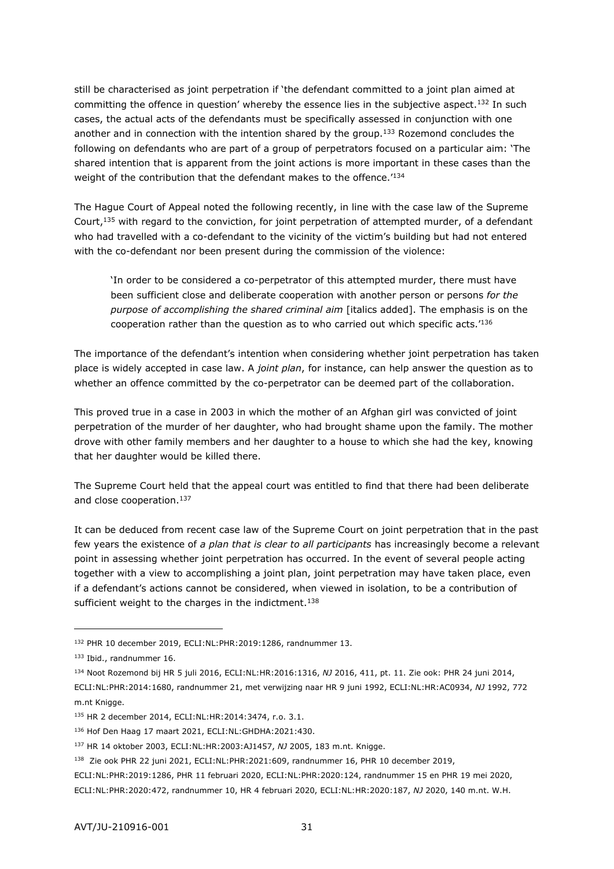still be characterised as joint perpetration if 'the defendant committed to a joint plan aimed at committing the offence in question' whereby the essence lies in the subjective aspect.<sup>132</sup> In such cases, the actual acts of the defendants must be specifically assessed in conjunction with one another and in connection with the intention shared by the group.<sup>133</sup> Rozemond concludes the following on defendants who are part of a group of perpetrators focused on a particular aim: 'The shared intention that is apparent from the joint actions is more important in these cases than the weight of the contribution that the defendant makes to the offence.<sup>'134</sup>

The Hague Court of Appeal noted the following recently, in line with the case law of the Supreme Court,<sup>135</sup> with regard to the conviction, for joint perpetration of attempted murder, of a defendant who had travelled with a co-defendant to the vicinity of the victim's building but had not entered with the co-defendant nor been present during the commission of the violence:

'In order to be considered a co-perpetrator of this attempted murder, there must have been sufficient close and deliberate cooperation with another person or persons *for the purpose of accomplishing the shared criminal aim* [italics added]. The emphasis is on the cooperation rather than the question as to who carried out which specific acts.'<sup>136</sup>

The importance of the defendant's intention when considering whether joint perpetration has taken place is widely accepted in case law. A *joint plan*, for instance, can help answer the question as to whether an offence committed by the co-perpetrator can be deemed part of the collaboration.

This proved true in a case in 2003 in which the mother of an Afghan girl was convicted of joint perpetration of the murder of her daughter, who had brought shame upon the family. The mother drove with other family members and her daughter to a house to which she had the key, knowing that her daughter would be killed there.

The Supreme Court held that the appeal court was entitled to find that there had been deliberate and close cooperation.<sup>137</sup>

It can be deduced from recent case law of the Supreme Court on joint perpetration that in the past few years the existence of *a plan that is clear to all participants* has increasingly become a relevant point in assessing whether joint perpetration has occurred. In the event of several people acting together with a view to accomplishing a joint plan, joint perpetration may have taken place, even if a defendant's actions cannot be considered, when viewed in isolation, to be a contribution of sufficient weight to the charges in the indictment.<sup>138</sup>

<sup>132</sup> PHR 10 december 2019, ECLI:NL:PHR:2019:1286, randnummer 13.

<sup>133</sup> Ibid., randnummer 16.

<sup>134</sup> Noot Rozemond bij HR 5 juli 2016, ECLI:NL:HR:2016:1316, *NJ* 2016, 411, pt. 11. Zie ook: PHR 24 juni 2014, ECLI:NL:PHR:2014:1680, randnummer 21, met verwijzing naar HR 9 juni 1992, ECLI:NL:HR:AC0934, *NJ* 1992, 772 m.nt Knigge.

<sup>135</sup> HR 2 december 2014, ECLI:NL:HR:2014:3474, r.o. 3.1.

<sup>136</sup> Hof Den Haag 17 maart 2021, ECLI:NL:GHDHA:2021:430.

<sup>137</sup> HR 14 oktober 2003, ECLI:NL:HR:2003:AJ1457, *NJ* 2005, 183 m.nt. Knigge.

<sup>&</sup>lt;sup>138</sup> Zie ook PHR 22 juni 2021, ECLI:NL:PHR:2021:609, randnummer 16, PHR 10 december 2019,

ECLI:NL:PHR:2019:1286, PHR 11 februari 2020, ECLI:NL:PHR:2020:124, randnummer 15 en PHR 19 mei 2020, ECLI:NL:PHR:2020:472, randnummer 10, HR 4 februari 2020, ECLI:NL:HR:2020:187, *NJ* 2020, 140 m.nt. W.H.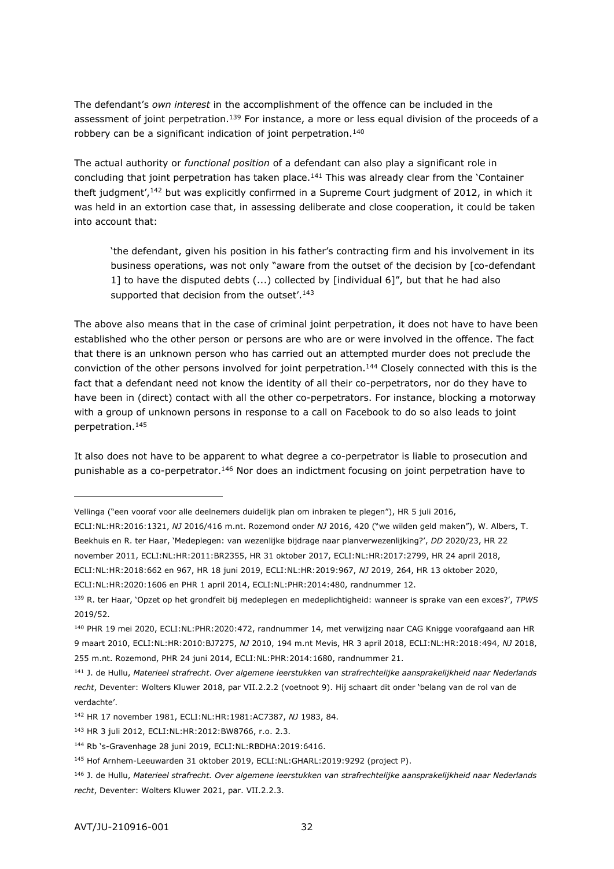The defendant's *own interest* in the accomplishment of the offence can be included in the assessment of joint perpetration.<sup>139</sup> For instance, a more or less equal division of the proceeds of a robbery can be a significant indication of joint perpetration.<sup>140</sup>

The actual authority or *functional position* of a defendant can also play a significant role in concluding that joint perpetration has taken place.<sup>141</sup> This was already clear from the 'Container theft judgment',<sup>142</sup> but was explicitly confirmed in a Supreme Court judgment of 2012, in which it was held in an extortion case that, in assessing deliberate and close cooperation, it could be taken into account that:

'the defendant, given his position in his father's contracting firm and his involvement in its business operations, was not only "aware from the outset of the decision by [co-defendant 1] to have the disputed debts (...) collected by [individual 6]", but that he had also supported that decision from the outset'.<sup>143</sup>

The above also means that in the case of criminal joint perpetration, it does not have to have been established who the other person or persons are who are or were involved in the offence. The fact that there is an unknown person who has carried out an attempted murder does not preclude the conviction of the other persons involved for joint perpetration.<sup>144</sup> Closely connected with this is the fact that a defendant need not know the identity of all their co-perpetrators, nor do they have to have been in (direct) contact with all the other co-perpetrators. For instance, blocking a motorway with a group of unknown persons in response to a call on Facebook to do so also leads to joint perpetration.<sup>145</sup>

It also does not have to be apparent to what degree a co-perpetrator is liable to prosecution and punishable as a co-perpetrator.<sup>146</sup> Nor does an indictment focusing on joint perpetration have to

ECLI:NL:HR:2016:1321, *NJ* 2016/416 m.nt. Rozemond onder *NJ* 2016, 420 ("we wilden geld maken"), W. Albers, T. Beekhuis en R. ter Haar, 'Medeplegen: van wezenlijke bijdrage naar planverwezenlijking?', *DD* 2020/23, HR 22 november 2011, ECLI:NL:HR:2011:BR2355, HR 31 oktober 2017, ECLI:NL:HR:2017:2799, HR 24 april 2018,

Vellinga ("een vooraf voor alle deelnemers duidelijk plan om inbraken te plegen"), HR 5 juli 2016,

ECLI:NL:HR:2018:662 en 967, HR 18 juni 2019, ECLI:NL:HR:2019:967, *NJ* 2019, 264, HR 13 oktober 2020,

ECLI:NL:HR:2020:1606 en PHR 1 april 2014, ECLI:NL:PHR:2014:480, randnummer 12.

<sup>139</sup> R. ter Haar, 'Opzet op het grondfeit bij medeplegen en medeplichtigheid: wanneer is sprake van een exces?', *TPWS* 2019/52.

<sup>140</sup> PHR 19 mei 2020, ECLI:NL:PHR:2020:472, randnummer 14, met verwijzing naar CAG Knigge voorafgaand aan HR 9 maart 2010, ECLI:NL:HR:2010:BJ7275, *NJ* 2010, 194 m.nt Mevis, HR 3 april 2018, ECLI:NL:HR:2018:494, *NJ* 2018, 255 m.nt. Rozemond, PHR 24 juni 2014, ECLI:NL:PHR:2014:1680, randnummer 21.

<sup>141</sup> J. de Hullu, *Materieel strafrecht*. *Over algemene leerstukken van strafrechtelijke aansprakelijkheid naar Nederlands recht*, Deventer: Wolters Kluwer 2018, par VII.2.2.2 (voetnoot 9). Hij schaart dit onder 'belang van de rol van de verdachte'.

<sup>142</sup> HR 17 november 1981, ECLI:NL:HR:1981:AC7387, *NJ* 1983, 84.

<sup>143</sup> HR 3 juli 2012, ECLI:NL:HR:2012:BW8766, r.o. 2.3.

<sup>144</sup> Rb 's-Gravenhage 28 juni 2019, ECLI:NL:RBDHA:2019:6416.

<sup>145</sup> Hof Arnhem-Leeuwarden 31 oktober 2019, ECLI:NL:GHARL:2019:9292 (project P).

<sup>146</sup> J. de Hullu, *Materieel strafrecht. Over algemene leerstukken van strafrechtelijke aansprakelijkheid naar Nederlands recht*, Deventer: Wolters Kluwer 2021, par. VII.2.2.3.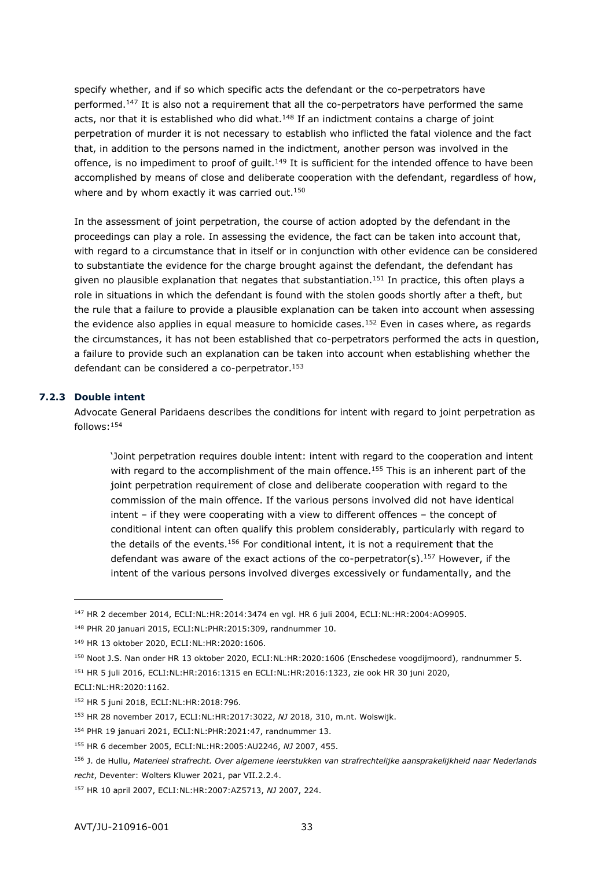specify whether, and if so which specific acts the defendant or the co-perpetrators have performed.<sup>147</sup> It is also not a requirement that all the co-perpetrators have performed the same acts, nor that it is established who did what.<sup>148</sup> If an indictment contains a charge of joint perpetration of murder it is not necessary to establish who inflicted the fatal violence and the fact that, in addition to the persons named in the indictment, another person was involved in the offence, is no impediment to proof of guilt.<sup>149</sup> It is sufficient for the intended offence to have been accomplished by means of close and deliberate cooperation with the defendant, regardless of how, where and by whom exactly it was carried out.<sup>150</sup>

In the assessment of joint perpetration, the course of action adopted by the defendant in the proceedings can play a role. In assessing the evidence, the fact can be taken into account that, with regard to a circumstance that in itself or in conjunction with other evidence can be considered to substantiate the evidence for the charge brought against the defendant, the defendant has given no plausible explanation that negates that substantiation.<sup>151</sup> In practice, this often plays a role in situations in which the defendant is found with the stolen goods shortly after a theft, but the rule that a failure to provide a plausible explanation can be taken into account when assessing the evidence also applies in equal measure to homicide cases.<sup>152</sup> Even in cases where, as regards the circumstances, it has not been established that co-perpetrators performed the acts in question, a failure to provide such an explanation can be taken into account when establishing whether the defendant can be considered a co-perpetrator.<sup>153</sup>

#### **7.2.3 Double intent**

-

<span id="page-32-0"></span>Advocate General Paridaens describes the conditions for intent with regard to joint perpetration as follows:<sup>154</sup>

'Joint perpetration requires double intent: intent with regard to the cooperation and intent with regard to the accomplishment of the main offence.<sup>155</sup> This is an inherent part of the joint perpetration requirement of close and deliberate cooperation with regard to the commission of the main offence. If the various persons involved did not have identical intent – if they were cooperating with a view to different offences – the concept of conditional intent can often qualify this problem considerably, particularly with regard to the details of the events.<sup>156</sup> For conditional intent, it is not a requirement that the defendant was aware of the exact actions of the co-perpetrator(s).<sup>157</sup> However, if the intent of the various persons involved diverges excessively or fundamentally, and the

<sup>147</sup> HR 2 december 2014, ECLI:NL:HR:2014:3474 en vgl. HR 6 juli 2004, ECLI:NL:HR:2004:AO9905.

<sup>148</sup> PHR 20 januari 2015, ECLI:NL:PHR:2015:309, randnummer 10.

<sup>149</sup> HR 13 oktober 2020, ECLI:NL:HR:2020:1606.

<sup>150</sup> Noot J.S. Nan onder HR 13 oktober 2020, ECLI:NL:HR:2020:1606 (Enschedese voogdijmoord), randnummer 5.

<sup>151</sup> HR 5 juli 2016, ECLI:NL:HR:2016:1315 en ECLI:NL:HR:2016:1323, zie ook HR 30 juni 2020,

ECLI:NL:HR:2020:1162.

<sup>152</sup> HR 5 juni 2018, ECLI:NL:HR:2018:796.

<sup>153</sup> HR 28 november 2017, ECLI:NL:HR:2017:3022, *NJ* 2018, 310, m.nt. Wolswijk.

<sup>154</sup> PHR 19 januari 2021, ECLI:NL:PHR:2021:47, randnummer 13.

<sup>155</sup> HR 6 december 2005, ECLI:NL:HR:2005:AU2246, *NJ* 2007, 455.

<sup>156</sup> J. de Hullu, *Materieel strafrecht. Over algemene leerstukken van strafrechtelijke aansprakelijkheid naar Nederlands recht*, Deventer: Wolters Kluwer 2021, par VII.2.2.4.

<sup>157</sup> HR 10 april 2007, ECLI:NL:HR:2007:AZ5713, *NJ* 2007, 224.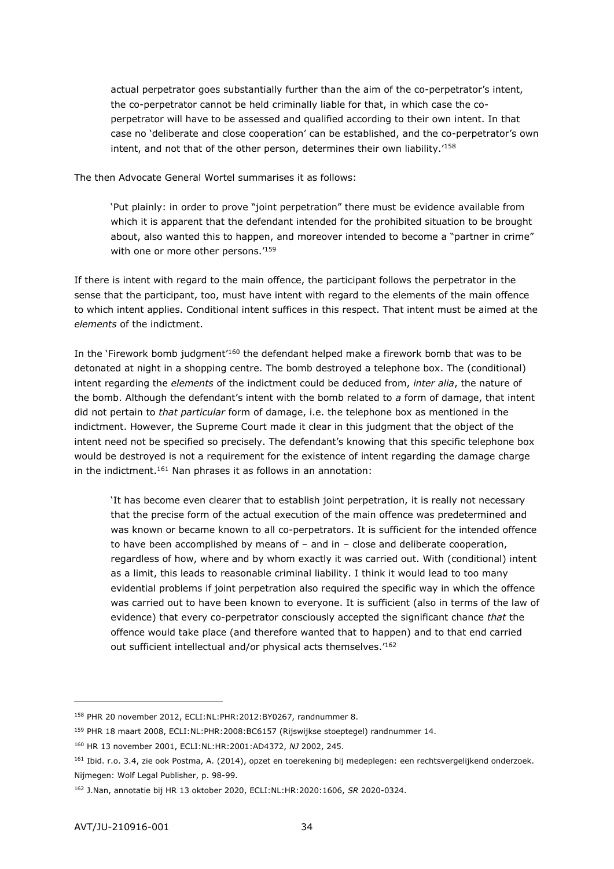actual perpetrator goes substantially further than the aim of the co-perpetrator's intent, the co-perpetrator cannot be held criminally liable for that, in which case the coperpetrator will have to be assessed and qualified according to their own intent. In that case no 'deliberate and close cooperation' can be established, and the co-perpetrator's own intent, and not that of the other person, determines their own liability.'<sup>158</sup>

The then Advocate General Wortel summarises it as follows:

'Put plainly: in order to prove "joint perpetration" there must be evidence available from which it is apparent that the defendant intended for the prohibited situation to be brought about, also wanted this to happen, and moreover intended to become a "partner in crime" with one or more other persons.'<sup>159</sup>

If there is intent with regard to the main offence, the participant follows the perpetrator in the sense that the participant, too, must have intent with regard to the elements of the main offence to which intent applies. Conditional intent suffices in this respect. That intent must be aimed at the *elements* of the indictment.

In the 'Firework bomb judgment'<sup>160</sup> the defendant helped make a firework bomb that was to be detonated at night in a shopping centre. The bomb destroyed a telephone box. The (conditional) intent regarding the *elements* of the indictment could be deduced from, *inter alia*, the nature of the bomb. Although the defendant's intent with the bomb related to *a* form of damage, that intent did not pertain to *that particular* form of damage, i.e. the telephone box as mentioned in the indictment. However, the Supreme Court made it clear in this judgment that the object of the intent need not be specified so precisely. The defendant's knowing that this specific telephone box would be destroyed is not a requirement for the existence of intent regarding the damage charge in the indictment.<sup>161</sup> Nan phrases it as follows in an annotation:

'It has become even clearer that to establish joint perpetration, it is really not necessary that the precise form of the actual execution of the main offence was predetermined and was known or became known to all co-perpetrators. It is sufficient for the intended offence to have been accomplished by means of – and in – close and deliberate cooperation, regardless of how, where and by whom exactly it was carried out. With (conditional) intent as a limit, this leads to reasonable criminal liability. I think it would lead to too many evidential problems if joint perpetration also required the specific way in which the offence was carried out to have been known to everyone. It is sufficient (also in terms of the law of evidence) that every co-perpetrator consciously accepted the significant chance *that* the offence would take place (and therefore wanted that to happen) and to that end carried out sufficient intellectual and/or physical acts themselves.'<sup>162</sup>

<sup>158</sup> PHR 20 november 2012, ECLI:NL:PHR:2012:BY0267, randnummer 8.

<sup>159</sup> PHR 18 maart 2008, ECLI:NL:PHR:2008:BC6157 (Rijswijkse stoeptegel) randnummer 14.

<sup>160</sup> HR 13 november 2001, ECLI:NL:HR:2001:AD4372, *NJ* 2002, 245.

<sup>161</sup> Ibid. r.o. 3.4, zie ook Postma, A. (2014), opzet en toerekening bij medeplegen: een rechtsvergelijkend onderzoek. Nijmegen: Wolf Legal Publisher, p. 98-99.

<sup>162</sup> J.Nan, annotatie bij HR 13 oktober 2020, ECLI:NL:HR:2020:1606, *SR* 2020-0324.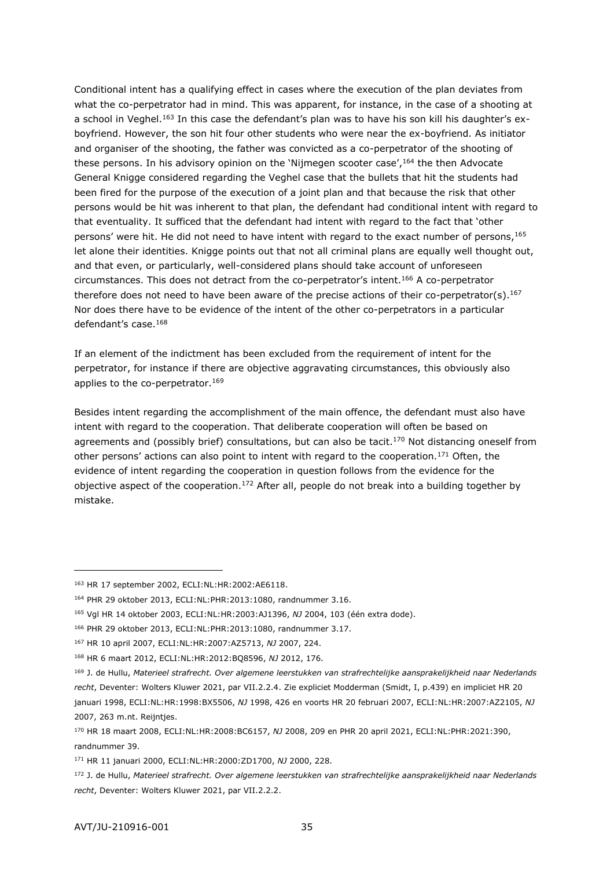Conditional intent has a qualifying effect in cases where the execution of the plan deviates from what the co-perpetrator had in mind. This was apparent, for instance, in the case of a shooting at a school in Veghel.<sup>163</sup> In this case the defendant's plan was to have his son kill his daughter's exboyfriend. However, the son hit four other students who were near the ex-boyfriend. As initiator and organiser of the shooting, the father was convicted as a co-perpetrator of the shooting of these persons. In his advisory opinion on the 'Nijmegen scooter case', <sup>164</sup> the then Advocate General Knigge considered regarding the Veghel case that the bullets that hit the students had been fired for the purpose of the execution of a joint plan and that because the risk that other persons would be hit was inherent to that plan, the defendant had conditional intent with regard to that eventuality. It sufficed that the defendant had intent with regard to the fact that 'other persons' were hit. He did not need to have intent with regard to the exact number of persons, 165 let alone their identities. Knigge points out that not all criminal plans are equally well thought out, and that even, or particularly, well-considered plans should take account of unforeseen circumstances. This does not detract from the co-perpetrator's intent.<sup>166</sup> A co-perpetrator therefore does not need to have been aware of the precise actions of their co-perpetrator(s).<sup>167</sup> Nor does there have to be evidence of the intent of the other co-perpetrators in a particular defendant's case.<sup>168</sup>

If an element of the indictment has been excluded from the requirement of intent for the perpetrator, for instance if there are objective aggravating circumstances, this obviously also applies to the co-perpetrator.<sup>169</sup>

Besides intent regarding the accomplishment of the main offence, the defendant must also have intent with regard to the cooperation. That deliberate cooperation will often be based on agreements and (possibly brief) consultations, but can also be tacit.<sup>170</sup> Not distancing oneself from other persons' actions can also point to intent with regard to the cooperation.<sup>171</sup> Often, the evidence of intent regarding the cooperation in question follows from the evidence for the objective aspect of the cooperation.<sup>172</sup> After all, people do not break into a building together by mistake.

<sup>163</sup> HR 17 september 2002, ECLI:NL:HR:2002:AE6118.

<sup>164</sup> PHR 29 oktober 2013, ECLI:NL:PHR:2013:1080, randnummer 3.16.

<sup>165</sup> Vgl HR 14 oktober 2003, ECLI:NL:HR:2003:AJ1396, *NJ* 2004, 103 (één extra dode).

<sup>166</sup> PHR 29 oktober 2013, ECLI:NL:PHR:2013:1080, randnummer 3.17.

<sup>167</sup> HR 10 april 2007, ECLI:NL:HR:2007:AZ5713, *NJ* 2007, 224.

<sup>168</sup> HR 6 maart 2012, ECLI:NL:HR:2012:BQ8596, *NJ* 2012, 176.

<sup>169</sup> J. de Hullu, *Materieel strafrecht. Over algemene leerstukken van strafrechtelijke aansprakelijkheid naar Nederlands recht*, Deventer: Wolters Kluwer 2021, par VII.2.2.4. Zie expliciet Modderman (Smidt, I, p.439) en impliciet HR 20 januari 1998, ECLI:NL:HR:1998:BX5506, *NJ* 1998, 426 en voorts HR 20 februari 2007, ECLI:NL:HR:2007:AZ2105, *NJ*  2007, 263 m.nt. Reijntjes.

<sup>170</sup> HR 18 maart 2008, ECLI:NL:HR:2008:BC6157, *NJ* 2008, 209 en PHR 20 april 2021, ECLI:NL:PHR:2021:390, randnummer 39.

<sup>171</sup> HR 11 januari 2000, ECLI:NL:HR:2000:ZD1700, *NJ* 2000, 228.

<sup>172</sup> J. de Hullu, *Materieel strafrecht. Over algemene leerstukken van strafrechtelijke aansprakelijkheid naar Nederlands recht*, Deventer: Wolters Kluwer 2021, par VII.2.2.2.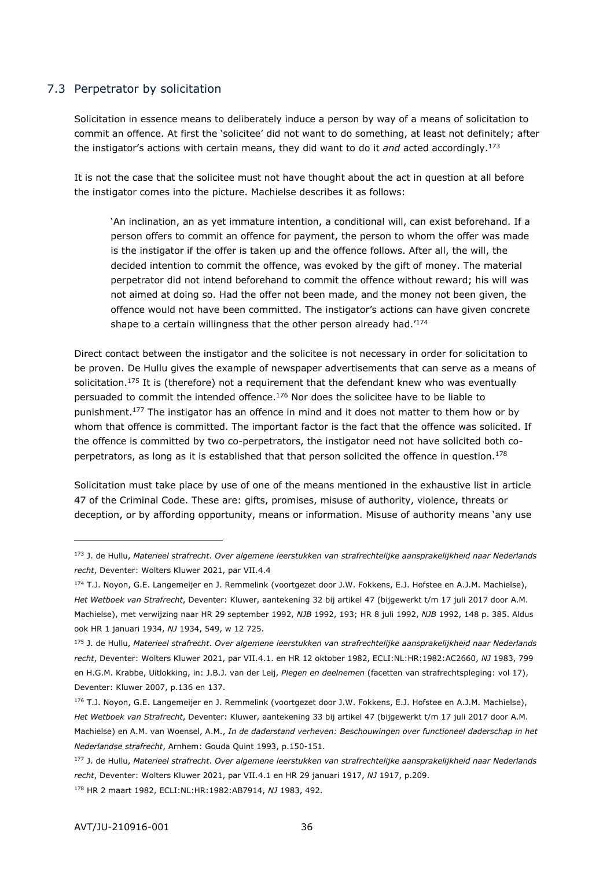#### <span id="page-35-0"></span>7.3 Perpetrator by solicitation

Solicitation in essence means to deliberately induce a person by way of a means of solicitation to commit an offence. At first the 'solicitee' did not want to do something, at least not definitely; after the instigator's actions with certain means, they did want to do it *and* acted accordingly.<sup>173</sup>

It is not the case that the solicitee must not have thought about the act in question at all before the instigator comes into the picture. Machielse describes it as follows:

'An inclination, an as yet immature intention, a conditional will, can exist beforehand. If a person offers to commit an offence for payment, the person to whom the offer was made is the instigator if the offer is taken up and the offence follows. After all, the will, the decided intention to commit the offence, was evoked by the gift of money. The material perpetrator did not intend beforehand to commit the offence without reward; his will was not aimed at doing so. Had the offer not been made, and the money not been given, the offence would not have been committed. The instigator's actions can have given concrete shape to a certain willingness that the other person already had.<sup>'174</sup>

Direct contact between the instigator and the solicitee is not necessary in order for solicitation to be proven. De Hullu gives the example of newspaper advertisements that can serve as a means of solicitation.<sup>175</sup> It is (therefore) not a requirement that the defendant knew who was eventually persuaded to commit the intended offence.<sup>176</sup> Nor does the solicitee have to be liable to punishment.<sup>177</sup> The instigator has an offence in mind and it does not matter to them how or by whom that offence is committed. The important factor is the fact that the offence was solicited. If the offence is committed by two co-perpetrators, the instigator need not have solicited both coperpetrators, as long as it is established that that person solicited the offence in question.<sup>178</sup>

Solicitation must take place by use of one of the means mentioned in the exhaustive list in article 47 of the Criminal Code. These are: gifts, promises, misuse of authority, violence, threats or deception, or by affording opportunity, means or information. Misuse of authority means 'any use

<sup>173</sup> J. de Hullu, *Materieel strafrecht*. *Over algemene leerstukken van strafrechtelijke aansprakelijkheid naar Nederlands recht*, Deventer: Wolters Kluwer 2021, par VII.4.4

<sup>174</sup> T.J. Noyon, G.E. Langemeijer en J. Remmelink (voortgezet door J.W. Fokkens, E.J. Hofstee en A.J.M. Machielse), *Het Wetboek van Strafrecht*, Deventer: Kluwer, aantekening 32 bij artikel 47 (bijgewerkt t/m 17 juli 2017 door A.M. Machielse), met verwijzing naar HR 29 september 1992, *NJB* 1992, 193; HR 8 juli 1992, *NJB* 1992, 148 p. 385. Aldus ook HR 1 januari 1934, *NJ* 1934, 549, w 12 725.

<sup>175</sup> J. de Hullu, *Materieel strafrecht*. *Over algemene leerstukken van strafrechtelijke aansprakelijkheid naar Nederlands recht*, Deventer: Wolters Kluwer 2021, par VII.4.1. en HR 12 oktober 1982, ECLI:NL:HR:1982:AC2660, *NJ* 1983, 799 en H.G.M. Krabbe, Uitlokking, in: J.B.J. van der Leij, *Plegen en deelnemen* (facetten van strafrechtspleging: vol 17), Deventer: Kluwer 2007, p.136 en 137.

<sup>176</sup> T.J. Noyon, G.E. Langemeijer en J. Remmelink (voortgezet door J.W. Fokkens, E.J. Hofstee en A.J.M. Machielse), *Het Wetboek van Strafrecht*, Deventer: Kluwer, aantekening 33 bij artikel 47 (bijgewerkt t/m 17 juli 2017 door A.M. Machielse) en A.M. van Woensel, A.M., *In de daderstand verheven: Beschouwingen over functioneel daderschap in het Nederlandse strafrecht*, Arnhem: Gouda Quint 1993, p.150-151.

<sup>177</sup> J. de Hullu, *Materieel strafrecht*. *Over algemene leerstukken van strafrechtelijke aansprakelijkheid naar Nederlands recht*, Deventer: Wolters Kluwer 2021, par VII.4.1 en HR 29 januari 1917, *NJ* 1917, p.209. <sup>178</sup> HR 2 maart 1982, ECLI:NL:HR:1982:AB7914, *NJ* 1983, 492.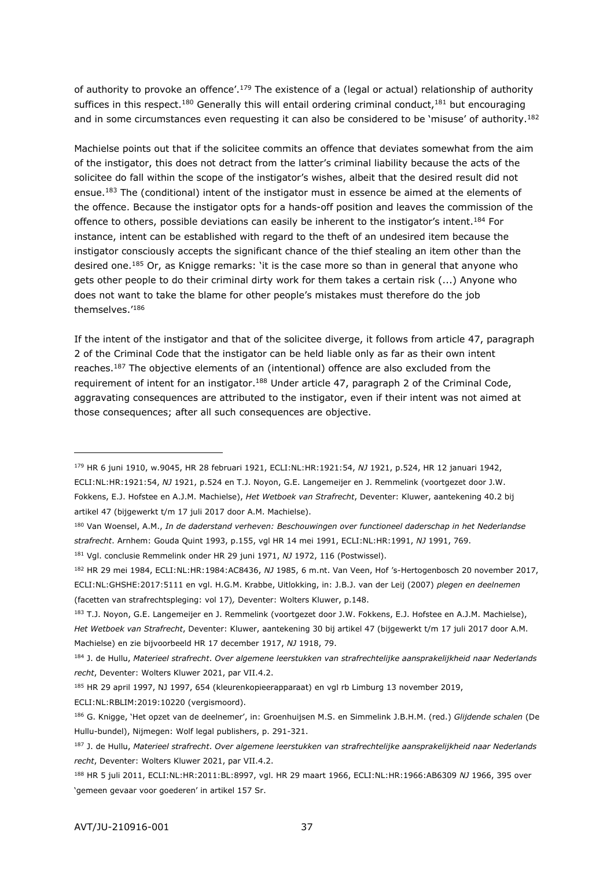of authority to provoke an offence'.<sup>179</sup> The existence of a (legal or actual) relationship of authority suffices in this respect.<sup>180</sup> Generally this will entail ordering criminal conduct,<sup>181</sup> but encouraging and in some circumstances even requesting it can also be considered to be 'misuse' of authority.<sup>182</sup>

Machielse points out that if the solicitee commits an offence that deviates somewhat from the aim of the instigator, this does not detract from the latter's criminal liability because the acts of the solicitee do fall within the scope of the instigator's wishes, albeit that the desired result did not ensue.<sup>183</sup> The (conditional) intent of the instigator must in essence be aimed at the elements of the offence. Because the instigator opts for a hands-off position and leaves the commission of the offence to others, possible deviations can easily be inherent to the instigator's intent.<sup>184</sup> For instance, intent can be established with regard to the theft of an undesired item because the instigator consciously accepts the significant chance of the thief stealing an item other than the desired one.<sup>185</sup> Or, as Knigge remarks: 'it is the case more so than in general that anyone who gets other people to do their criminal dirty work for them takes a certain risk (...) Anyone who does not want to take the blame for other people's mistakes must therefore do the job themselves.'<sup>186</sup>

If the intent of the instigator and that of the solicitee diverge, it follows from article 47, paragraph 2 of the Criminal Code that the instigator can be held liable only as far as their own intent reaches.<sup>187</sup> The objective elements of an (intentional) offence are also excluded from the requirement of intent for an instigator.<sup>188</sup> Under article 47, paragraph 2 of the Criminal Code, aggravating consequences are attributed to the instigator, even if their intent was not aimed at those consequences; after all such consequences are objective.

ECLI:NL:RBLIM:2019:10220 (vergismoord).

<sup>179</sup> HR 6 juni 1910, w.9045, HR 28 februari 1921, ECLI:NL:HR:1921:54, *NJ* 1921, p.524, HR 12 januari 1942, ECLI:NL:HR:1921:54, *NJ* 1921, p.524 en T.J. Noyon, G.E. Langemeijer en J. Remmelink (voortgezet door J.W. Fokkens, E.J. Hofstee en A.J.M. Machielse), *Het Wetboek van Strafrecht*, Deventer: Kluwer, aantekening 40.2 bij artikel 47 (bijgewerkt t/m 17 juli 2017 door A.M. Machielse).

<sup>180</sup> Van Woensel, A.M., *In de daderstand verheven: Beschouwingen over functioneel daderschap in het Nederlandse strafrecht*. Arnhem: Gouda Quint 1993, p.155, vgl HR 14 mei 1991, ECLI:NL:HR:1991, *NJ* 1991, 769.

<sup>181</sup> Vgl. conclusie Remmelink onder HR 29 juni 1971, *NJ* 1972, 116 (Postwissel).

<sup>182</sup> HR 29 mei 1984, ECLI:NL:HR:1984:AC8436, *NJ* 1985, 6 m.nt. Van Veen, Hof 's-Hertogenbosch 20 november 2017, ECLI:NL:GHSHE:2017:5111 en vgl. H.G.M. Krabbe, Uitlokking, in: J.B.J. van der Leij (2007) *plegen en deelnemen*  (facetten van strafrechtspleging: vol 17)*,* Deventer: Wolters Kluwer, p.148.

<sup>183</sup> T.J. Noyon, G.E. Langemeijer en J. Remmelink (voortgezet door J.W. Fokkens, E.J. Hofstee en A.J.M. Machielse), *Het Wetboek van Strafrecht*, Deventer: Kluwer, aantekening 30 bij artikel 47 (bijgewerkt t/m 17 juli 2017 door A.M. Machielse) en zie bijvoorbeeld HR 17 december 1917, *NJ* 1918, 79.

<sup>184</sup> J. de Hullu, *Materieel strafrecht*. *Over algemene leerstukken van strafrechtelijke aansprakelijkheid naar Nederlands recht*, Deventer: Wolters Kluwer 2021, par VII.4.2.

<sup>185</sup> HR 29 april 1997, NJ 1997, 654 (kleurenkopieerapparaat) en vgl rb Limburg 13 november 2019,

<sup>186</sup> G. Knigge, 'Het opzet van de deelnemer', in: Groenhuijsen M.S. en Simmelink J.B.H.M. (red.) *Glijdende schalen* (De Hullu-bundel), Nijmegen: Wolf legal publishers, p. 291-321.

<sup>187</sup> J. de Hullu, *Materieel strafrecht*. *Over algemene leerstukken van strafrechtelijke aansprakelijkheid naar Nederlands recht*, Deventer: Wolters Kluwer 2021, par VII.4.2.

<sup>188</sup> HR 5 juli 2011, ECLI:NL:HR:2011:BL:8997, vgl. HR 29 maart 1966, ECLI:NL:HR:1966:AB6309 *NJ* 1966, 395 over 'gemeen gevaar voor goederen' in artikel 157 Sr.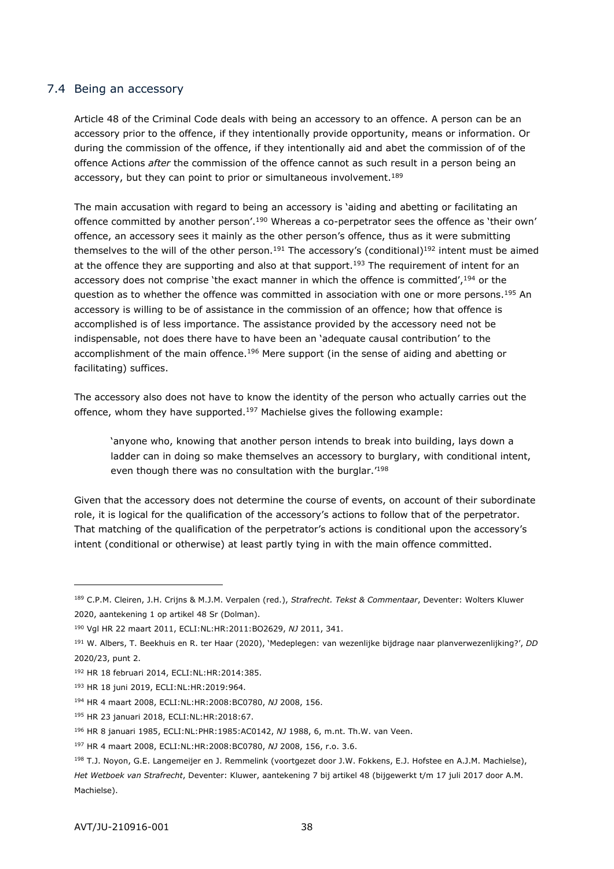## <span id="page-37-0"></span>7.4 Being an accessory

Article 48 of the Criminal Code deals with being an accessory to an offence. A person can be an accessory prior to the offence, if they intentionally provide opportunity, means or information. Or during the commission of the offence, if they intentionally aid and abet the commission of of the offence Actions *after* the commission of the offence cannot as such result in a person being an accessory, but they can point to prior or simultaneous involvement.<sup>189</sup>

The main accusation with regard to being an accessory is 'aiding and abetting or facilitating an offence committed by another person'.<sup>190</sup> Whereas a co-perpetrator sees the offence as 'their own' offence, an accessory sees it mainly as the other person's offence, thus as it were submitting themselves to the will of the other person.<sup>191</sup> The accessory's (conditional)<sup>192</sup> intent must be aimed at the offence they are supporting and also at that support.<sup>193</sup> The requirement of intent for an accessory does not comprise 'the exact manner in which the offence is committed', 194 or the question as to whether the offence was committed in association with one or more persons.<sup>195</sup> An accessory is willing to be of assistance in the commission of an offence; how that offence is accomplished is of less importance. The assistance provided by the accessory need not be indispensable, not does there have to have been an 'adequate causal contribution' to the accomplishment of the main offence.<sup>196</sup> Mere support (in the sense of aiding and abetting or facilitating) suffices.

The accessory also does not have to know the identity of the person who actually carries out the offence, whom they have supported.<sup>197</sup> Machielse gives the following example:

'anyone who, knowing that another person intends to break into building, lays down a ladder can in doing so make themselves an accessory to burglary, with conditional intent, even though there was no consultation with the burglar.'<sup>198</sup>

Given that the accessory does not determine the course of events, on account of their subordinate role, it is logical for the qualification of the accessory's actions to follow that of the perpetrator. That matching of the qualification of the perpetrator's actions is conditional upon the accessory's intent (conditional or otherwise) at least partly tying in with the main offence committed.

<sup>189</sup> C.P.M. Cleiren, J.H. Crijns & M.J.M. Verpalen (red.), *Strafrecht. Tekst & Commentaar*, Deventer: Wolters Kluwer 2020, aantekening 1 op artikel 48 Sr (Dolman).

<sup>190</sup> Vgl HR 22 maart 2011, ECLI:NL:HR:2011:BO2629, *NJ* 2011, 341.

<sup>191</sup> W. Albers, T. Beekhuis en R. ter Haar (2020), 'Medeplegen: van wezenlijke bijdrage naar planverwezenlijking?', *DD* 2020/23, punt 2.

<sup>192</sup> HR 18 februari 2014, ECLI:NL:HR:2014:385.

<sup>193</sup> HR 18 juni 2019, ECLI:NL:HR:2019:964.

<sup>194</sup> HR 4 maart 2008, ECLI:NL:HR:2008:BC0780, *NJ* 2008, 156.

<sup>195</sup> HR 23 januari 2018, ECLI:NL:HR:2018:67.

<sup>196</sup> HR 8 januari 1985, ECLI:NL:PHR:1985:AC0142, *NJ* 1988, 6, m.nt. Th.W. van Veen.

<sup>197</sup> HR 4 maart 2008, ECLI:NL:HR:2008:BC0780, *NJ* 2008, 156, r.o. 3.6.

<sup>198</sup> T.J. Noyon, G.E. Langemeijer en J. Remmelink (voortgezet door J.W. Fokkens, E.J. Hofstee en A.J.M. Machielse), *Het Wetboek van Strafrecht*, Deventer: Kluwer, aantekening 7 bij artikel 48 (bijgewerkt t/m 17 juli 2017 door A.M. Machielse).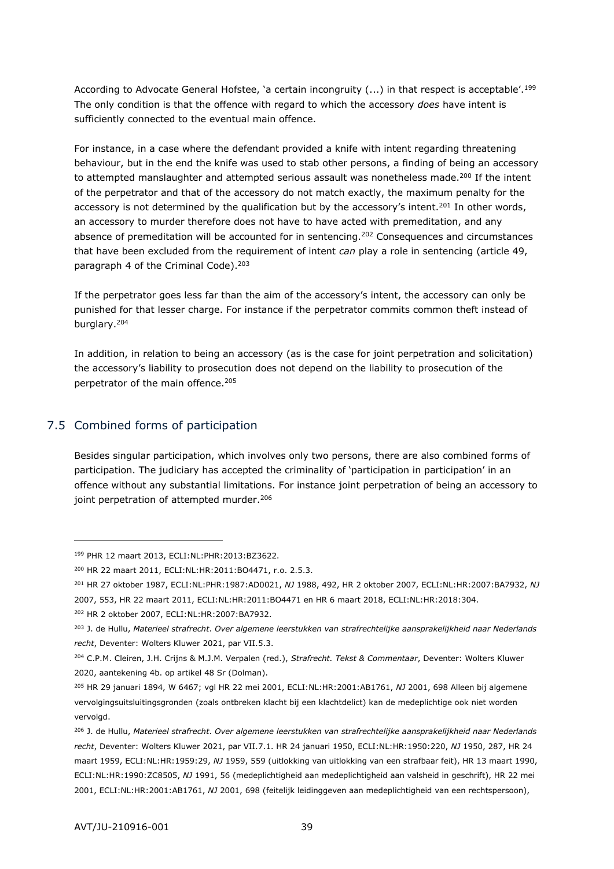According to Advocate General Hofstee, 'a certain incongruity (...) in that respect is acceptable'.<sup>199</sup> The only condition is that the offence with regard to which the accessory *does* have intent is sufficiently connected to the eventual main offence.

For instance, in a case where the defendant provided a knife with intent regarding threatening behaviour, but in the end the knife was used to stab other persons, a finding of being an accessory to attempted manslaughter and attempted serious assault was nonetheless made.<sup>200</sup> If the intent of the perpetrator and that of the accessory do not match exactly, the maximum penalty for the accessory is not determined by the qualification but by the accessory's intent.<sup>201</sup> In other words, an accessory to murder therefore does not have to have acted with premeditation, and any absence of premeditation will be accounted for in sentencing.<sup>202</sup> Consequences and circumstances that have been excluded from the requirement of intent *can* play a role in sentencing (article 49, paragraph 4 of the Criminal Code).<sup>203</sup>

If the perpetrator goes less far than the aim of the accessory's intent, the accessory can only be punished for that lesser charge. For instance if the perpetrator commits common theft instead of burglary.<sup>204</sup>

In addition, in relation to being an accessory (as is the case for joint perpetration and solicitation) the accessory's liability to prosecution does not depend on the liability to prosecution of the perpetrator of the main offence.<sup>205</sup>

# <span id="page-38-0"></span>7.5 Combined forms of participation

-

Besides singular participation, which involves only two persons, there are also combined forms of participation. The judiciary has accepted the criminality of 'participation in participation' in an offence without any substantial limitations. For instance joint perpetration of being an accessory to joint perpetration of attempted murder.<sup>206</sup>

<sup>199</sup> PHR 12 maart 2013, ECLI:NL:PHR:2013:BZ3622.

<sup>200</sup> HR 22 maart 2011, ECLI:NL:HR:2011:BO4471, r.o. 2.5.3.

<sup>201</sup> HR 27 oktober 1987, ECLI:NL:PHR:1987:AD0021, *NJ* 1988, 492, HR 2 oktober 2007, ECLI:NL:HR:2007:BA7932, *NJ*  2007, 553, HR 22 maart 2011, ECLI:NL:HR:2011:BO4471 en HR 6 maart 2018, ECLI:NL:HR:2018:304.

<sup>202</sup> HR 2 oktober 2007, ECLI:NL:HR:2007:BA7932.

<sup>203</sup> J. de Hullu, *Materieel strafrecht*. *Over algemene leerstukken van strafrechtelijke aansprakelijkheid naar Nederlands recht*, Deventer: Wolters Kluwer 2021, par VII.5.3.

<sup>204</sup> C.P.M. Cleiren, J.H. Crijns & M.J.M. Verpalen (red.), *Strafrecht. Tekst & Commentaar*, Deventer: Wolters Kluwer 2020, aantekening 4b. op artikel 48 Sr (Dolman).

<sup>205</sup> HR 29 januari 1894, W 6467; vgl HR 22 mei 2001, ECLI:NL:HR:2001:AB1761, *NJ* 2001, 698 Alleen bij algemene vervolgingsuitsluitingsgronden (zoals ontbreken klacht bij een klachtdelict) kan de medeplichtige ook niet worden vervolgd.

<sup>206</sup> J. de Hullu, *Materieel strafrecht*. *Over algemene leerstukken van strafrechtelijke aansprakelijkheid naar Nederlands recht*, Deventer: Wolters Kluwer 2021, par VII.7.1. HR 24 januari 1950, ECLI:NL:HR:1950:220, *NJ* 1950, 287, HR 24 maart 1959, ECLI:NL:HR:1959:29, *NJ* 1959, 559 (uitlokking van uitlokking van een strafbaar feit), HR 13 maart 1990, ECLI:NL:HR:1990:ZC8505, *NJ* 1991, 56 (medeplichtigheid aan medeplichtigheid aan valsheid in geschrift), HR 22 mei 2001, ECLI:NL:HR:2001:AB1761, *NJ* 2001, 698 (feitelijk leidinggeven aan medeplichtigheid van een rechtspersoon),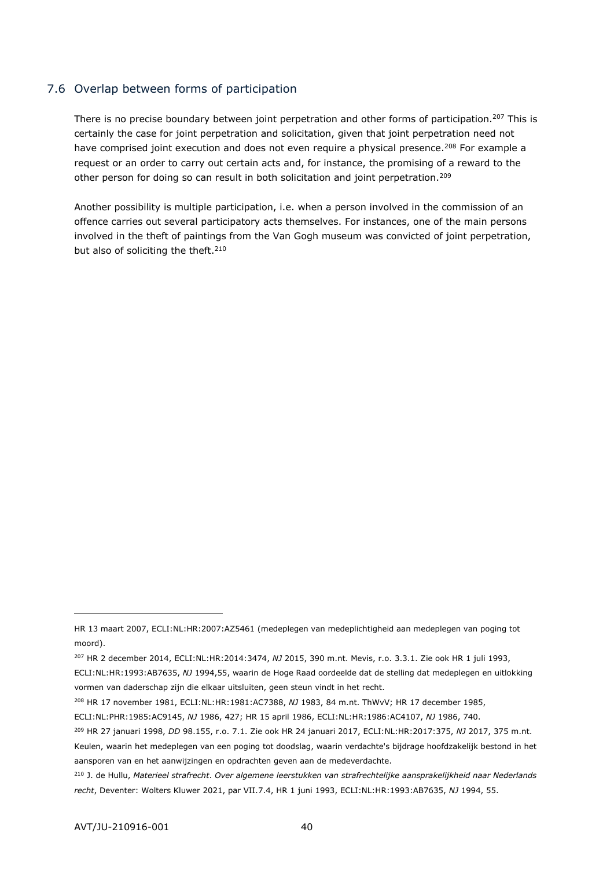## <span id="page-39-0"></span>7.6 Overlap between forms of participation

There is no precise boundary between joint perpetration and other forms of participation.<sup>207</sup> This is certainly the case for joint perpetration and solicitation, given that joint perpetration need not have comprised joint execution and does not even require a physical presence.<sup>208</sup> For example a request or an order to carry out certain acts and, for instance, the promising of a reward to the other person for doing so can result in both solicitation and joint perpetration.<sup>209</sup>

Another possibility is multiple participation, i.e. when a person involved in the commission of an offence carries out several participatory acts themselves. For instances, one of the main persons involved in the theft of paintings from the Van Gogh museum was convicted of joint perpetration, but also of soliciting the theft.<sup>210</sup>

<sup>208</sup> HR 17 november 1981, ECLI:NL:HR:1981:AC7388, *NJ* 1983, 84 m.nt. ThWvV; HR 17 december 1985,

HR 13 maart 2007, ECLI:NL:HR:2007:AZ5461 (medeplegen van medeplichtigheid aan medeplegen van poging tot moord).

<sup>207</sup> HR 2 december 2014, ECLI:NL:HR:2014:3474, *NJ* 2015, 390 m.nt. Mevis, r.o. 3.3.1. Zie ook HR 1 juli 1993,

ECLI:NL:HR:1993:AB7635, *NJ* 1994,55, waarin de Hoge Raad oordeelde dat de stelling dat medeplegen en uitlokking vormen van daderschap zijn die elkaar uitsluiten, geen steun vindt in het recht.

ECLI:NL:PHR:1985:AC9145, *NJ* 1986, 427; HR 15 april 1986, ECLI:NL:HR:1986:AC4107, *NJ* 1986, 740.

<sup>209</sup> HR 27 januari 1998, *DD* 98.155, r.o. 7.1. Zie ook HR 24 januari 2017, ECLI:NL:HR:2017:375, *NJ* 2017, 375 m.nt.

Keulen, waarin het medeplegen van een poging tot doodslag, waarin verdachte's bijdrage hoofdzakelijk bestond in het aansporen van en het aanwijzingen en opdrachten geven aan de medeverdachte.

<sup>210</sup> J. de Hullu, *Materieel strafrecht*. *Over algemene leerstukken van strafrechtelijke aansprakelijkheid naar Nederlands recht*, Deventer: Wolters Kluwer 2021, par VII.7.4, HR 1 juni 1993, ECLI:NL:HR:1993:AB7635, *NJ* 1994, 55.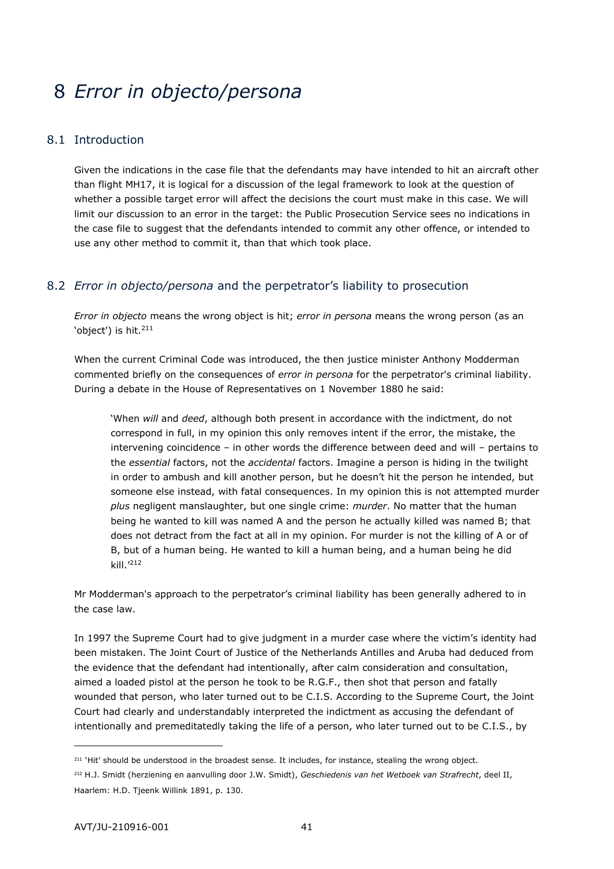# <span id="page-40-0"></span>8 *Error in objecto/persona*

# <span id="page-40-1"></span>8.1 Introduction

Given the indications in the case file that the defendants may have intended to hit an aircraft other than flight MH17, it is logical for a discussion of the legal framework to look at the question of whether a possible target error will affect the decisions the court must make in this case. We will limit our discussion to an error in the target: the Public Prosecution Service sees no indications in the case file to suggest that the defendants intended to commit any other offence, or intended to use any other method to commit it, than that which took place.

# <span id="page-40-2"></span>8.2 *Error in objecto/persona* and the perpetrator's liability to prosecution

*Error in objecto* means the wrong object is hit; *error in persona* means the wrong person (as an 'object') is hit.<sup>211</sup>

When the current Criminal Code was introduced, the then justice minister Anthony Modderman commented briefly on the consequences of *error in persona* for the perpetrator's criminal liability. During a debate in the House of Representatives on 1 November 1880 he said:

'When *will* and *deed*, although both present in accordance with the indictment, do not correspond in full, in my opinion this only removes intent if the error, the mistake, the intervening coincidence – in other words the difference between deed and will – pertains to the *essential* factors, not the *accidental* factors. Imagine a person is hiding in the twilight in order to ambush and kill another person, but he doesn't hit the person he intended, but someone else instead, with fatal consequences. In my opinion this is not attempted murder *plus* negligent manslaughter, but one single crime: *murder*. No matter that the human being he wanted to kill was named A and the person he actually killed was named B; that does not detract from the fact at all in my opinion. For murder is not the killing of A or of B, but of a human being. He wanted to kill a human being, and a human being he did kill.'<sup>212</sup>

Mr Modderman's approach to the perpetrator's criminal liability has been generally adhered to in the case law.

In 1997 the Supreme Court had to give judgment in a murder case where the victim's identity had been mistaken. The Joint Court of Justice of the Netherlands Antilles and Aruba had deduced from the evidence that the defendant had intentionally, after calm consideration and consultation, aimed a loaded pistol at the person he took to be R.G.F., then shot that person and fatally wounded that person, who later turned out to be C.I.S. According to the Supreme Court, the Joint Court had clearly and understandably interpreted the indictment as accusing the defendant of intentionally and premeditatedly taking the life of a person, who later turned out to be C.I.S., by

<sup>&</sup>lt;sup>211</sup> 'Hit' should be understood in the broadest sense. It includes, for instance, stealing the wrong object.

<sup>212</sup> H.J. Smidt (herziening en aanvulling door J.W. Smidt), *Geschiedenis van het Wetboek van Strafrecht*, deel II, Haarlem: H.D. Tjeenk Willink 1891, p. 130.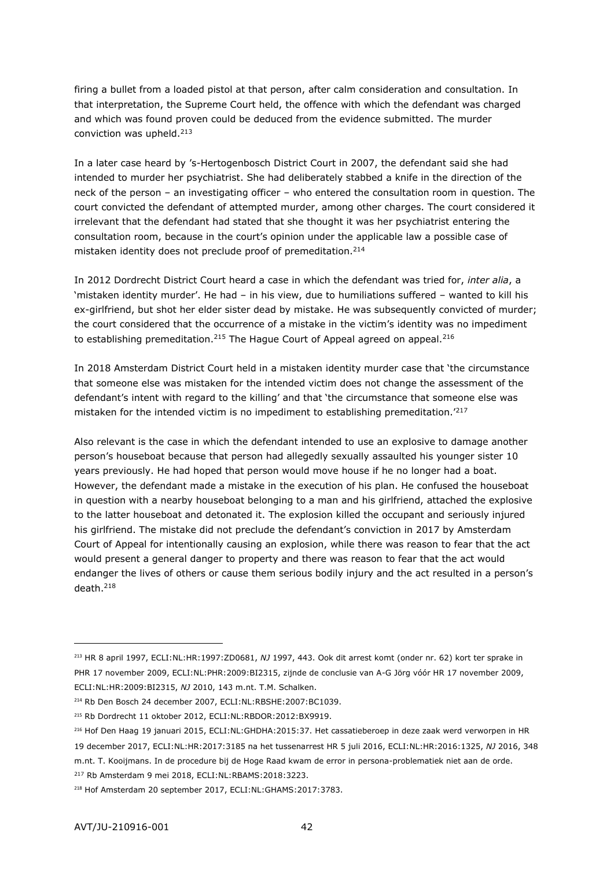firing a bullet from a loaded pistol at that person, after calm consideration and consultation. In that interpretation, the Supreme Court held, the offence with which the defendant was charged and which was found proven could be deduced from the evidence submitted. The murder conviction was upheld.<sup>213</sup>

In a later case heard by 's-Hertogenbosch District Court in 2007, the defendant said she had intended to murder her psychiatrist. She had deliberately stabbed a knife in the direction of the neck of the person – an investigating officer – who entered the consultation room in question. The court convicted the defendant of attempted murder, among other charges. The court considered it irrelevant that the defendant had stated that she thought it was her psychiatrist entering the consultation room, because in the court's opinion under the applicable law a possible case of mistaken identity does not preclude proof of premeditation.<sup>214</sup>

In 2012 Dordrecht District Court heard a case in which the defendant was tried for, *inter alia*, a 'mistaken identity murder'. He had – in his view, due to humiliations suffered – wanted to kill his ex-girlfriend, but shot her elder sister dead by mistake. He was subsequently convicted of murder; the court considered that the occurrence of a mistake in the victim's identity was no impediment to establishing premeditation.<sup>215</sup> The Hague Court of Appeal agreed on appeal.<sup>216</sup>

In 2018 Amsterdam District Court held in a mistaken identity murder case that 'the circumstance that someone else was mistaken for the intended victim does not change the assessment of the defendant's intent with regard to the killing' and that 'the circumstance that someone else was mistaken for the intended victim is no impediment to establishing premeditation.'<sup>217</sup>

Also relevant is the case in which the defendant intended to use an explosive to damage another person's houseboat because that person had allegedly sexually assaulted his younger sister 10 years previously. He had hoped that person would move house if he no longer had a boat. However, the defendant made a mistake in the execution of his plan. He confused the houseboat in question with a nearby houseboat belonging to a man and his girlfriend, attached the explosive to the latter houseboat and detonated it. The explosion killed the occupant and seriously injured his girlfriend. The mistake did not preclude the defendant's conviction in 2017 by Amsterdam Court of Appeal for intentionally causing an explosion, while there was reason to fear that the act would present a general danger to property and there was reason to fear that the act would endanger the lives of others or cause them serious bodily injury and the act resulted in a person's death.<sup>218</sup>

<sup>213</sup> HR 8 april 1997, ECLI:NL:HR:1997:ZD0681, *NJ* 1997, 443. Ook dit arrest komt (onder nr. 62) kort ter sprake in PHR 17 november 2009, ECLI:NL:PHR:2009:BI2315, zijnde de conclusie van A-G Jörg vóór HR 17 november 2009, ECLI:NL:HR:2009:BI2315, *NJ* 2010, 143 m.nt. T.M. Schalken.

<sup>214</sup> Rb Den Bosch 24 december 2007, ECLI:NL:RBSHE:2007:BC1039.

<sup>215</sup> Rb Dordrecht 11 oktober 2012, ECLI:NL:RBDOR:2012:BX9919.

<sup>216</sup> Hof Den Haag 19 januari 2015, ECLI:NL:GHDHA:2015:37. Het cassatieberoep in deze zaak werd verworpen in HR

<sup>19</sup> december 2017, ECLI:NL:HR:2017:3185 na het tussenarrest HR 5 juli 2016, ECLI:NL:HR:2016:1325, *NJ* 2016, 348 m.nt. T. Kooijmans. In de procedure bij de Hoge Raad kwam de error in persona-problematiek niet aan de orde.

<sup>217</sup> Rb Amsterdam 9 mei 2018, ECLI:NL:RBAMS:2018:3223.

<sup>218</sup> Hof Amsterdam 20 september 2017, ECLI:NL:GHAMS:2017:3783.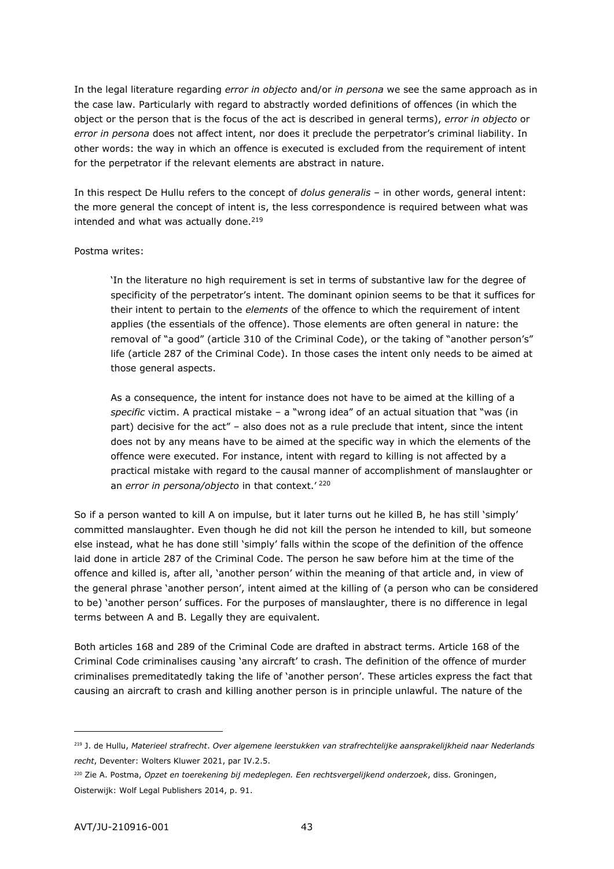In the legal literature regarding *error in objecto* and/or *in persona* we see the same approach as in the case law. Particularly with regard to abstractly worded definitions of offences (in which the object or the person that is the focus of the act is described in general terms), *error in objecto* or *error in persona* does not affect intent, nor does it preclude the perpetrator's criminal liability. In other words: the way in which an offence is executed is excluded from the requirement of intent for the perpetrator if the relevant elements are abstract in nature.

In this respect De Hullu refers to the concept of *dolus generalis* – in other words, general intent: the more general the concept of intent is, the less correspondence is required between what was intended and what was actually done. $219$ 

#### Postma writes:

'In the literature no high requirement is set in terms of substantive law for the degree of specificity of the perpetrator's intent. The dominant opinion seems to be that it suffices for their intent to pertain to the *elements* of the offence to which the requirement of intent applies (the essentials of the offence). Those elements are often general in nature: the removal of "a good" (article 310 of the Criminal Code), or the taking of "another person's" life (article 287 of the Criminal Code). In those cases the intent only needs to be aimed at those general aspects.

As a consequence, the intent for instance does not have to be aimed at the killing of a *specific* victim. A practical mistake – a "wrong idea" of an actual situation that "was (in part) decisive for the act" – also does not as a rule preclude that intent, since the intent does not by any means have to be aimed at the specific way in which the elements of the offence were executed. For instance, intent with regard to killing is not affected by a practical mistake with regard to the causal manner of accomplishment of manslaughter or an *error in persona/objecto* in that context.'<sup>220</sup>

So if a person wanted to kill A on impulse, but it later turns out he killed B, he has still 'simply' committed manslaughter. Even though he did not kill the person he intended to kill, but someone else instead, what he has done still 'simply' falls within the scope of the definition of the offence laid done in article 287 of the Criminal Code. The person he saw before him at the time of the offence and killed is, after all, 'another person' within the meaning of that article and, in view of the general phrase 'another person', intent aimed at the killing of (a person who can be considered to be) 'another person' suffices. For the purposes of manslaughter, there is no difference in legal terms between A and B. Legally they are equivalent.

Both articles 168 and 289 of the Criminal Code are drafted in abstract terms. Article 168 of the Criminal Code criminalises causing 'any aircraft' to crash. The definition of the offence of murder criminalises premeditatedly taking the life of 'another person'. These articles express the fact that causing an aircraft to crash and killing another person is in principle unlawful. The nature of the

<sup>219</sup> J. de Hullu, *Materieel strafrecht*. *Over algemene leerstukken van strafrechtelijke aansprakelijkheid naar Nederlands recht*, Deventer: Wolters Kluwer 2021, par IV.2.5.

<sup>220</sup> Zie A. Postma, *Opzet en toerekening bij medeplegen. Een rechtsvergelijkend onderzoek*, diss. Groningen, Oisterwijk: Wolf Legal Publishers 2014, p. 91.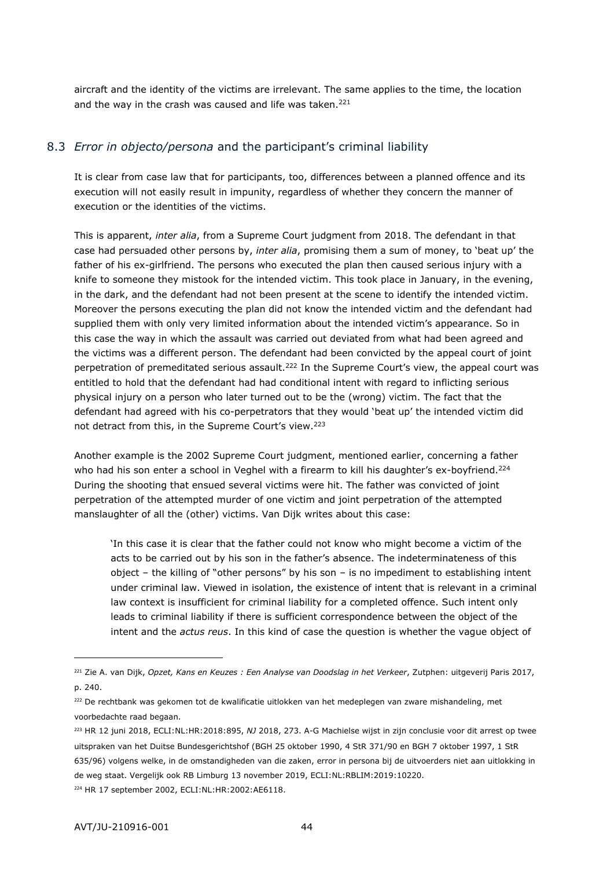<span id="page-43-0"></span>aircraft and the identity of the victims are irrelevant. The same applies to the time, the location and the way in the crash was caused and life was taken.<sup>221</sup>

## 8.3 *Error in objecto/persona* and the participant's criminal liability

It is clear from case law that for participants, too, differences between a planned offence and its execution will not easily result in impunity, regardless of whether they concern the manner of execution or the identities of the victims.

This is apparent, *inter alia*, from a Supreme Court judgment from 2018. The defendant in that case had persuaded other persons by, *inter alia*, promising them a sum of money, to 'beat up' the father of his ex-girlfriend. The persons who executed the plan then caused serious injury with a knife to someone they mistook for the intended victim. This took place in January, in the evening, in the dark, and the defendant had not been present at the scene to identify the intended victim. Moreover the persons executing the plan did not know the intended victim and the defendant had supplied them with only very limited information about the intended victim's appearance. So in this case the way in which the assault was carried out deviated from what had been agreed and the victims was a different person. The defendant had been convicted by the appeal court of joint perpetration of premeditated serious assault.<sup>222</sup> In the Supreme Court's view, the appeal court was entitled to hold that the defendant had had conditional intent with regard to inflicting serious physical injury on a person who later turned out to be the (wrong) victim. The fact that the defendant had agreed with his co-perpetrators that they would 'beat up' the intended victim did not detract from this, in the Supreme Court's view.<sup>223</sup>

Another example is the 2002 Supreme Court judgment, mentioned earlier, concerning a father who had his son enter a school in Veghel with a firearm to kill his daughter's ex-boyfriend.<sup>224</sup> During the shooting that ensued several victims were hit. The father was convicted of joint perpetration of the attempted murder of one victim and joint perpetration of the attempted manslaughter of all the (other) victims. Van Dijk writes about this case:

'In this case it is clear that the father could not know who might become a victim of the acts to be carried out by his son in the father's absence. The indeterminateness of this object – the killing of "other persons" by his son – is no impediment to establishing intent under criminal law. Viewed in isolation, the existence of intent that is relevant in a criminal law context is insufficient for criminal liability for a completed offence. Such intent only leads to criminal liability if there is sufficient correspondence between the object of the intent and the *actus reus*. In this kind of case the question is whether the vague object of

<sup>221</sup> Zie A. van Dijk, *Opzet, Kans en Keuzes : Een Analyse van Doodslag in het Verkeer*, Zutphen: uitgeverij Paris 2017, p. 240.

<sup>222</sup> De rechtbank was gekomen tot de kwalificatie uitlokken van het medeplegen van zware mishandeling, met voorbedachte raad begaan.

<sup>223</sup> HR 12 juni 2018, ECLI:NL:HR:2018:895, *NJ* 2018, 273. A-G Machielse wijst in zijn conclusie voor dit arrest op twee uitspraken van het Duitse Bundesgerichtshof (BGH 25 oktober 1990, 4 StR 371/90 en BGH 7 oktober 1997, 1 StR 635/96) volgens welke, in de omstandigheden van die zaken, error in persona bij de uitvoerders niet aan uitlokking in de weg staat. Vergelijk ook RB Limburg 13 november 2019, ECLI:NL:RBLIM:2019:10220.

<sup>224</sup> HR 17 september 2002, ECLI:NL:HR:2002:AE6118.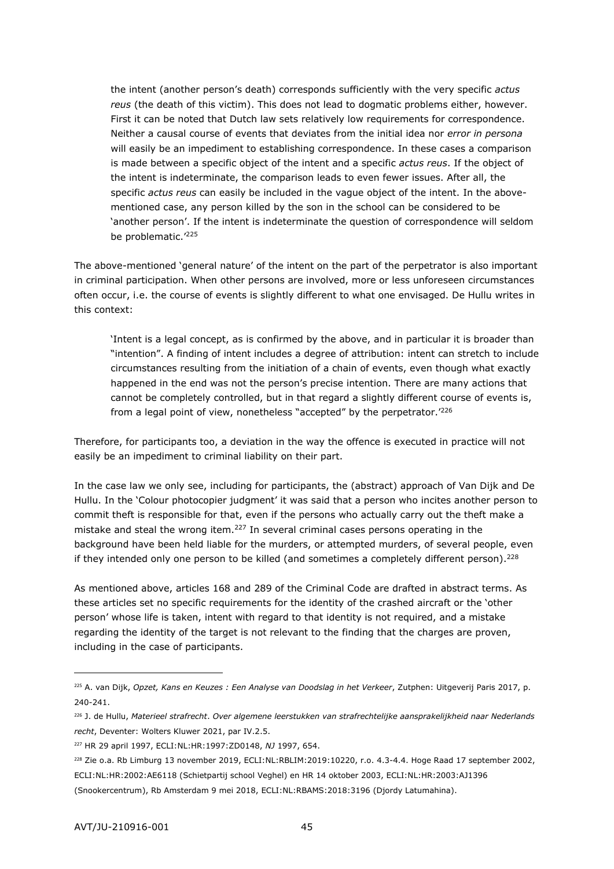the intent (another person's death) corresponds sufficiently with the very specific *actus reus* (the death of this victim). This does not lead to dogmatic problems either, however. First it can be noted that Dutch law sets relatively low requirements for correspondence. Neither a causal course of events that deviates from the initial idea nor *error in persona* will easily be an impediment to establishing correspondence. In these cases a comparison is made between a specific object of the intent and a specific *actus reus*. If the object of the intent is indeterminate, the comparison leads to even fewer issues. After all, the specific *actus reus* can easily be included in the vague object of the intent. In the abovementioned case, any person killed by the son in the school can be considered to be 'another person'. If the intent is indeterminate the question of correspondence will seldom be problematic.<sup>'225</sup>

The above-mentioned 'general nature' of the intent on the part of the perpetrator is also important in criminal participation. When other persons are involved, more or less unforeseen circumstances often occur, i.e. the course of events is slightly different to what one envisaged. De Hullu writes in this context:

'Intent is a legal concept, as is confirmed by the above, and in particular it is broader than "intention". A finding of intent includes a degree of attribution: intent can stretch to include circumstances resulting from the initiation of a chain of events, even though what exactly happened in the end was not the person's precise intention. There are many actions that cannot be completely controlled, but in that regard a slightly different course of events is, from a legal point of view, nonetheless "accepted" by the perpetrator.<sup>'226</sup>

Therefore, for participants too, a deviation in the way the offence is executed in practice will not easily be an impediment to criminal liability on their part.

In the case law we only see, including for participants, the (abstract) approach of Van Dijk and De Hullu. In the 'Colour photocopier judgment' it was said that a person who incites another person to commit theft is responsible for that, even if the persons who actually carry out the theft make a mistake and steal the wrong item.<sup>227</sup> In several criminal cases persons operating in the background have been held liable for the murders, or attempted murders, of several people, even if they intended only one person to be killed (and sometimes a completely different person).<sup>228</sup>

As mentioned above, articles 168 and 289 of the Criminal Code are drafted in abstract terms. As these articles set no specific requirements for the identity of the crashed aircraft or the 'other person' whose life is taken, intent with regard to that identity is not required, and a mistake regarding the identity of the target is not relevant to the finding that the charges are proven, including in the case of participants.

<sup>225</sup> A. van Dijk, *Opzet, Kans en Keuzes : Een Analyse van Doodslag in het Verkeer*, Zutphen: Uitgeverij Paris 2017, p. 240-241.

<sup>226</sup> J. de Hullu, *Materieel strafrecht*. *Over algemene leerstukken van strafrechtelijke aansprakelijkheid naar Nederlands recht*, Deventer: Wolters Kluwer 2021, par IV.2.5.

<sup>227</sup> HR 29 april 1997, ECLI:NL:HR:1997:ZD0148, *NJ* 1997, 654.

<sup>228</sup> Zie o.a. Rb Limburg 13 november 2019, ECLI:NL:RBLIM:2019:10220, r.o. 4.3-4.4. Hoge Raad 17 september 2002, ECLI:NL:HR:2002:AE6118 (Schietpartij school Veghel) en HR 14 oktober 2003, ECLI:NL:HR:2003:AJ1396 (Snookercentrum), Rb Amsterdam 9 mei 2018, ECLI:NL:RBAMS:2018:3196 (Djordy Latumahina).